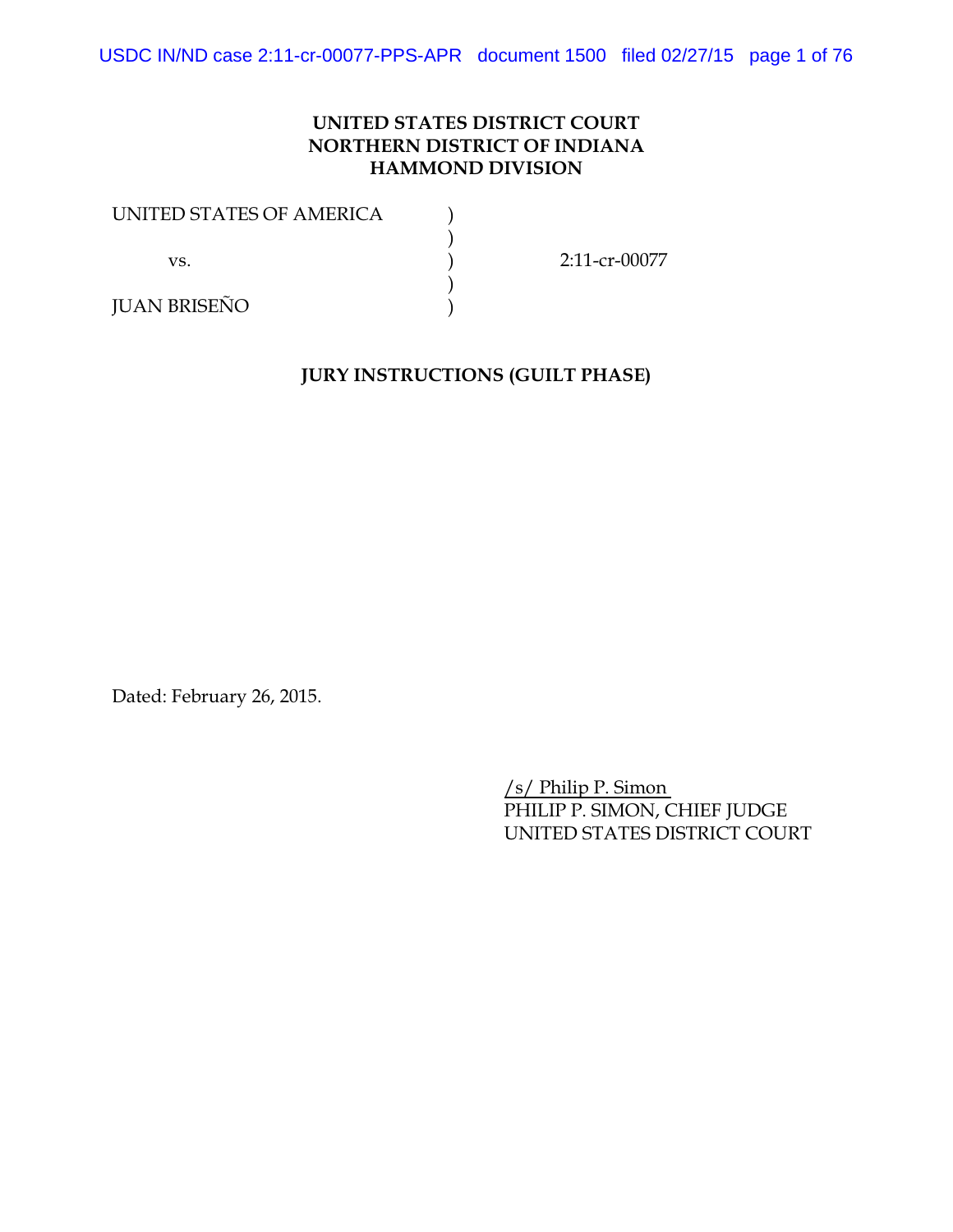## **UNITED STATES DISTRICT COURT NORTHERN DISTRICT OF INDIANA HAMMOND DIVISION**

| UNITED STATES OF AMERICA |                  |
|--------------------------|------------------|
|                          |                  |
| VS.                      | $2:11$ -cr-00077 |
|                          |                  |
| <b>JUAN BRISEÑO</b>      |                  |

## **JURY INSTRUCTIONS (GUILT PHASE)**

Dated: February 26, 2015.

/s/ Philip P. Simon PHILIP P. SIMON, CHIEF JUDGE UNITED STATES DISTRICT COURT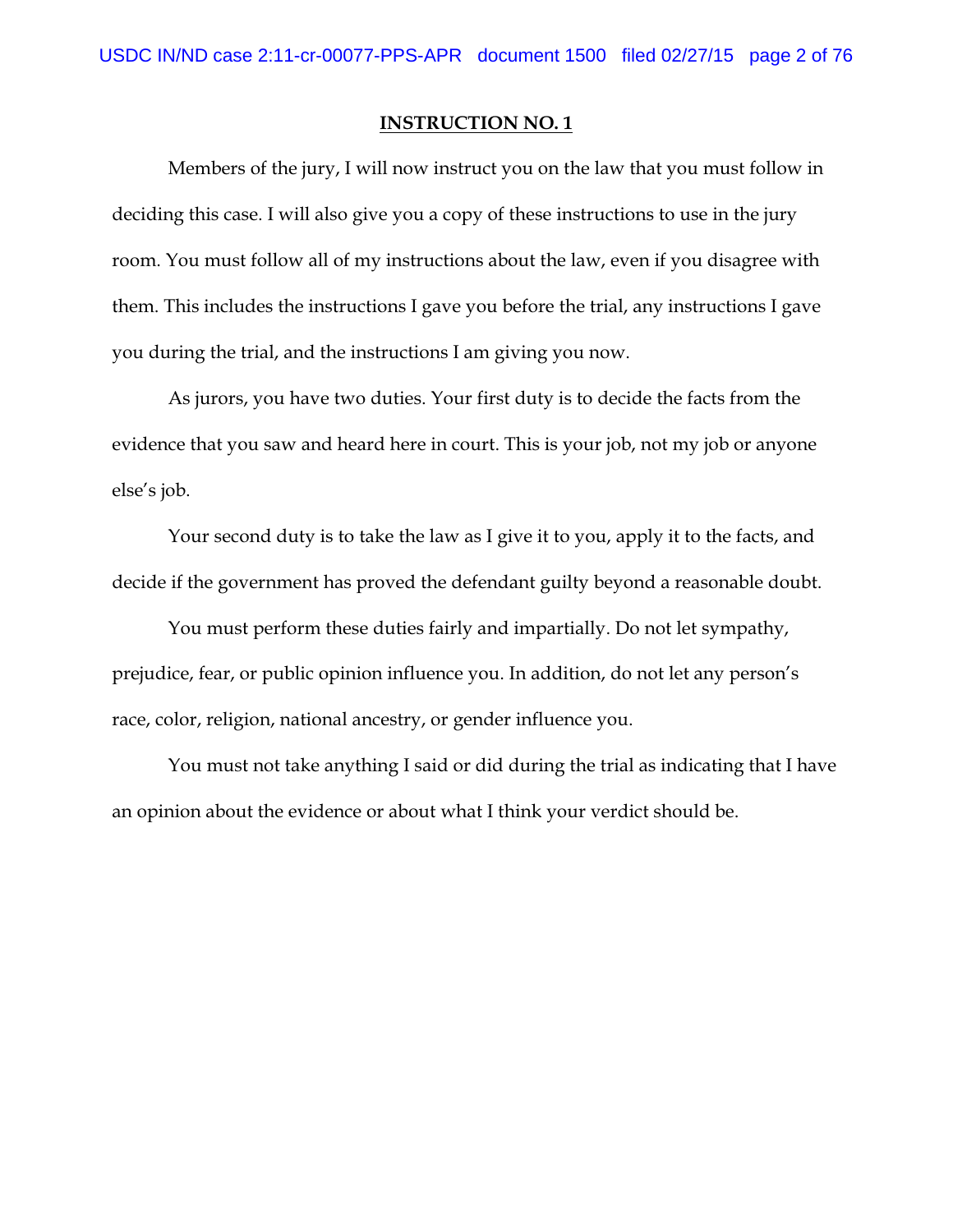Members of the jury, I will now instruct you on the law that you must follow in deciding this case. I will also give you a copy of these instructions to use in the jury room. You must follow all of my instructions about the law, even if you disagree with them. This includes the instructions I gave you before the trial, any instructions I gave you during the trial, and the instructions I am giving you now.

As jurors, you have two duties. Your first duty is to decide the facts from the evidence that you saw and heard here in court. This is your job, not my job or anyone else's job.

Your second duty is to take the law as I give it to you, apply it to the facts, and decide if the government has proved the defendant guilty beyond a reasonable doubt.

You must perform these duties fairly and impartially. Do not let sympathy, prejudice, fear, or public opinion influence you. In addition, do not let any person's race, color, religion, national ancestry, or gender influence you.

You must not take anything I said or did during the trial as indicating that I have an opinion about the evidence or about what I think your verdict should be.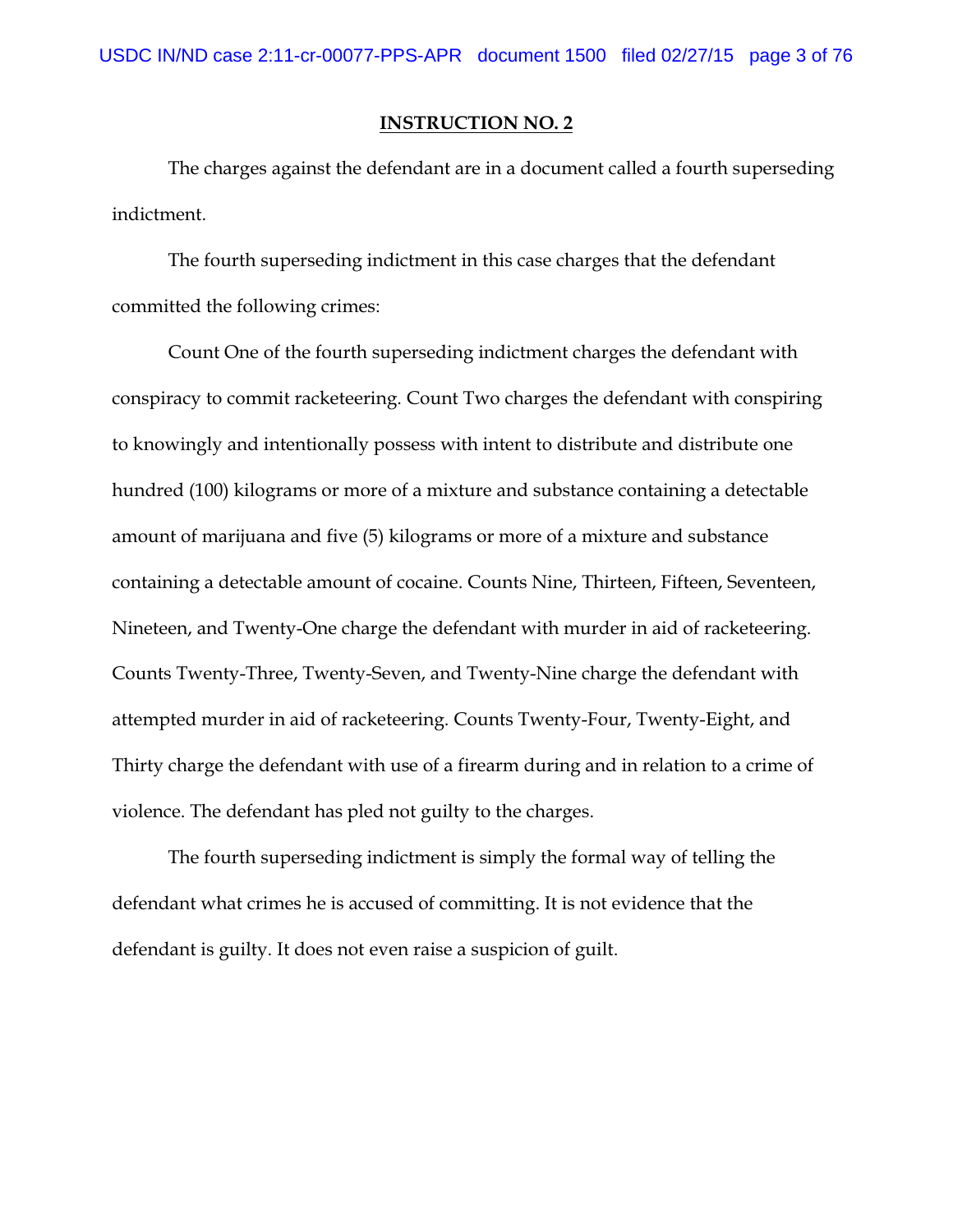The charges against the defendant are in a document called a fourth superseding indictment.

The fourth superseding indictment in this case charges that the defendant committed the following crimes:

Count One of the fourth superseding indictment charges the defendant with conspiracy to commit racketeering. Count Two charges the defendant with conspiring to knowingly and intentionally possess with intent to distribute and distribute one hundred (100) kilograms or more of a mixture and substance containing a detectable amount of marijuana and five (5) kilograms or more of a mixture and substance containing a detectable amount of cocaine. Counts Nine, Thirteen, Fifteen, Seventeen, Nineteen, and Twenty-One charge the defendant with murder in aid of racketeering. Counts Twenty-Three, Twenty-Seven, and Twenty-Nine charge the defendant with attempted murder in aid of racketeering. Counts Twenty-Four, Twenty-Eight, and Thirty charge the defendant with use of a firearm during and in relation to a crime of violence. The defendant has pled not guilty to the charges.

The fourth superseding indictment is simply the formal way of telling the defendant what crimes he is accused of committing. It is not evidence that the defendant is guilty. It does not even raise a suspicion of guilt.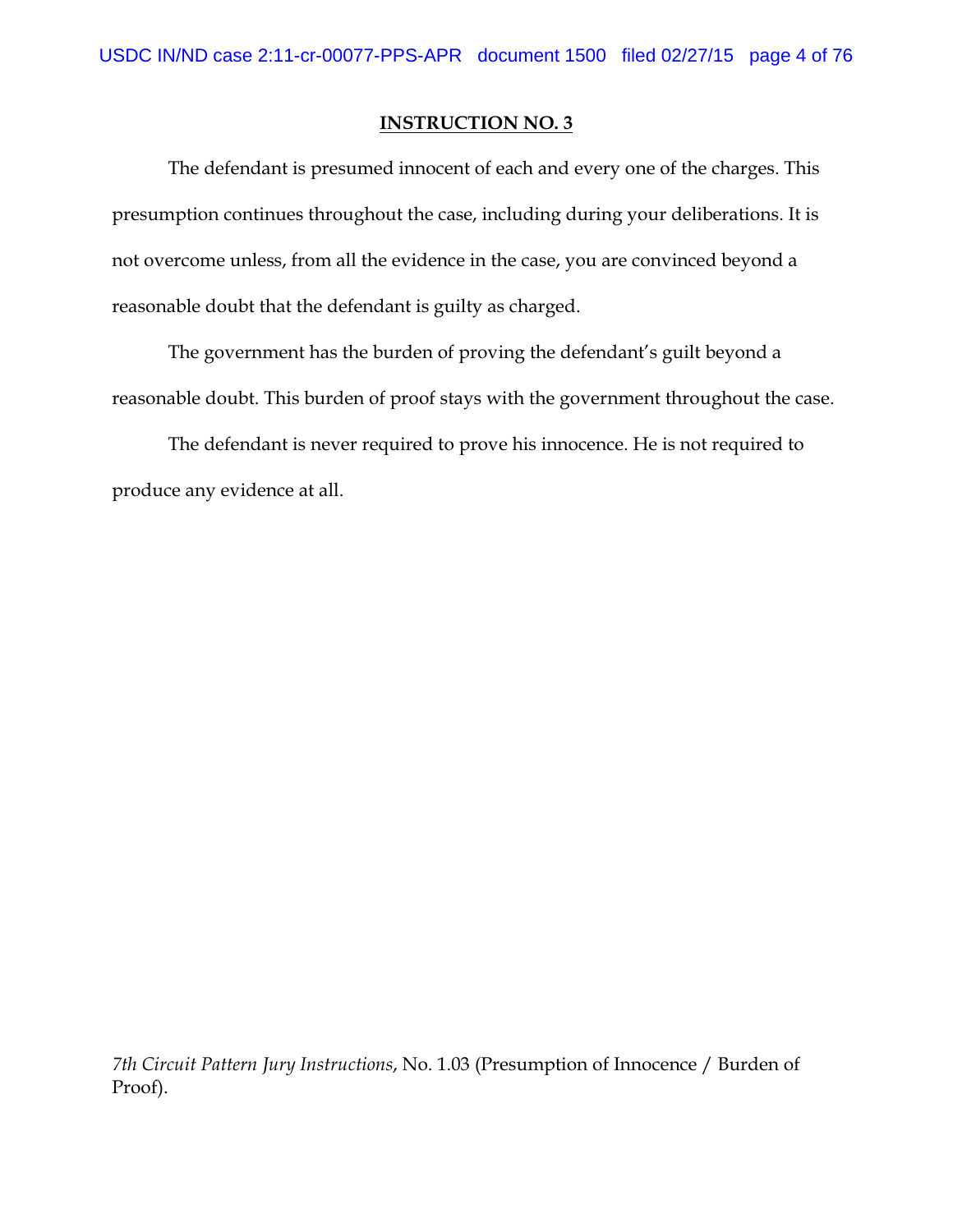The defendant is presumed innocent of each and every one of the charges. This presumption continues throughout the case, including during your deliberations. It is not overcome unless, from all the evidence in the case, you are convinced beyond a reasonable doubt that the defendant is guilty as charged.

The government has the burden of proving the defendant's guilt beyond a reasonable doubt. This burden of proof stays with the government throughout the case.

The defendant is never required to prove his innocence. He is not required to produce any evidence at all.

*7th Circuit Pattern Jury Instructions*, No. 1.03 (Presumption of Innocence / Burden of Proof).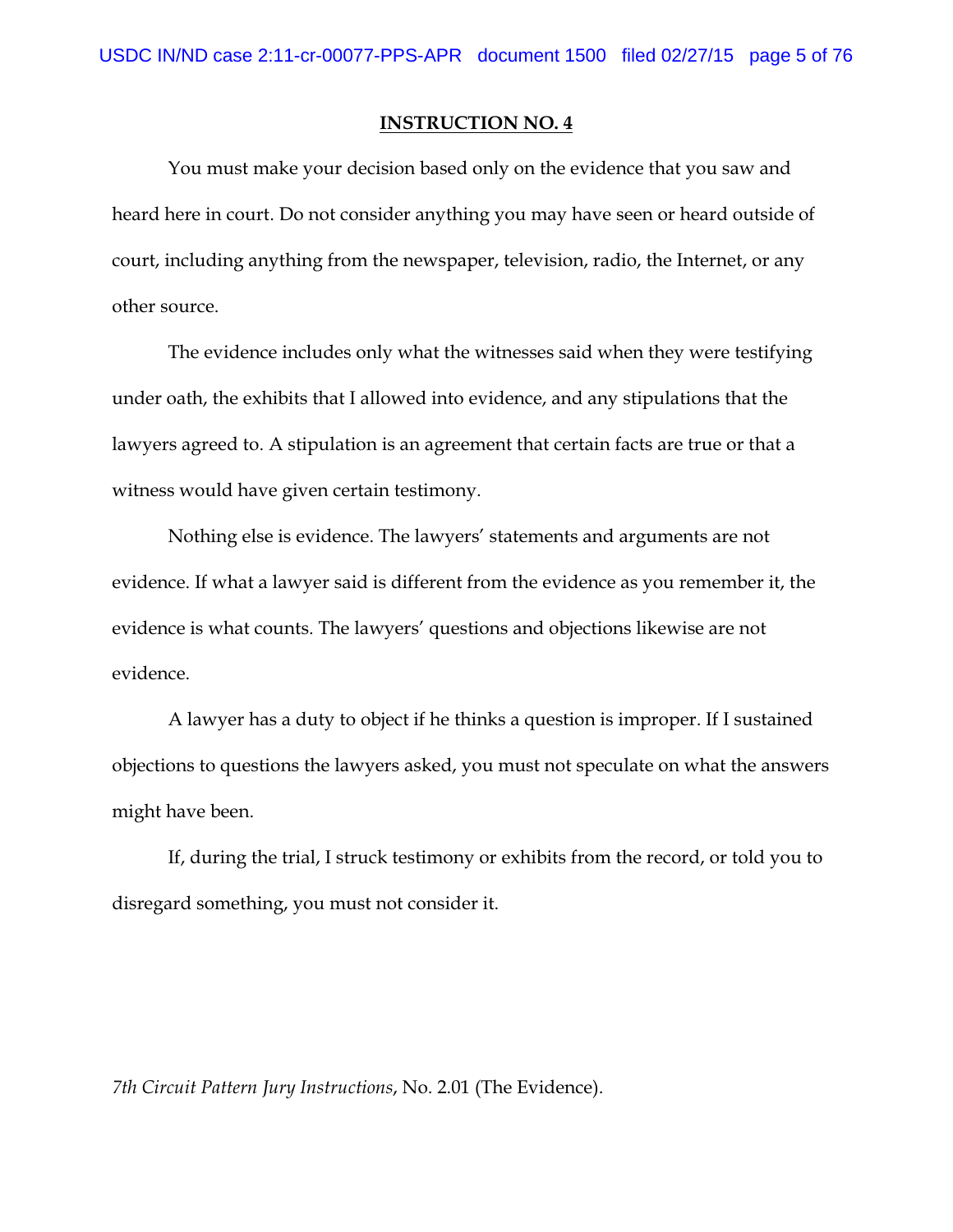You must make your decision based only on the evidence that you saw and heard here in court. Do not consider anything you may have seen or heard outside of court, including anything from the newspaper, television, radio, the Internet, or any other source.

The evidence includes only what the witnesses said when they were testifying under oath, the exhibits that I allowed into evidence, and any stipulations that the lawyers agreed to. A stipulation is an agreement that certain facts are true or that a witness would have given certain testimony.

Nothing else is evidence. The lawyers' statements and arguments are not evidence. If what a lawyer said is different from the evidence as you remember it, the evidence is what counts. The lawyers' questions and objections likewise are not evidence.

A lawyer has a duty to object if he thinks a question is improper. If I sustained objections to questions the lawyers asked, you must not speculate on what the answers might have been.

If, during the trial, I struck testimony or exhibits from the record, or told you to disregard something, you must not consider it.

*7th Circuit Pattern Jury Instructions*, No. 2.01 (The Evidence).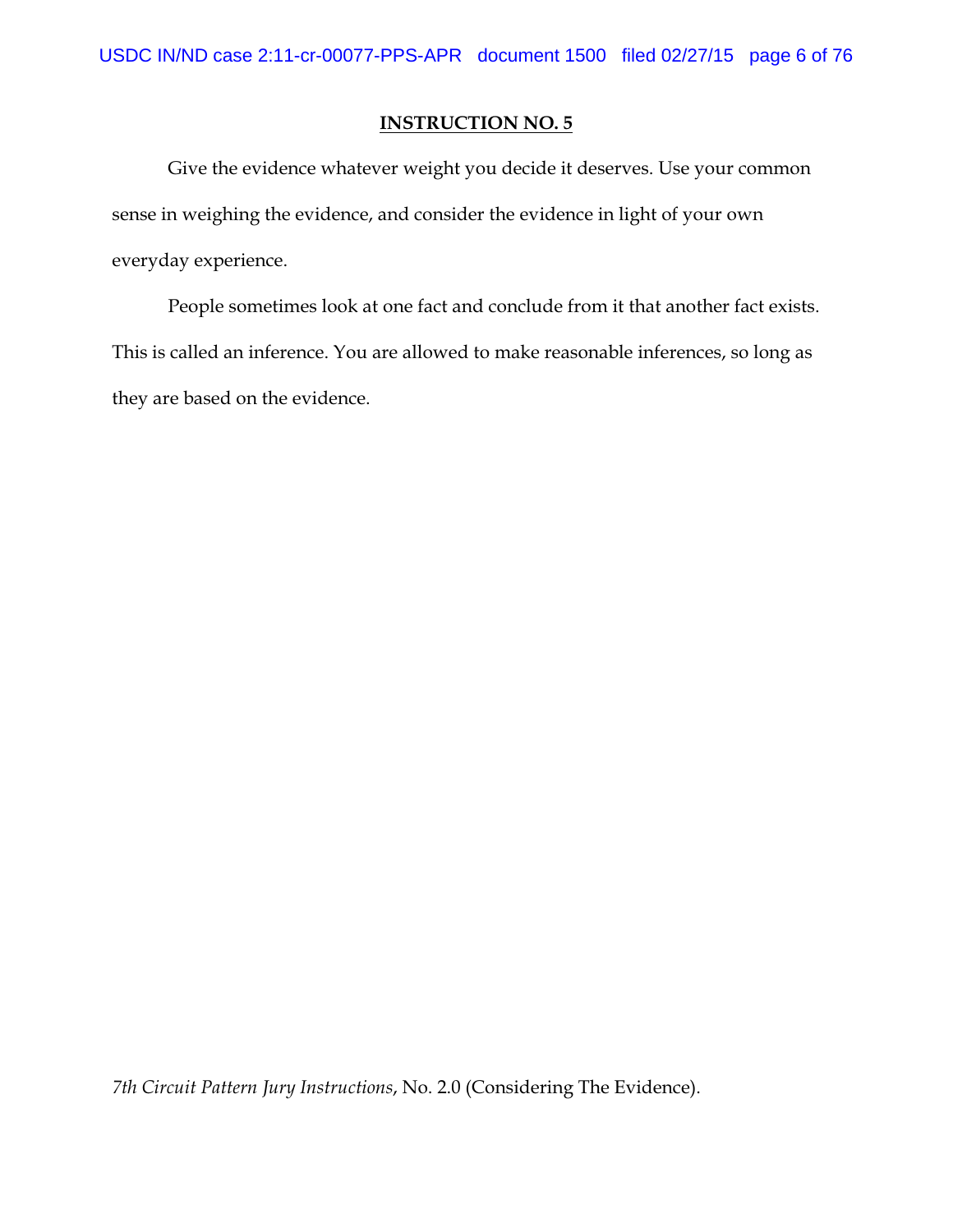Give the evidence whatever weight you decide it deserves. Use your common sense in weighing the evidence, and consider the evidence in light of your own everyday experience.

People sometimes look at one fact and conclude from it that another fact exists. This is called an inference. You are allowed to make reasonable inferences, so long as they are based on the evidence.

*7th Circuit Pattern Jury Instructions*, No. 2.0 (Considering The Evidence).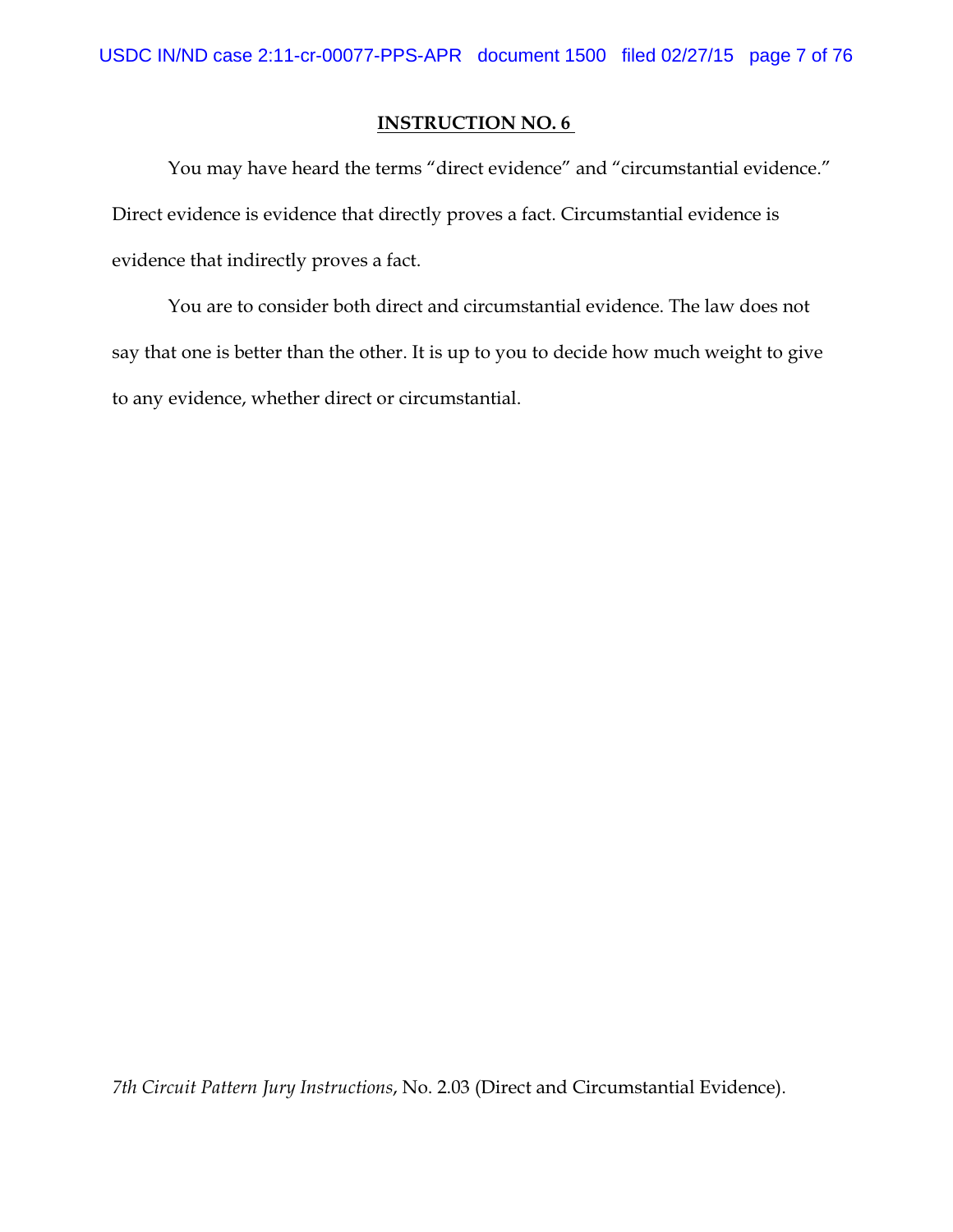You may have heard the terms "direct evidence" and "circumstantial evidence." Direct evidence is evidence that directly proves a fact. Circumstantial evidence is evidence that indirectly proves a fact.

You are to consider both direct and circumstantial evidence. The law does not say that one is better than the other. It is up to you to decide how much weight to give to any evidence, whether direct or circumstantial.

*7th Circuit Pattern Jury Instructions*, No. 2.03 (Direct and Circumstantial Evidence).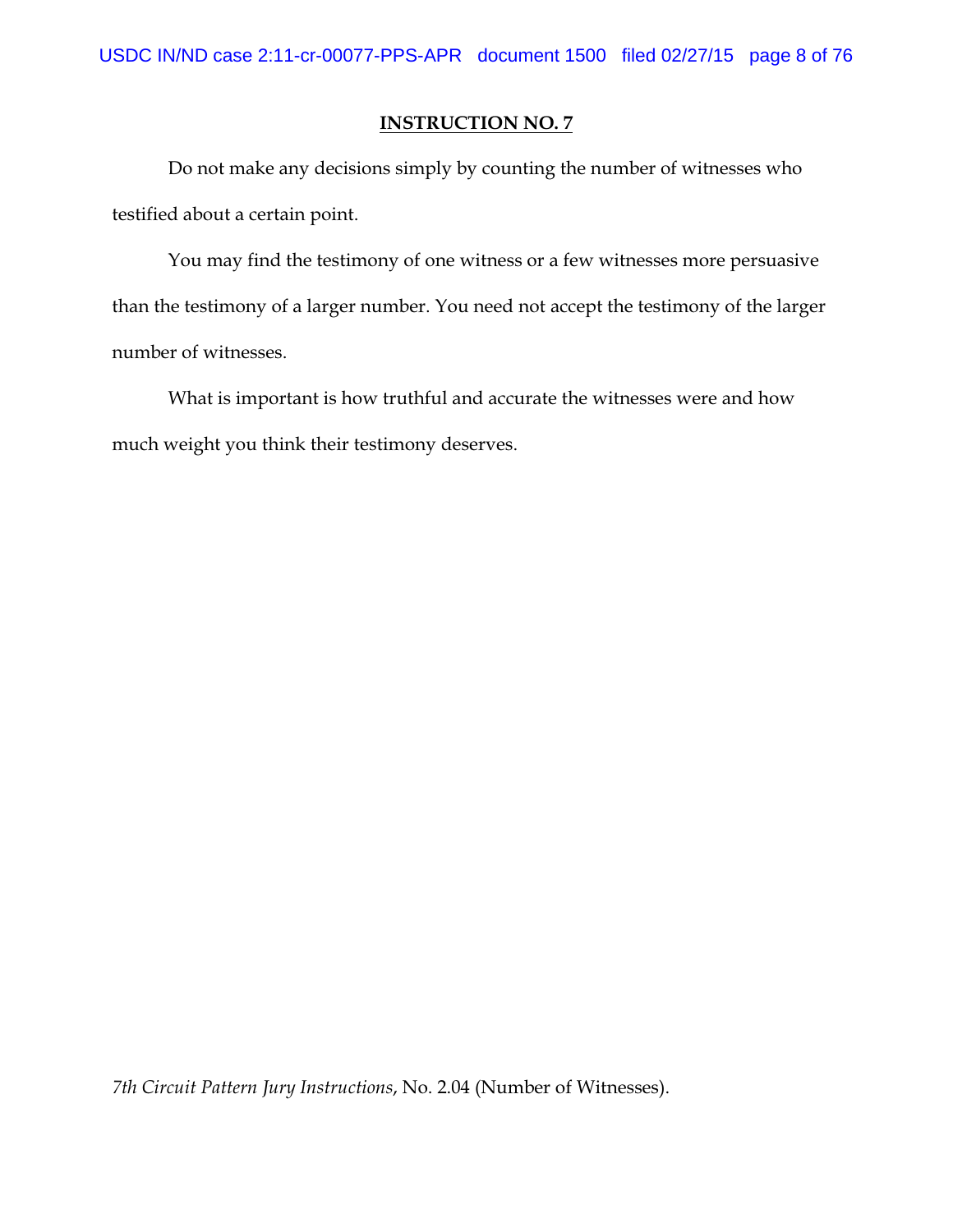Do not make any decisions simply by counting the number of witnesses who testified about a certain point.

You may find the testimony of one witness or a few witnesses more persuasive than the testimony of a larger number. You need not accept the testimony of the larger number of witnesses.

What is important is how truthful and accurate the witnesses were and how much weight you think their testimony deserves.

*7th Circuit Pattern Jury Instructions*, No. 2.04 (Number of Witnesses).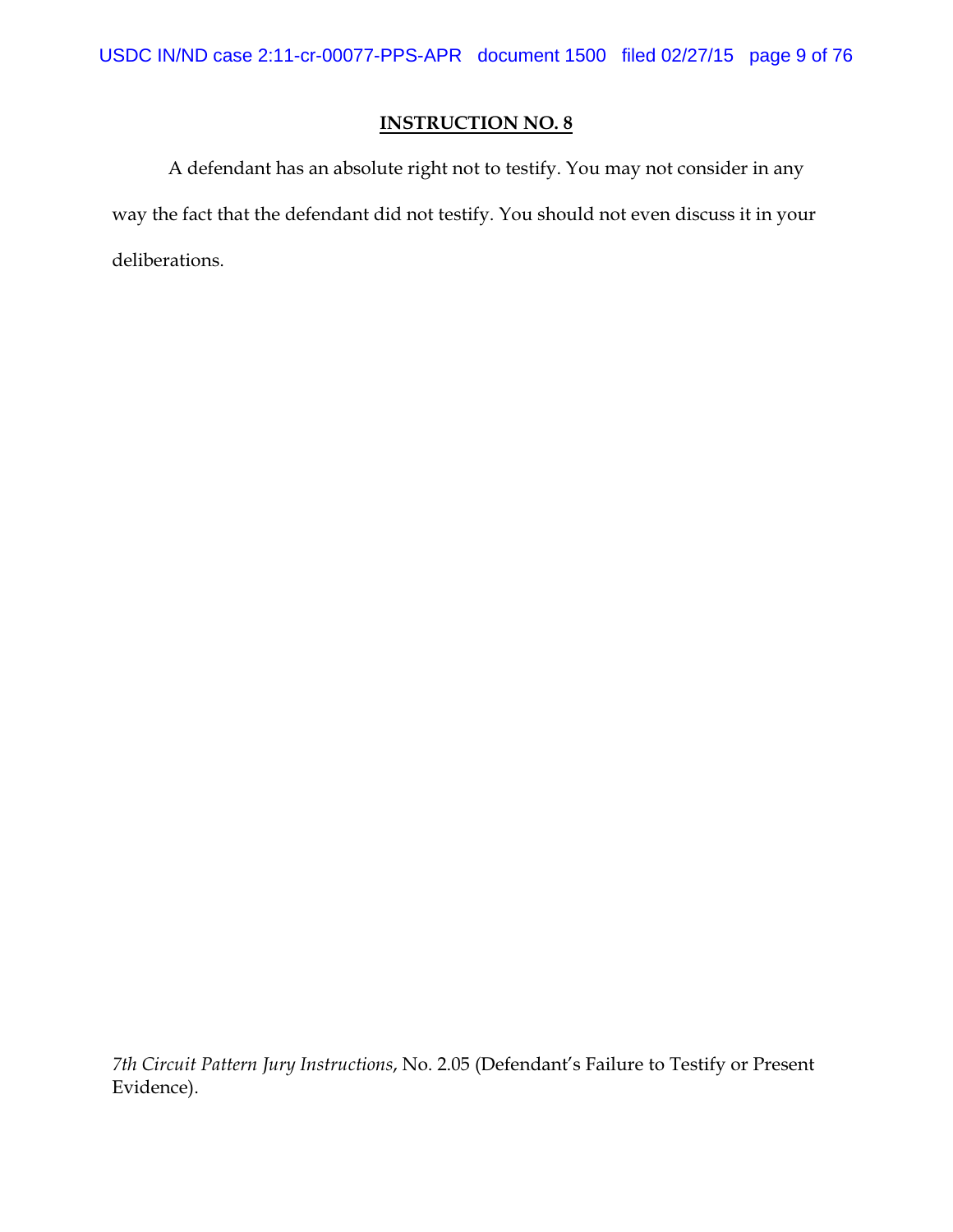A defendant has an absolute right not to testify. You may not consider in any way the fact that the defendant did not testify. You should not even discuss it in your deliberations.

*7th Circuit Pattern Jury Instructions*, No. 2.05 (Defendant's Failure to Testify or Present Evidence).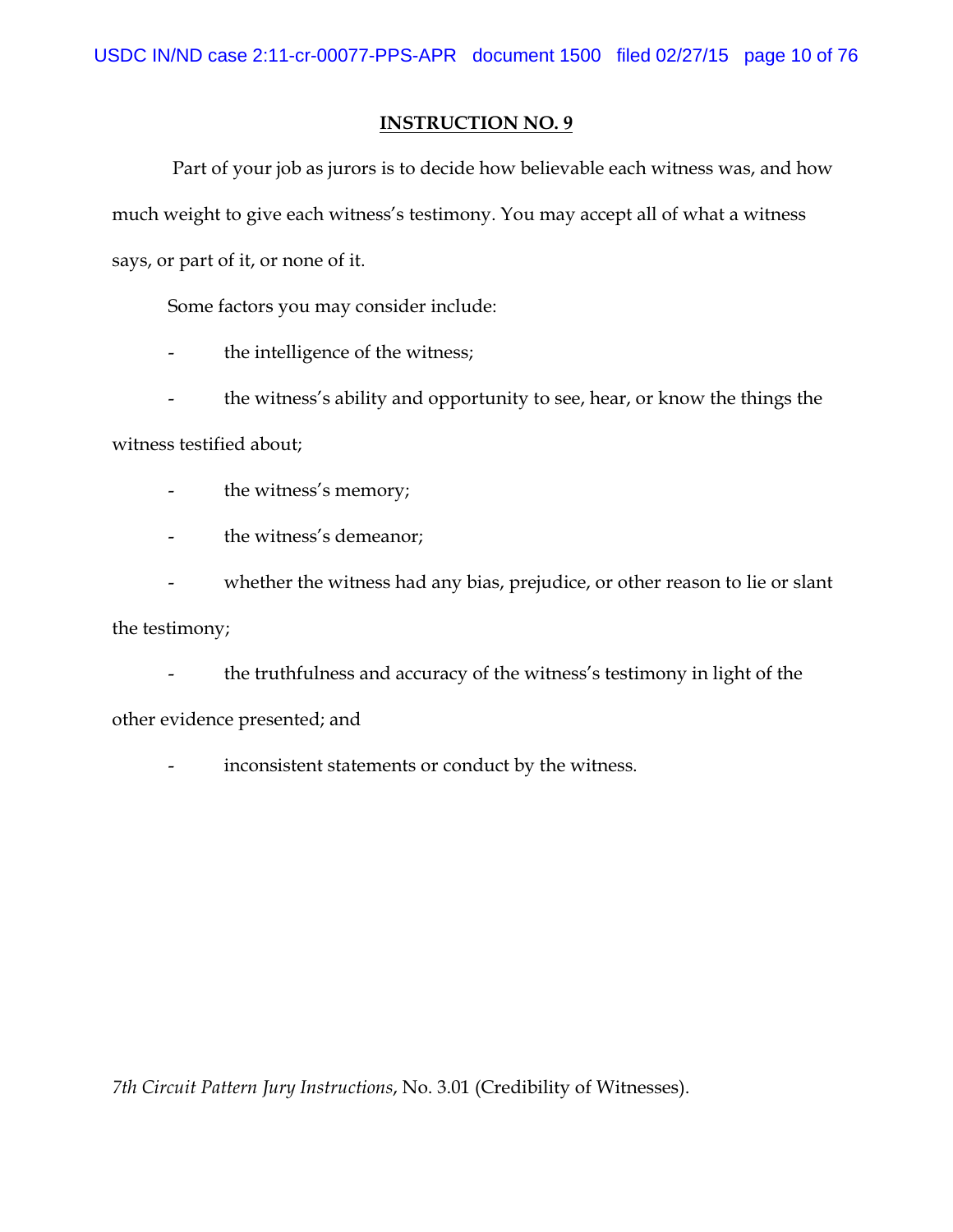Part of your job as jurors is to decide how believable each witness was, and how much weight to give each witness's testimony. You may accept all of what a witness says, or part of it, or none of it.

Some factors you may consider include:

- the intelligence of the witness;
- the witness's ability and opportunity to see, hear, or know the things the

witness testified about;

- the witness's memory;
- the witness's demeanor;
- whether the witness had any bias, prejudice, or other reason to lie or slant

the testimony;

- the truthfulness and accuracy of the witness's testimony in light of the other evidence presented; and

- inconsistent statements or conduct by the witness.

*7th Circuit Pattern Jury Instructions*, No. 3.01 (Credibility of Witnesses).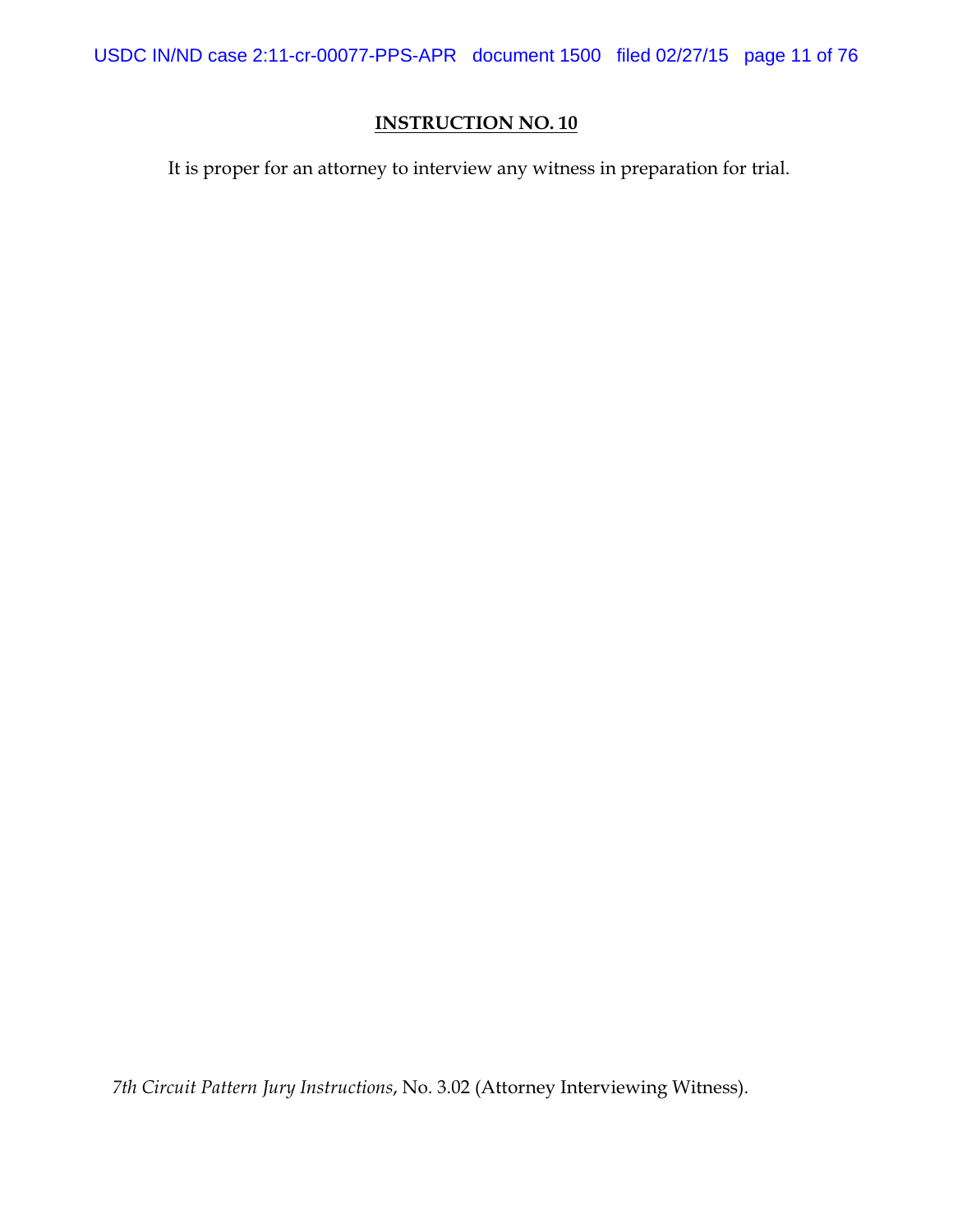USDC IN/ND case 2:11-cr-00077-PPS-APR document 1500 filed 02/27/15 page 11 of 76

# **INSTRUCTION NO. 10**

It is proper for an attorney to interview any witness in preparation for trial.

*7th Circuit Pattern Jury Instructions*, No. 3.02 (Attorney Interviewing Witness).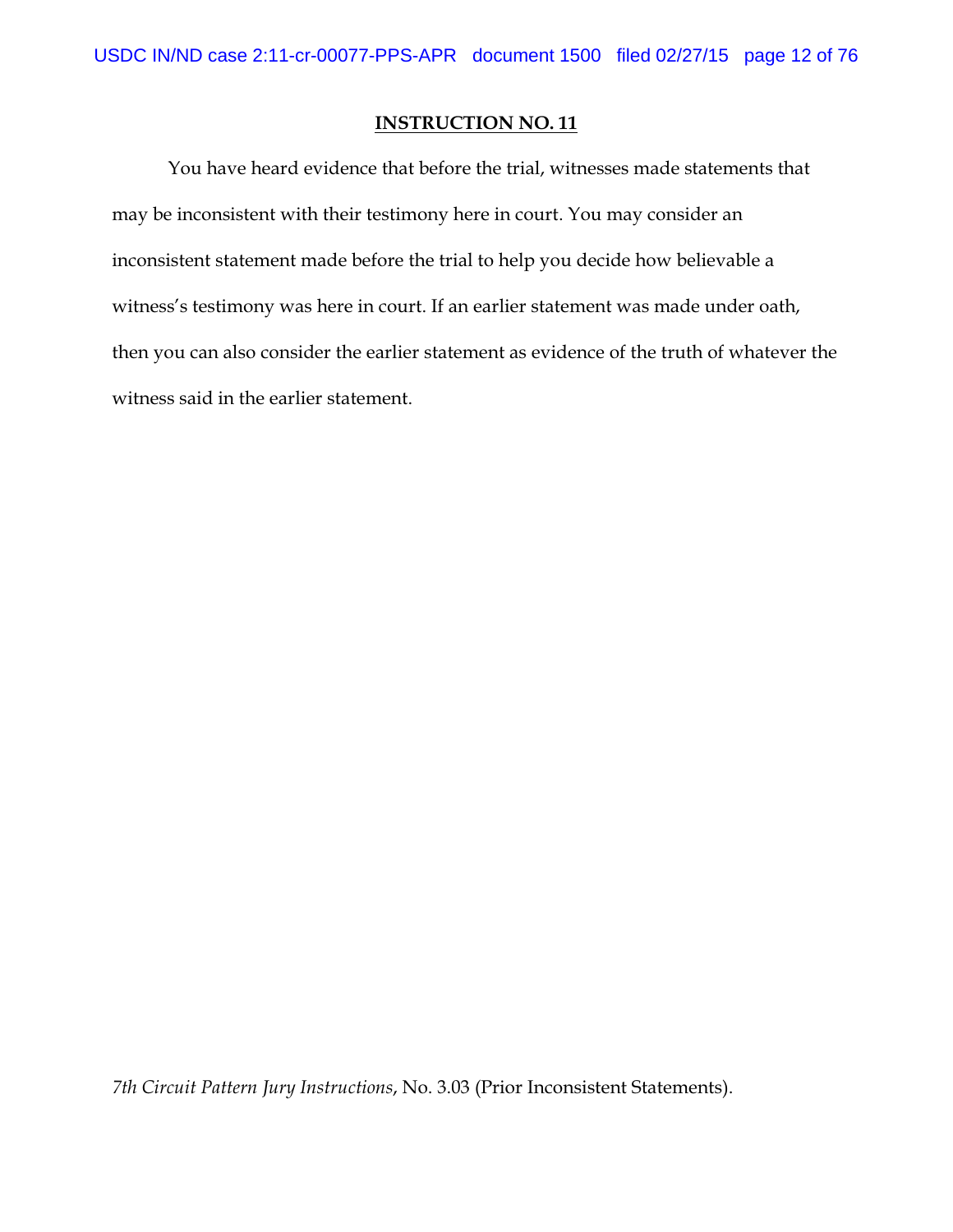You have heard evidence that before the trial, witnesses made statements that may be inconsistent with their testimony here in court. You may consider an inconsistent statement made before the trial to help you decide how believable a witness's testimony was here in court. If an earlier statement was made under oath, then you can also consider the earlier statement as evidence of the truth of whatever the witness said in the earlier statement.

*7th Circuit Pattern Jury Instructions*, No. 3.03 (Prior Inconsistent Statements).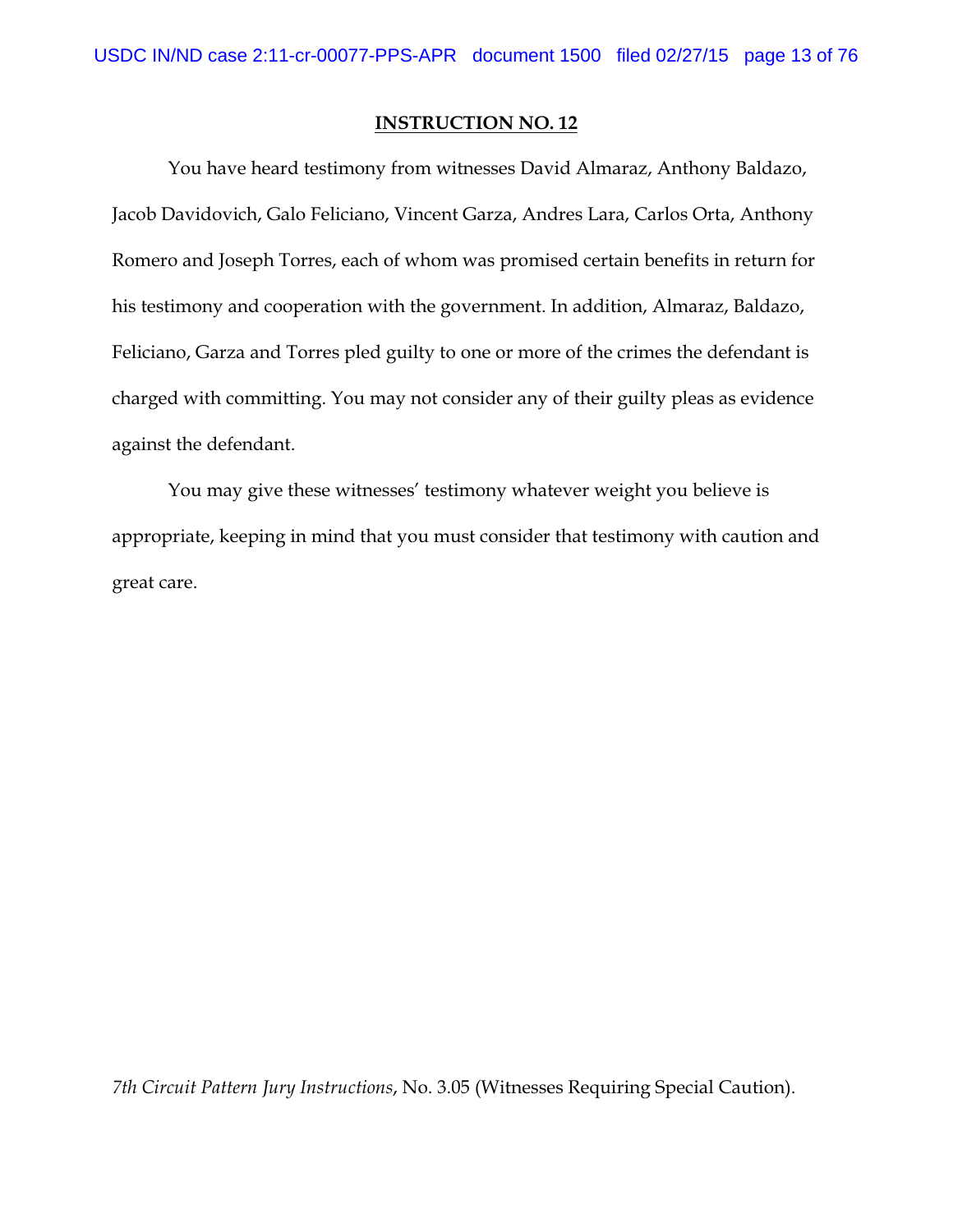You have heard testimony from witnesses David Almaraz, Anthony Baldazo, Jacob Davidovich, Galo Feliciano, Vincent Garza, Andres Lara, Carlos Orta, Anthony Romero and Joseph Torres, each of whom was promised certain benefits in return for his testimony and cooperation with the government. In addition, Almaraz, Baldazo, Feliciano, Garza and Torres pled guilty to one or more of the crimes the defendant is charged with committing. You may not consider any of their guilty pleas as evidence against the defendant.

You may give these witnesses' testimony whatever weight you believe is appropriate, keeping in mind that you must consider that testimony with caution and great care.

*7th Circuit Pattern Jury Instructions*, No. 3.05 (Witnesses Requiring Special Caution).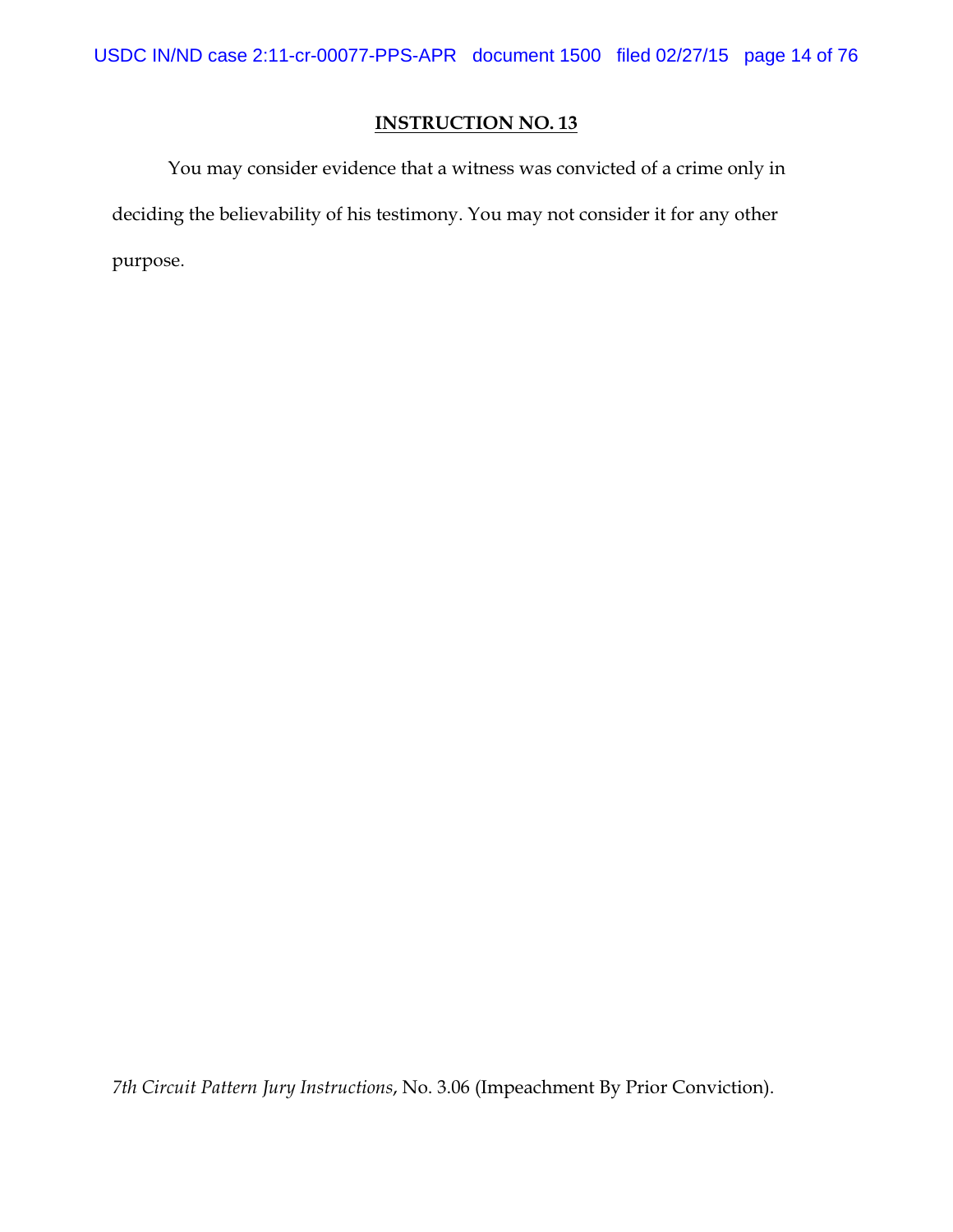You may consider evidence that a witness was convicted of a crime only in deciding the believability of his testimony. You may not consider it for any other purpose.

*7th Circuit Pattern Jury Instructions*, No. 3.06 (Impeachment By Prior Conviction).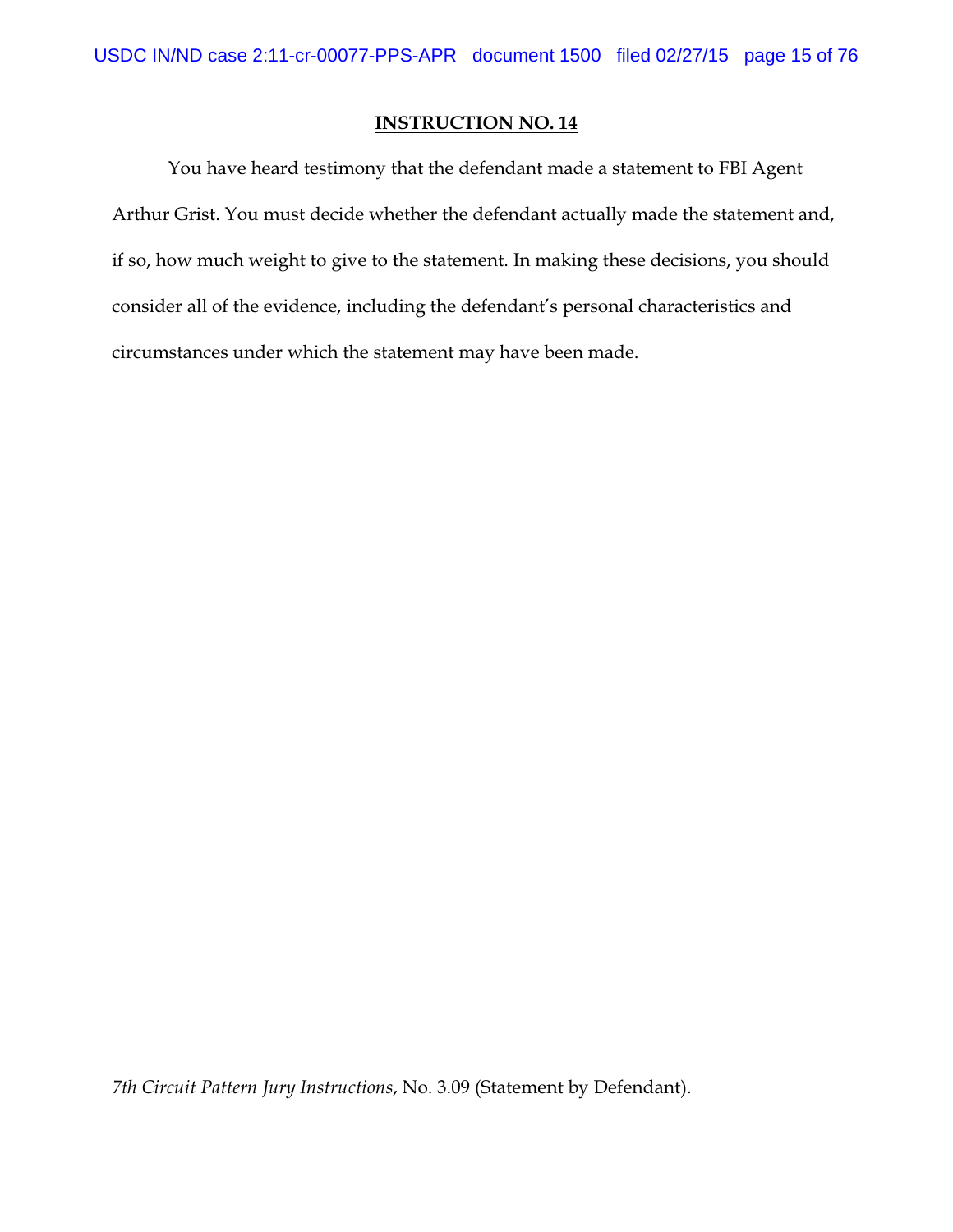You have heard testimony that the defendant made a statement to FBI Agent Arthur Grist. You must decide whether the defendant actually made the statement and, if so, how much weight to give to the statement. In making these decisions, you should consider all of the evidence, including the defendant's personal characteristics and circumstances under which the statement may have been made.

*7th Circuit Pattern Jury Instructions*, No. 3.09 (Statement by Defendant).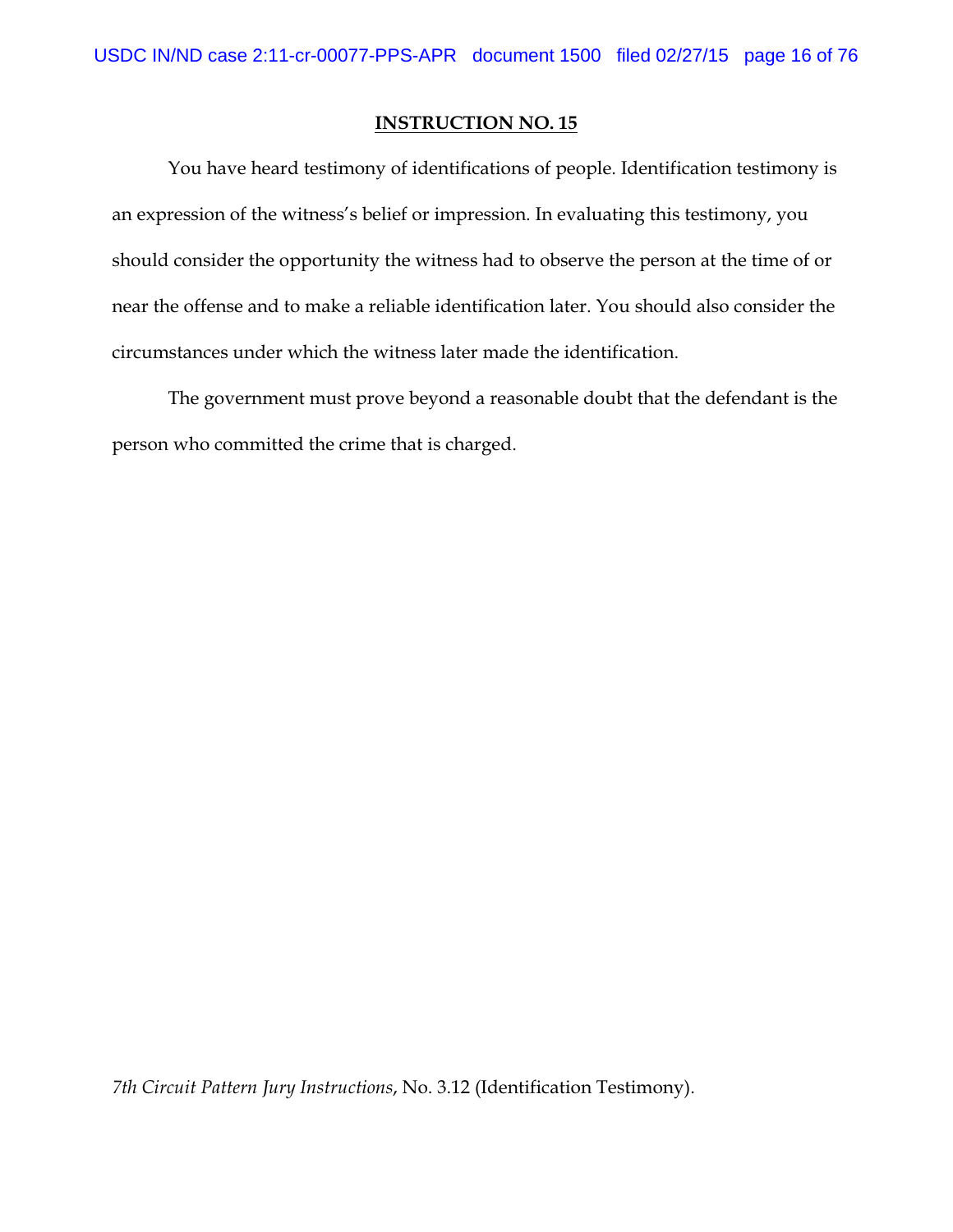You have heard testimony of identifications of people. Identification testimony is an expression of the witness's belief or impression. In evaluating this testimony, you should consider the opportunity the witness had to observe the person at the time of or near the offense and to make a reliable identification later. You should also consider the circumstances under which the witness later made the identification.

The government must prove beyond a reasonable doubt that the defendant is the person who committed the crime that is charged.

*7th Circuit Pattern Jury Instructions*, No. 3.12 (Identification Testimony).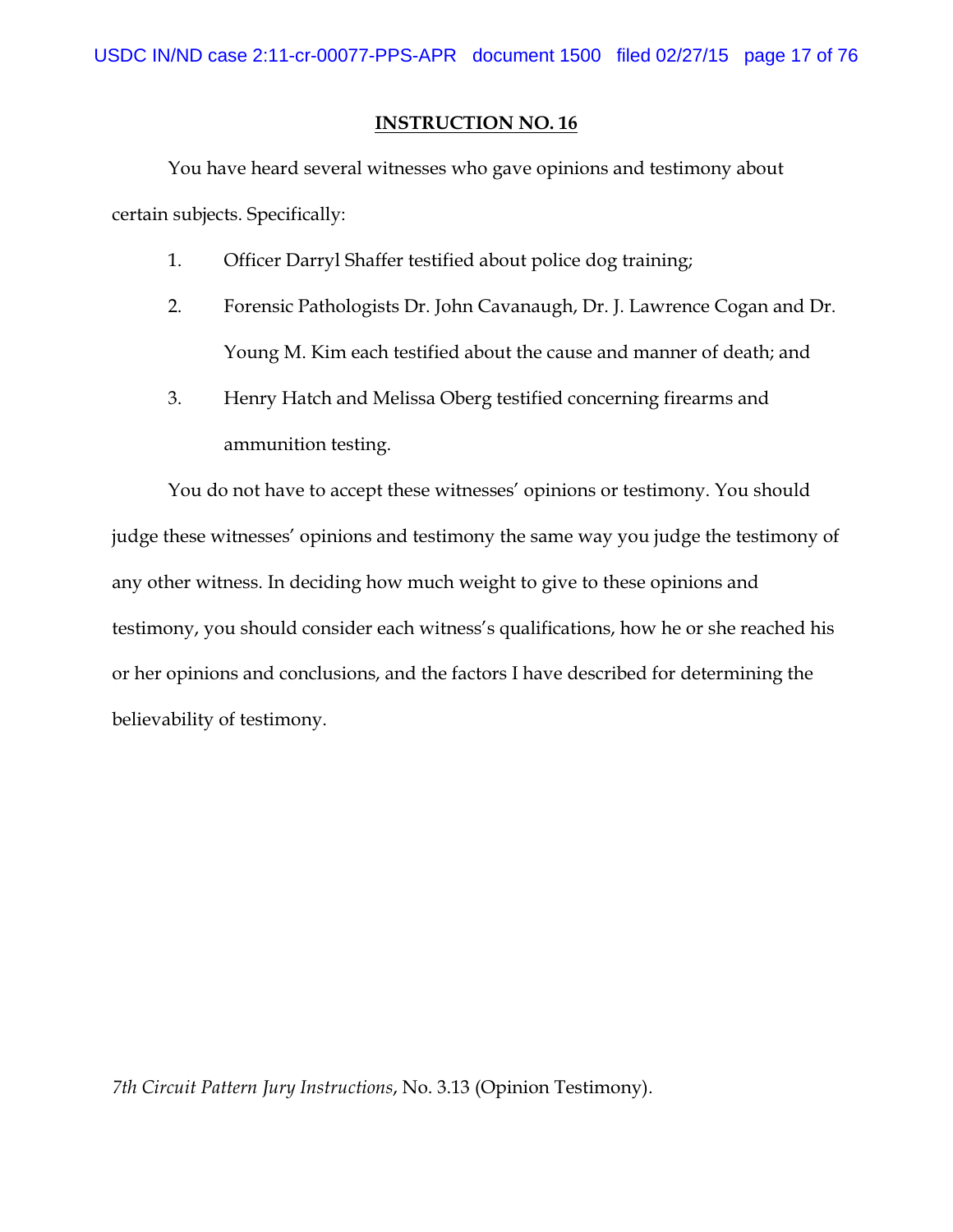You have heard several witnesses who gave opinions and testimony about certain subjects. Specifically:

- 1. Officer Darryl Shaffer testified about police dog training;
- 2. Forensic Pathologists Dr. John Cavanaugh, Dr. J. Lawrence Cogan and Dr. Young M. Kim each testified about the cause and manner of death; and
- 3. Henry Hatch and Melissa Oberg testified concerning firearms and ammunition testing.

You do not have to accept these witnesses' opinions or testimony. You should judge these witnesses' opinions and testimony the same way you judge the testimony of any other witness. In deciding how much weight to give to these opinions and testimony, you should consider each witness's qualifications, how he or she reached his or her opinions and conclusions, and the factors I have described for determining the believability of testimony.

*7th Circuit Pattern Jury Instructions*, No. 3.13 (Opinion Testimony).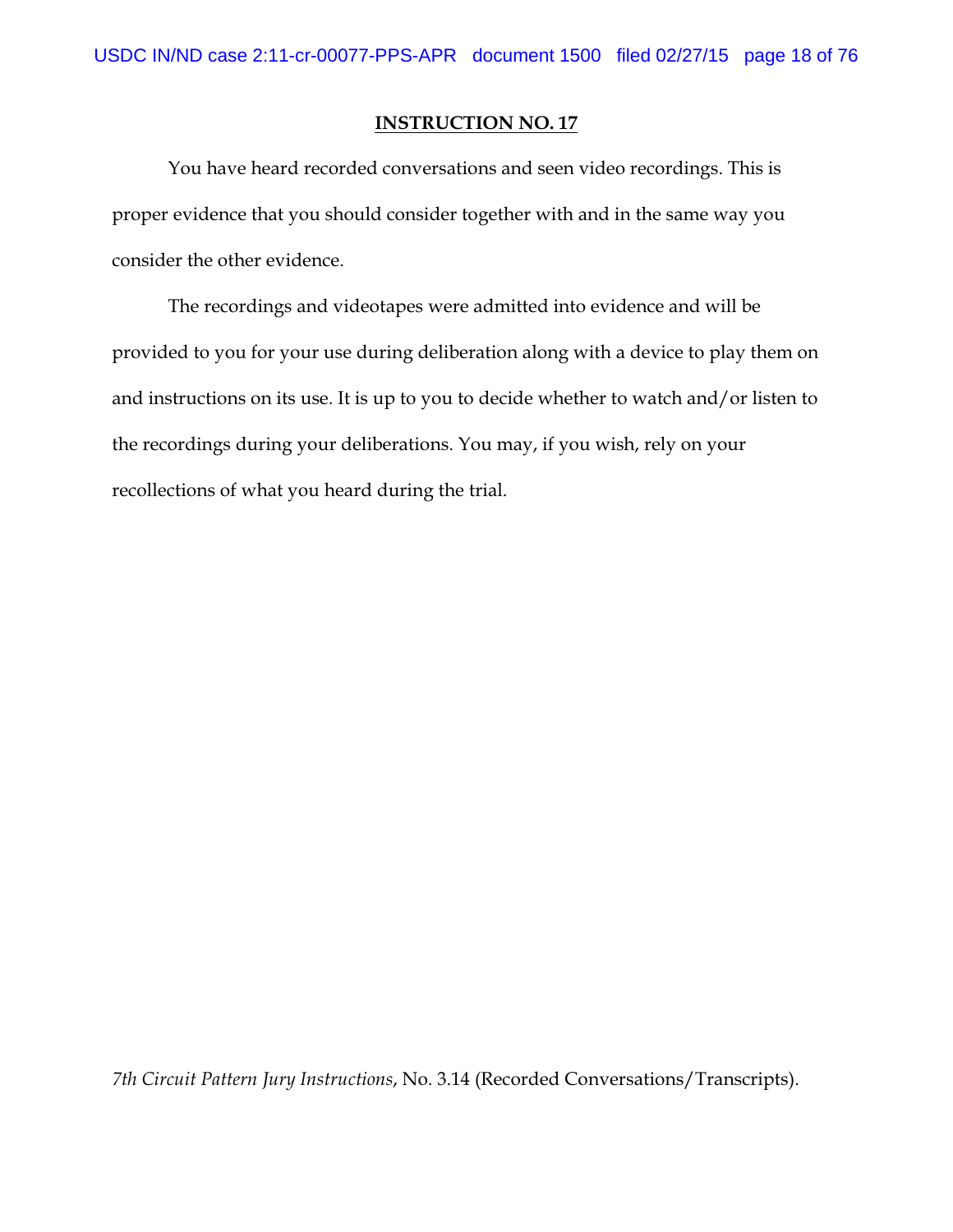You have heard recorded conversations and seen video recordings. This is proper evidence that you should consider together with and in the same way you consider the other evidence.

The recordings and videotapes were admitted into evidence and will be provided to you for your use during deliberation along with a device to play them on and instructions on its use. It is up to you to decide whether to watch and/or listen to the recordings during your deliberations. You may, if you wish, rely on your recollections of what you heard during the trial.

*7th Circuit Pattern Jury Instructions*, No. 3.14 (Recorded Conversations/Transcripts).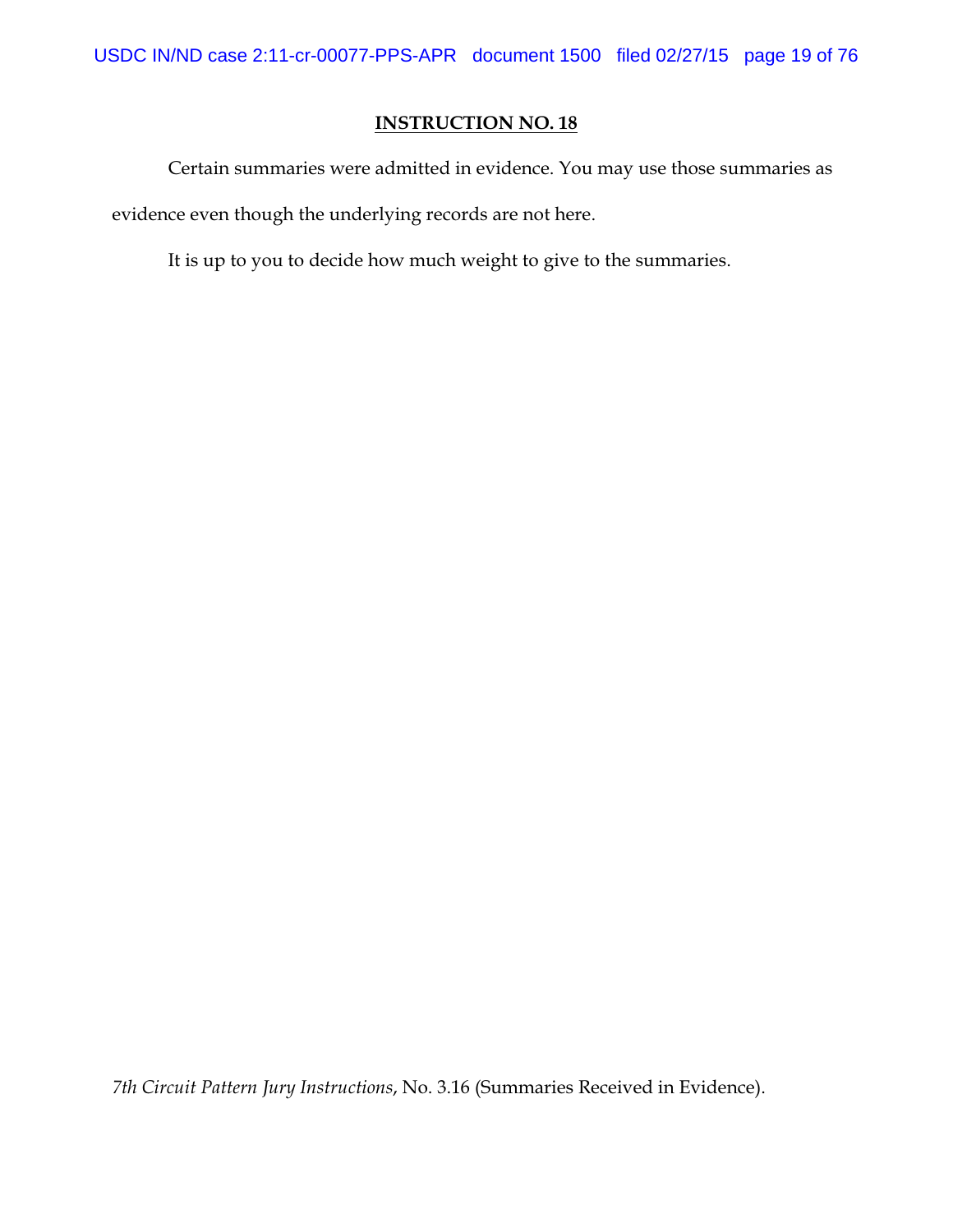Certain summaries were admitted in evidence. You may use those summaries as evidence even though the underlying records are not here.

It is up to you to decide how much weight to give to the summaries.

*7th Circuit Pattern Jury Instructions*, No. 3.16 (Summaries Received in Evidence).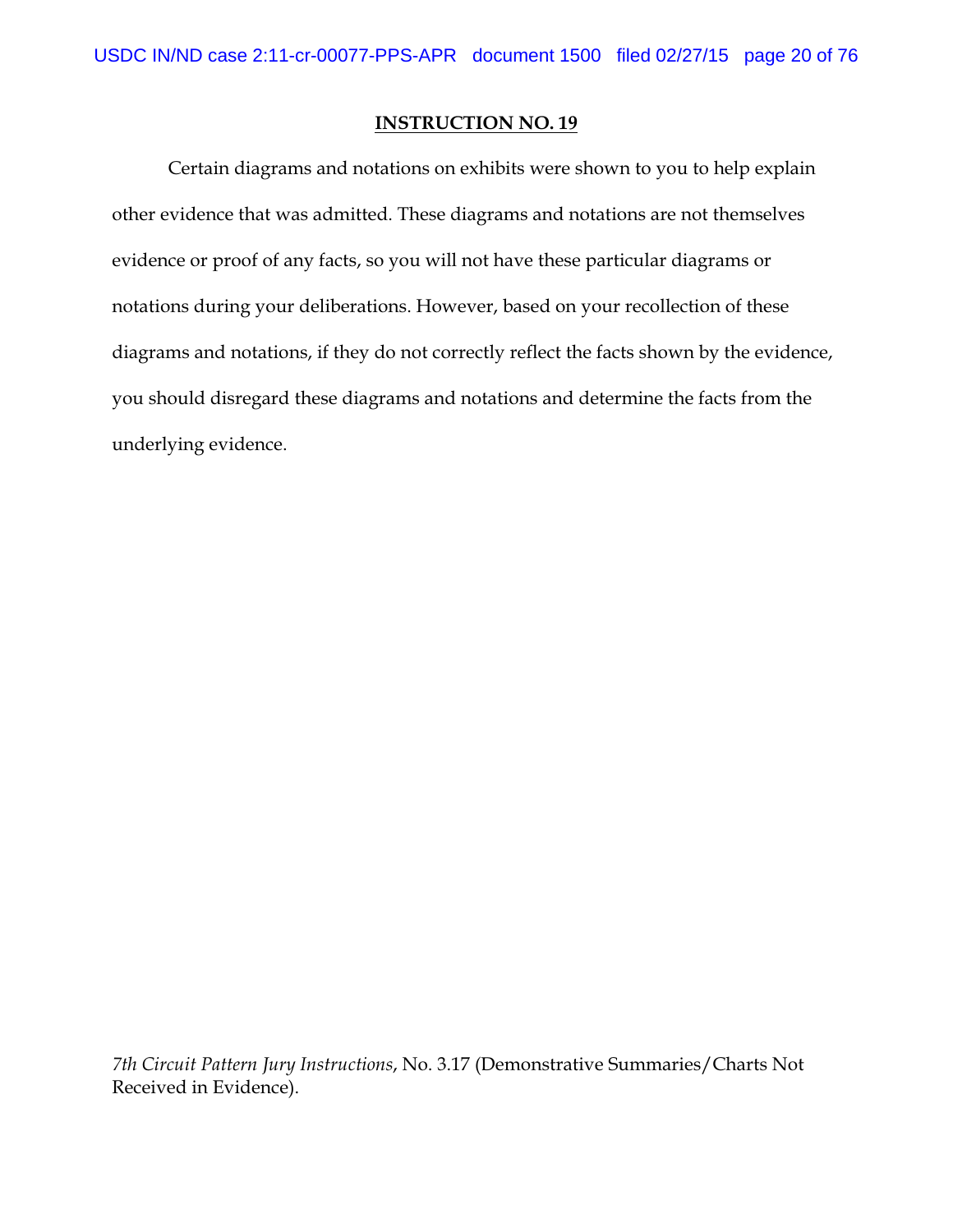Certain diagrams and notations on exhibits were shown to you to help explain other evidence that was admitted. These diagrams and notations are not themselves evidence or proof of any facts, so you will not have these particular diagrams or notations during your deliberations. However, based on your recollection of these diagrams and notations, if they do not correctly reflect the facts shown by the evidence, you should disregard these diagrams and notations and determine the facts from the underlying evidence.

*7th Circuit Pattern Jury Instructions*, No. 3.17 (Demonstrative Summaries/Charts Not Received in Evidence).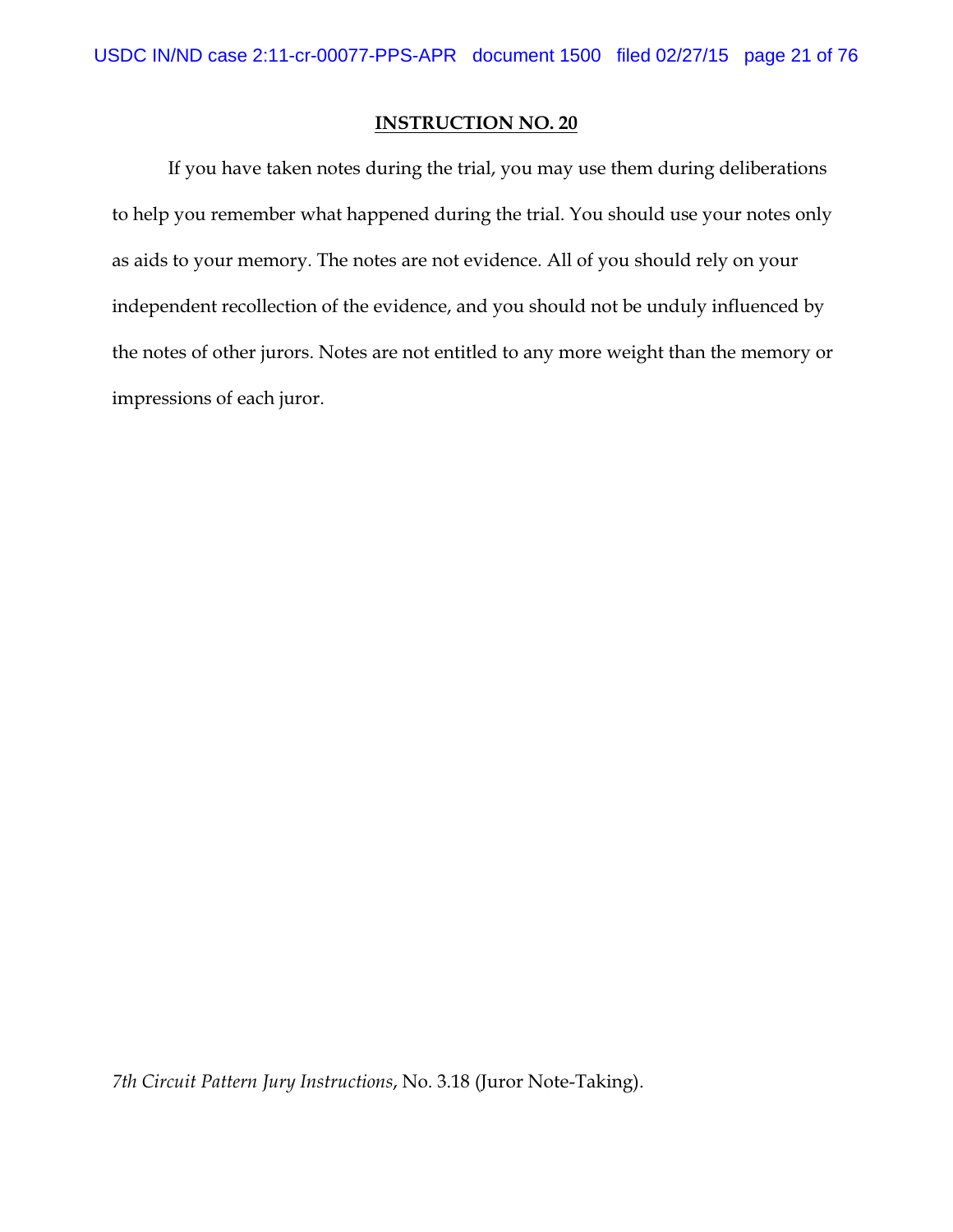If you have taken notes during the trial, you may use them during deliberations to help you remember what happened during the trial. You should use your notes only as aids to your memory. The notes are not evidence. All of you should rely on your independent recollection of the evidence, and you should not be unduly influenced by the notes of other jurors. Notes are not entitled to any more weight than the memory or impressions of each juror.

*7th Circuit Pattern Jury Instructions*, No. 3.18 (Juror Note-Taking).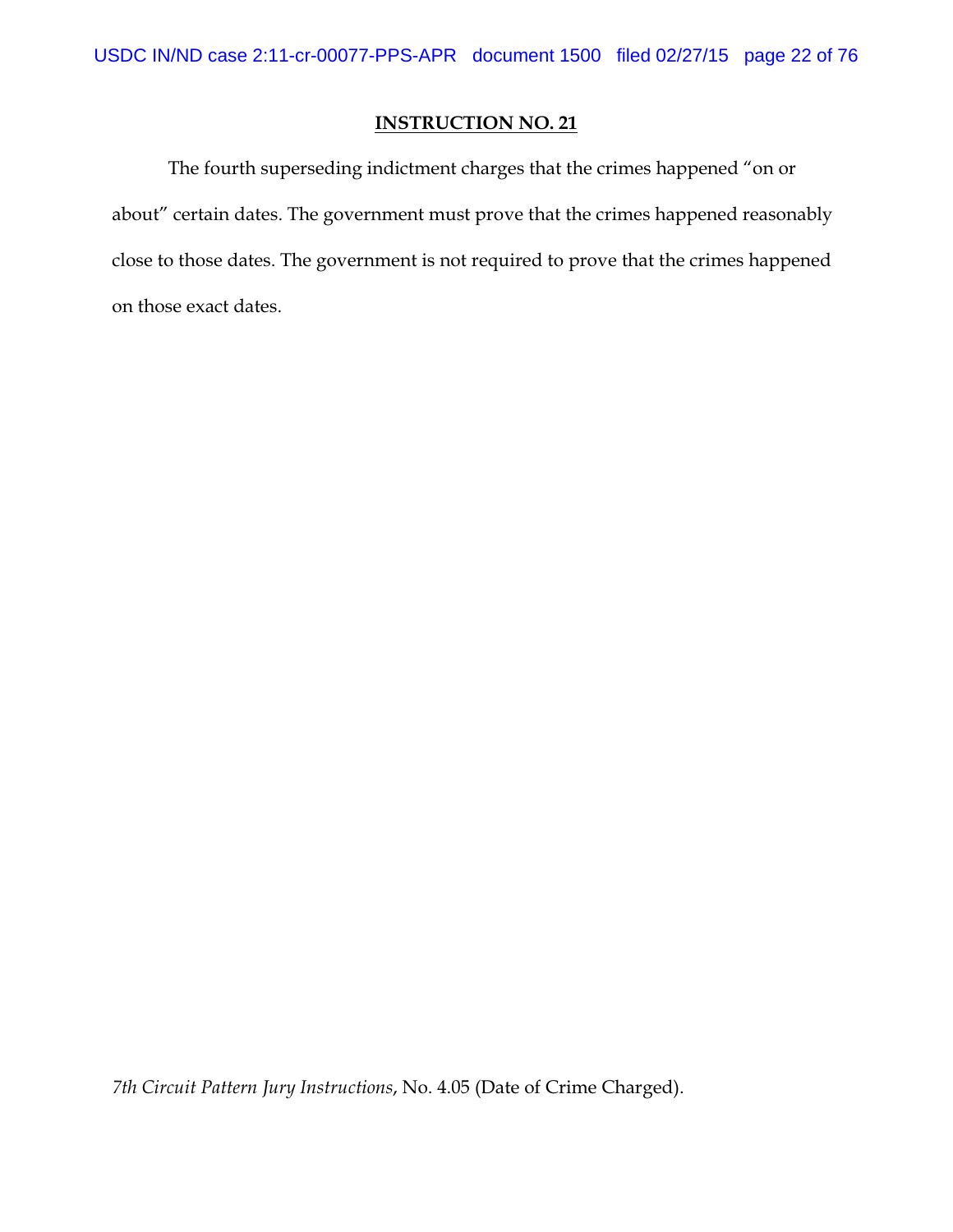The fourth superseding indictment charges that the crimes happened "on or about" certain dates. The government must prove that the crimes happened reasonably close to those dates. The government is not required to prove that the crimes happened on those exact dates.

*7th Circuit Pattern Jury Instructions*, No. 4.05 (Date of Crime Charged).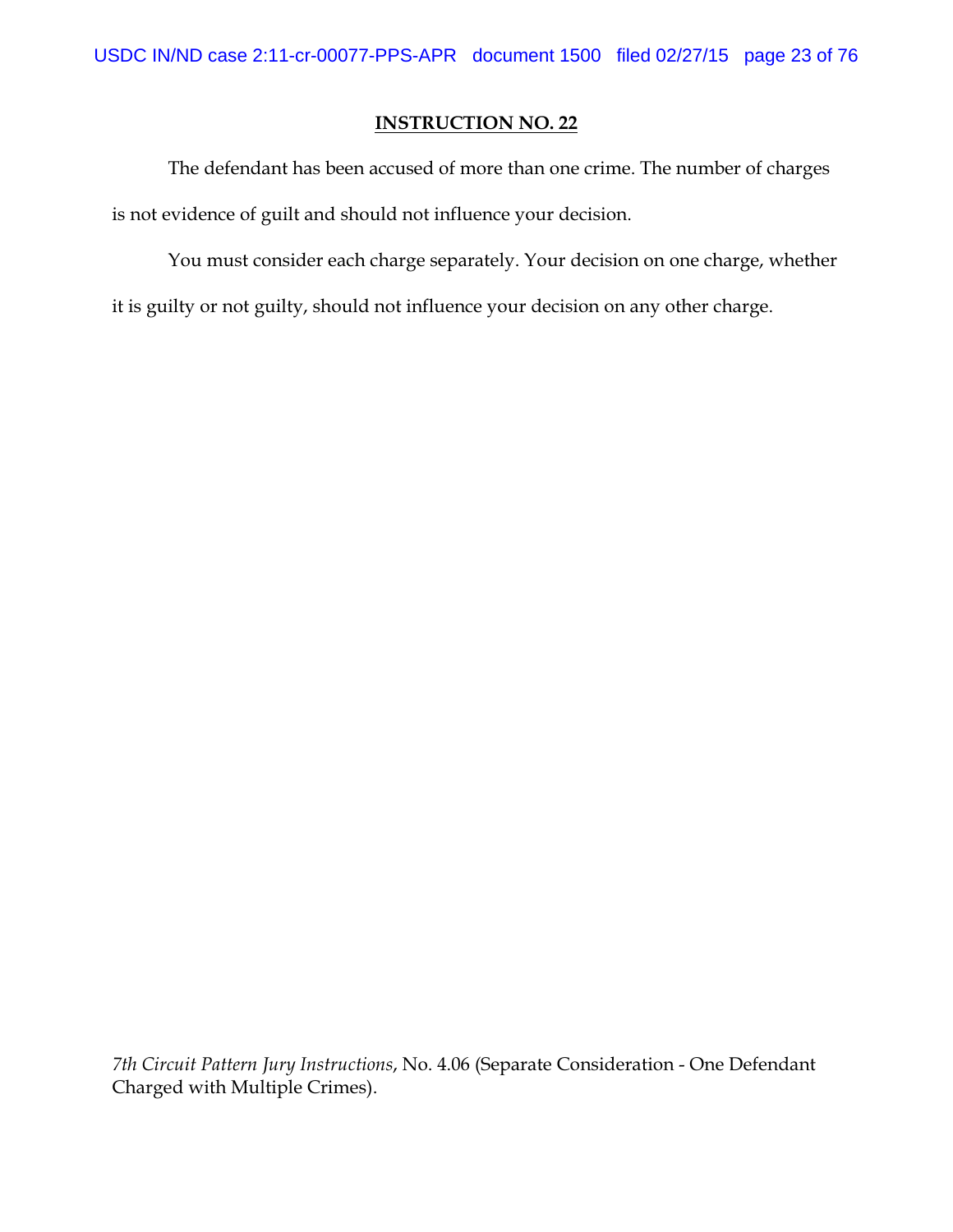The defendant has been accused of more than one crime. The number of charges is not evidence of guilt and should not influence your decision.

You must consider each charge separately. Your decision on one charge, whether it is guilty or not guilty, should not influence your decision on any other charge.

*7th Circuit Pattern Jury Instructions*, No. 4.06 (Separate Consideration - One Defendant Charged with Multiple Crimes).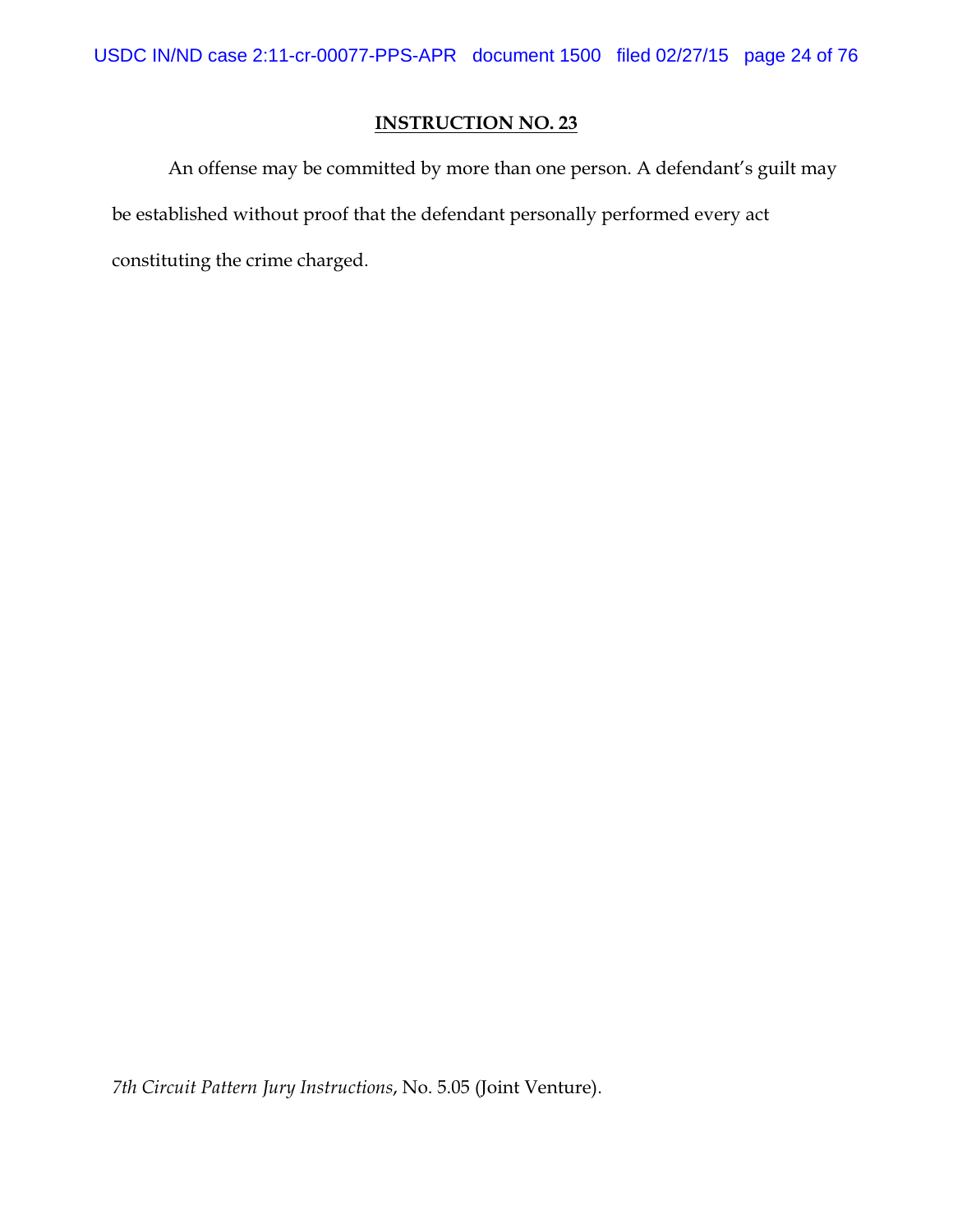An offense may be committed by more than one person. A defendant's guilt may be established without proof that the defendant personally performed every act constituting the crime charged.

*7th Circuit Pattern Jury Instructions*, No. 5.05 (Joint Venture).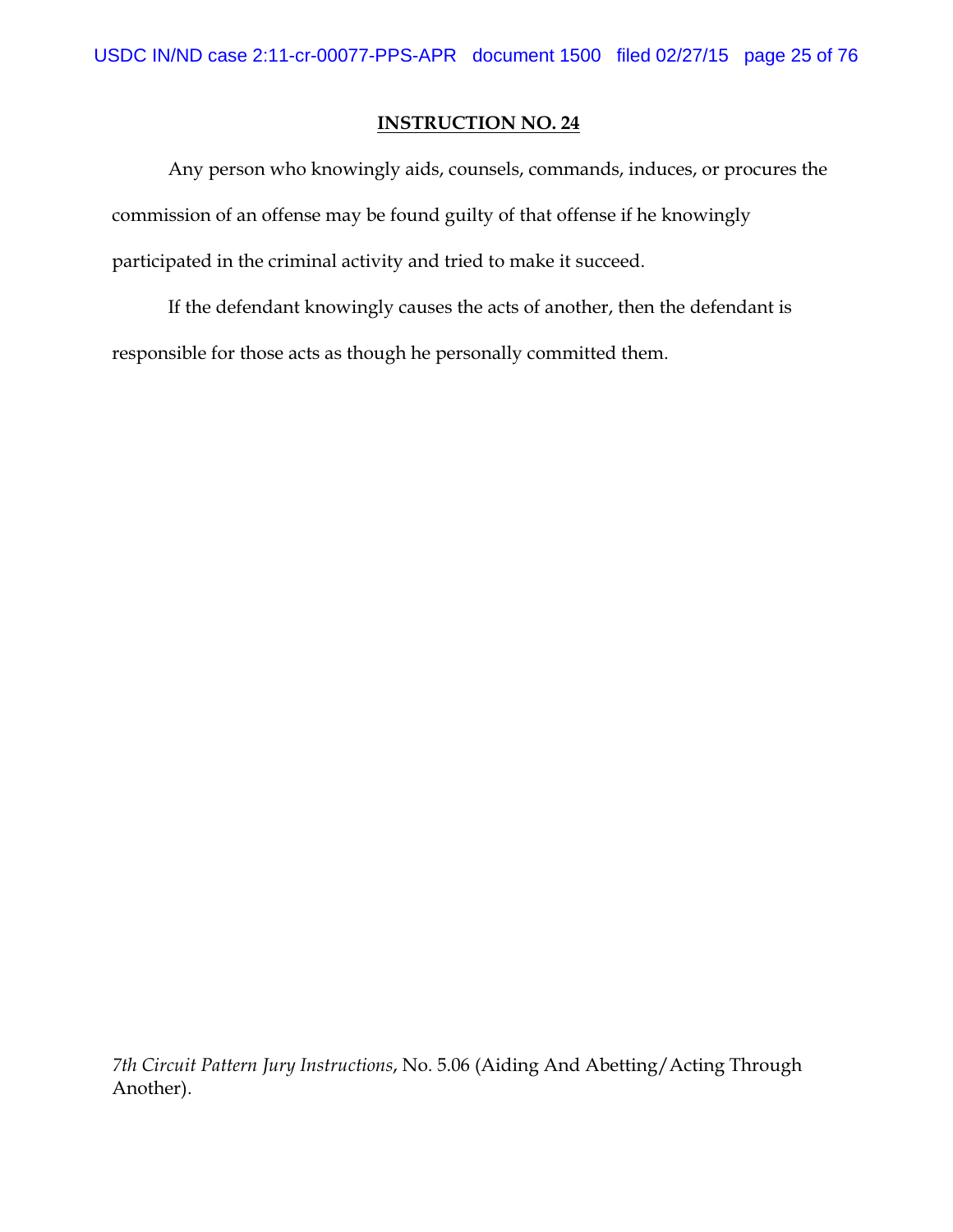Any person who knowingly aids, counsels, commands, induces, or procures the commission of an offense may be found guilty of that offense if he knowingly participated in the criminal activity and tried to make it succeed.

If the defendant knowingly causes the acts of another, then the defendant is responsible for those acts as though he personally committed them.

*7th Circuit Pattern Jury Instructions*, No. 5.06 (Aiding And Abetting/Acting Through Another).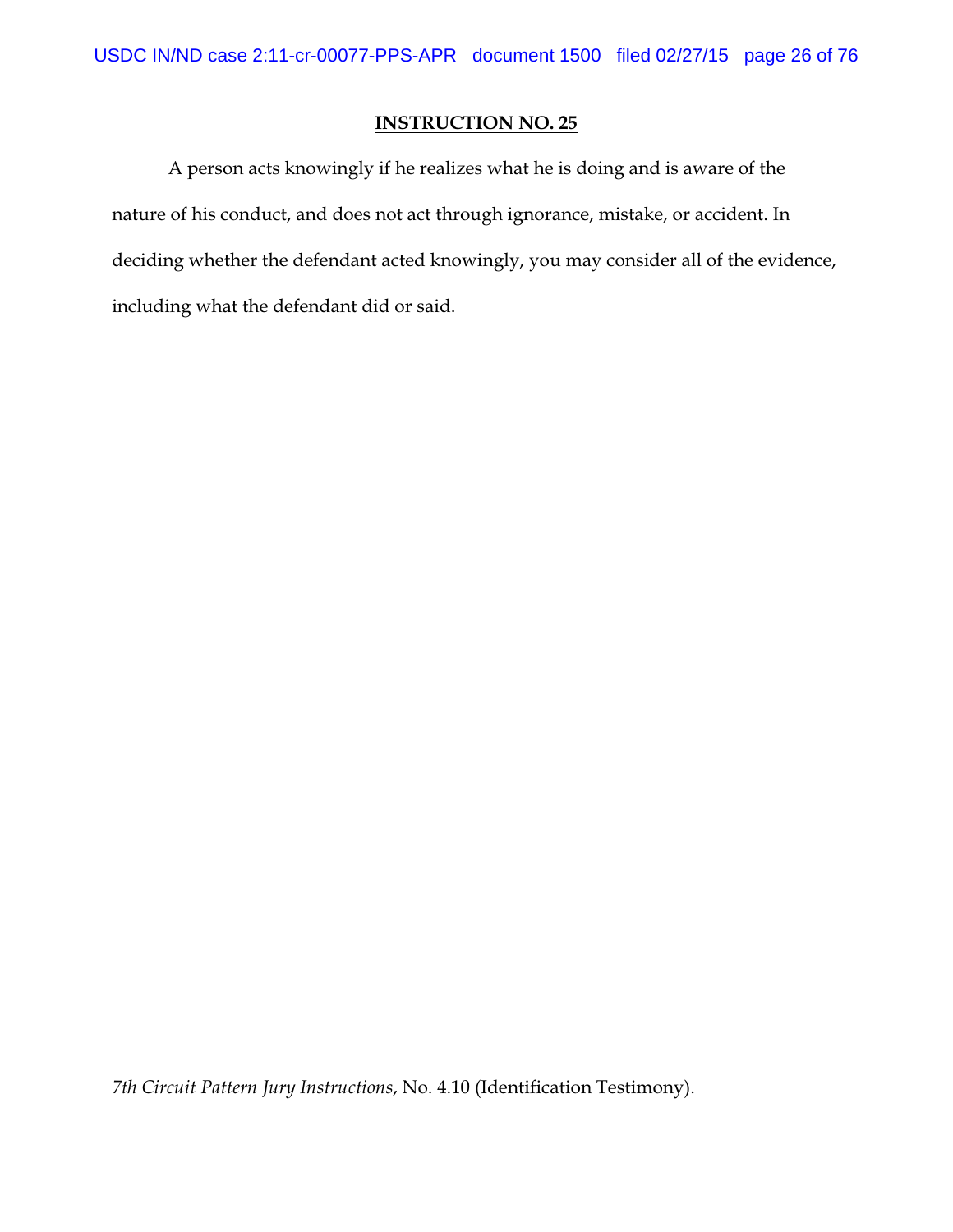A person acts knowingly if he realizes what he is doing and is aware of the nature of his conduct, and does not act through ignorance, mistake, or accident. In deciding whether the defendant acted knowingly, you may consider all of the evidence, including what the defendant did or said.

*7th Circuit Pattern Jury Instructions*, No. 4.10 (Identification Testimony).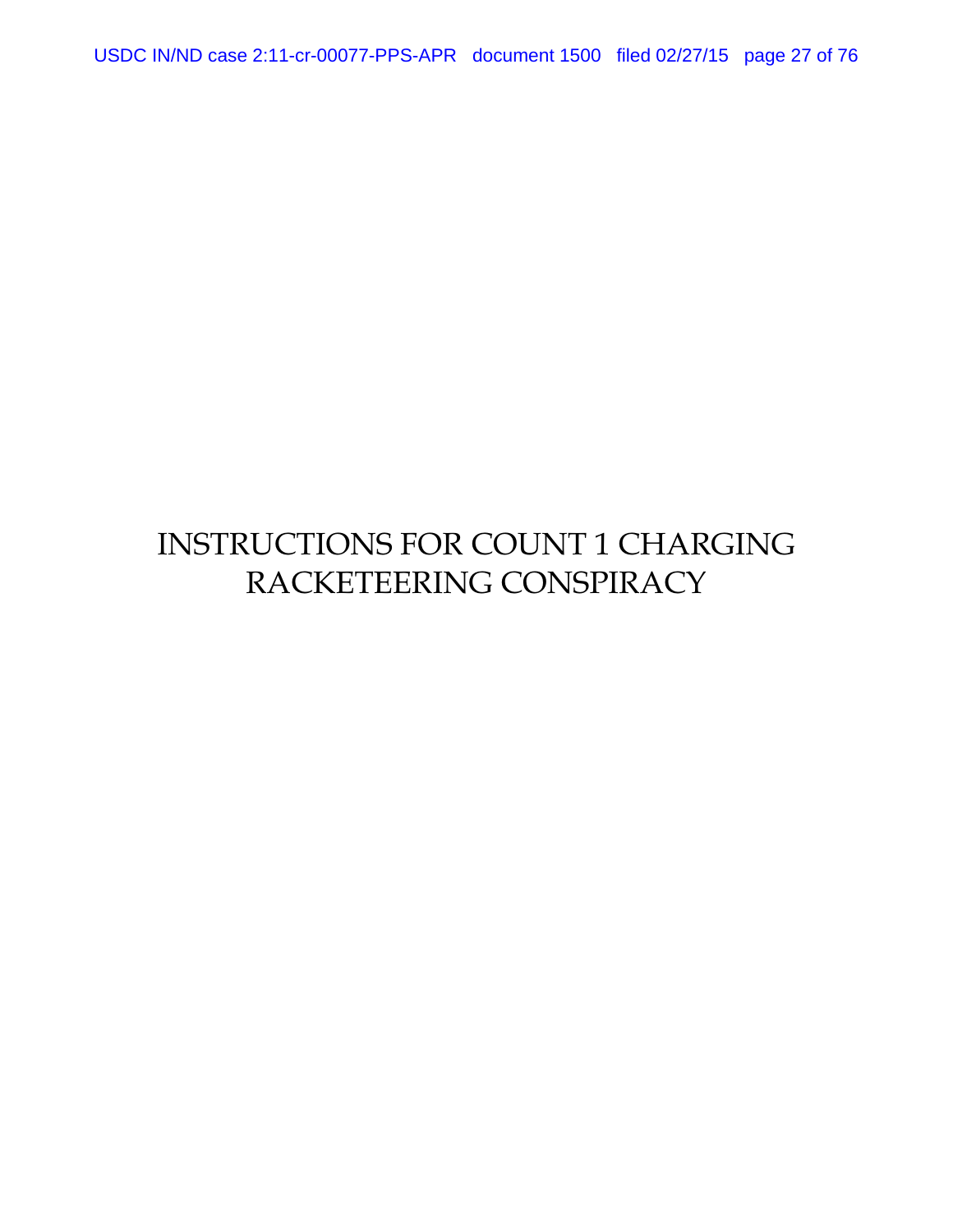USDC IN/ND case 2:11-cr-00077-PPS-APR document 1500 filed 02/27/15 page 27 of 76

# INSTRUCTIONS FOR COUNT 1 CHARGING RACKETEERING CONSPIRACY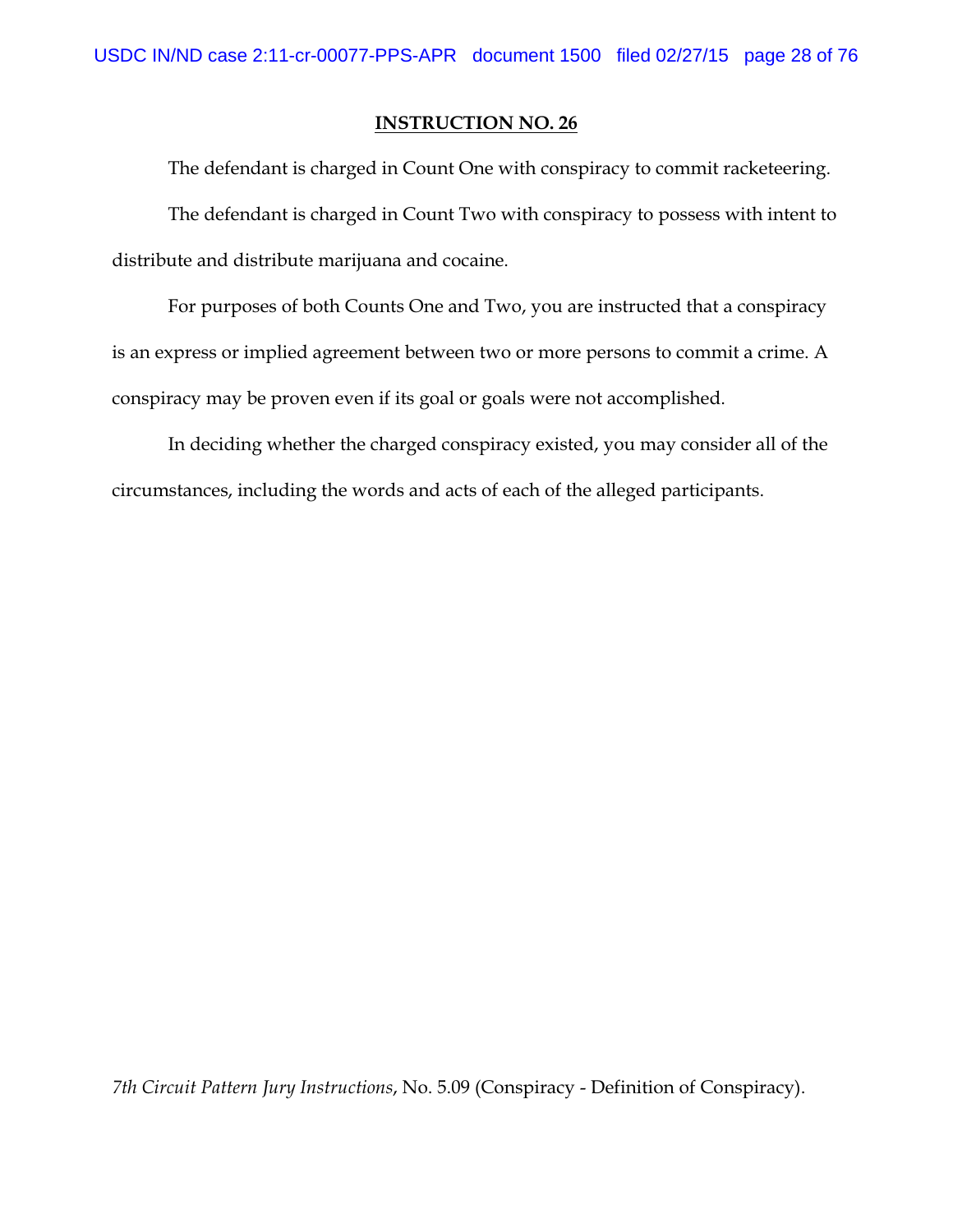The defendant is charged in Count One with conspiracy to commit racketeering. The defendant is charged in Count Two with conspiracy to possess with intent to distribute and distribute marijuana and cocaine.

For purposes of both Counts One and Two, you are instructed that a conspiracy is an express or implied agreement between two or more persons to commit a crime. A conspiracy may be proven even if its goal or goals were not accomplished.

In deciding whether the charged conspiracy existed, you may consider all of the circumstances, including the words and acts of each of the alleged participants.

*7th Circuit Pattern Jury Instructions*, No. 5.09 (Conspiracy - Definition of Conspiracy).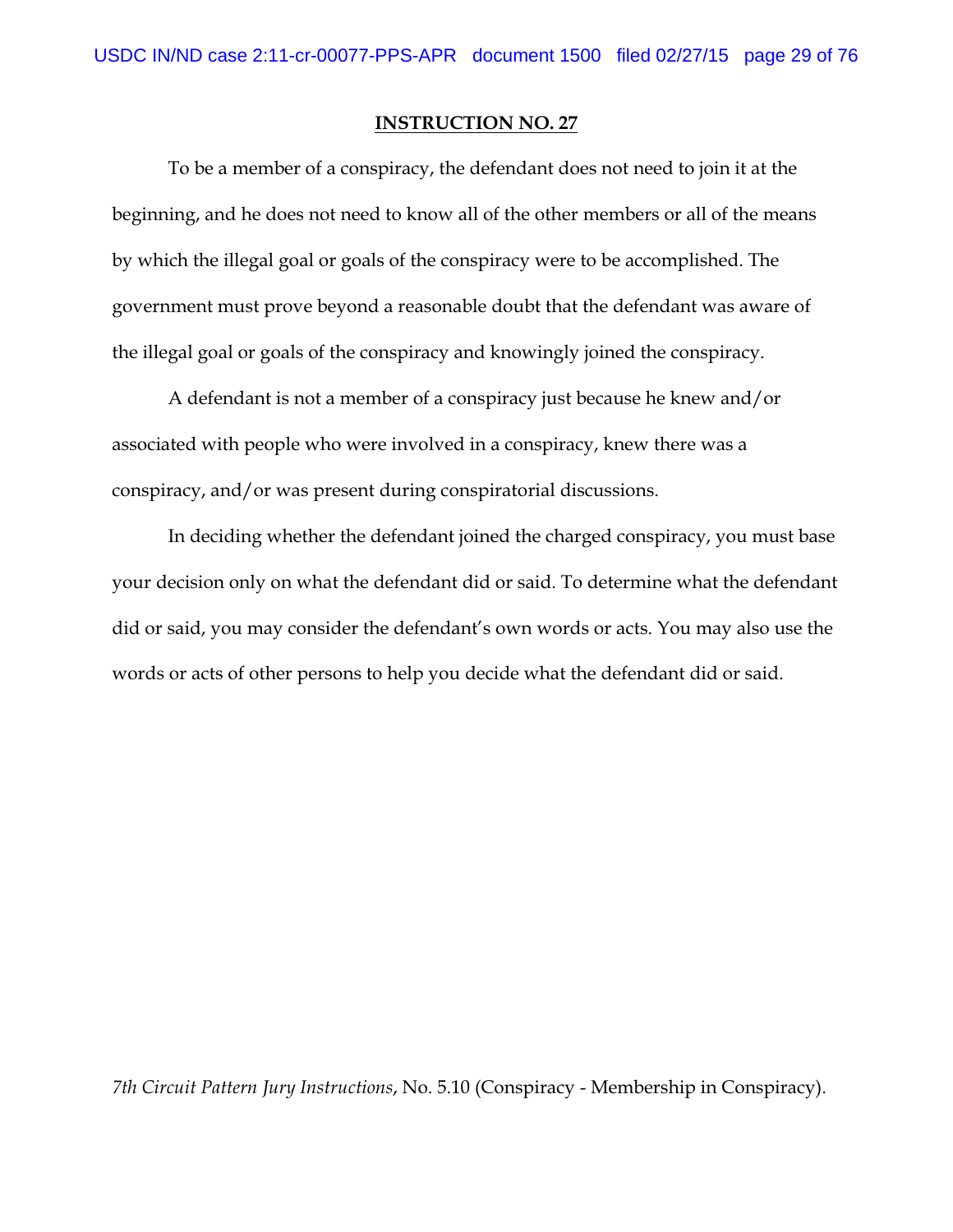To be a member of a conspiracy, the defendant does not need to join it at the beginning, and he does not need to know all of the other members or all of the means by which the illegal goal or goals of the conspiracy were to be accomplished. The government must prove beyond a reasonable doubt that the defendant was aware of the illegal goal or goals of the conspiracy and knowingly joined the conspiracy.

A defendant is not a member of a conspiracy just because he knew and/or associated with people who were involved in a conspiracy, knew there was a conspiracy, and/or was present during conspiratorial discussions.

In deciding whether the defendant joined the charged conspiracy, you must base your decision only on what the defendant did or said. To determine what the defendant did or said, you may consider the defendant's own words or acts. You may also use the words or acts of other persons to help you decide what the defendant did or said.

*7th Circuit Pattern Jury Instructions*, No. 5.10 (Conspiracy - Membership in Conspiracy).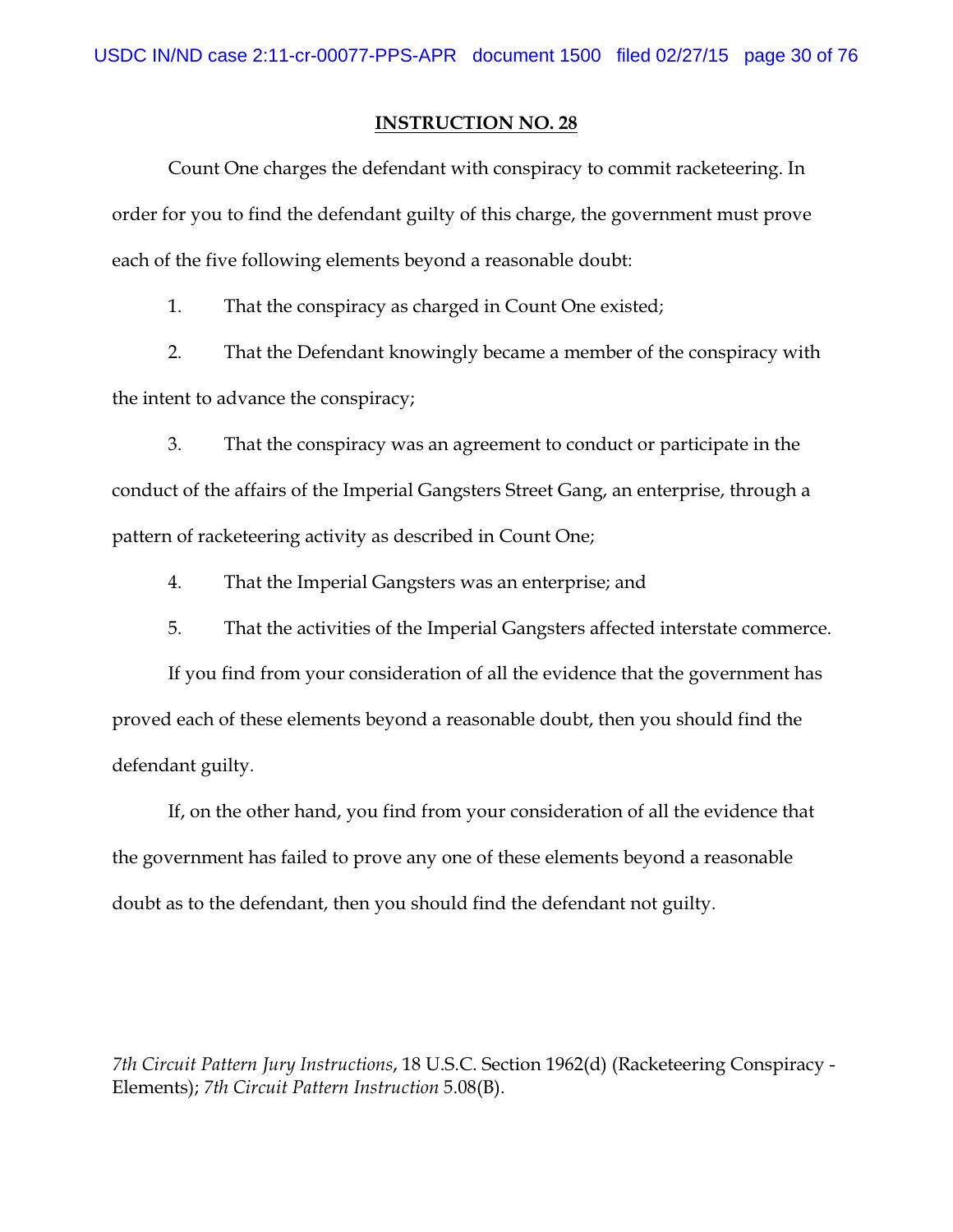Count One charges the defendant with conspiracy to commit racketeering. In order for you to find the defendant guilty of this charge, the government must prove each of the five following elements beyond a reasonable doubt:

1. That the conspiracy as charged in Count One existed;

2. That the Defendant knowingly became a member of the conspiracy with the intent to advance the conspiracy;

3. That the conspiracy was an agreement to conduct or participate in the conduct of the affairs of the Imperial Gangsters Street Gang, an enterprise, through a pattern of racketeering activity as described in Count One;

4. That the Imperial Gangsters was an enterprise; and

5. That the activities of the Imperial Gangsters affected interstate commerce.

If you find from your consideration of all the evidence that the government has proved each of these elements beyond a reasonable doubt, then you should find the defendant guilty.

If, on the other hand, you find from your consideration of all the evidence that the government has failed to prove any one of these elements beyond a reasonable doubt as to the defendant, then you should find the defendant not guilty.

*7th Circuit Pattern Jury Instructions*, 18 U.S.C. Section 1962(d) (Racketeering Conspiracy - Elements); *7th Circuit Pattern Instruction* 5.08(B).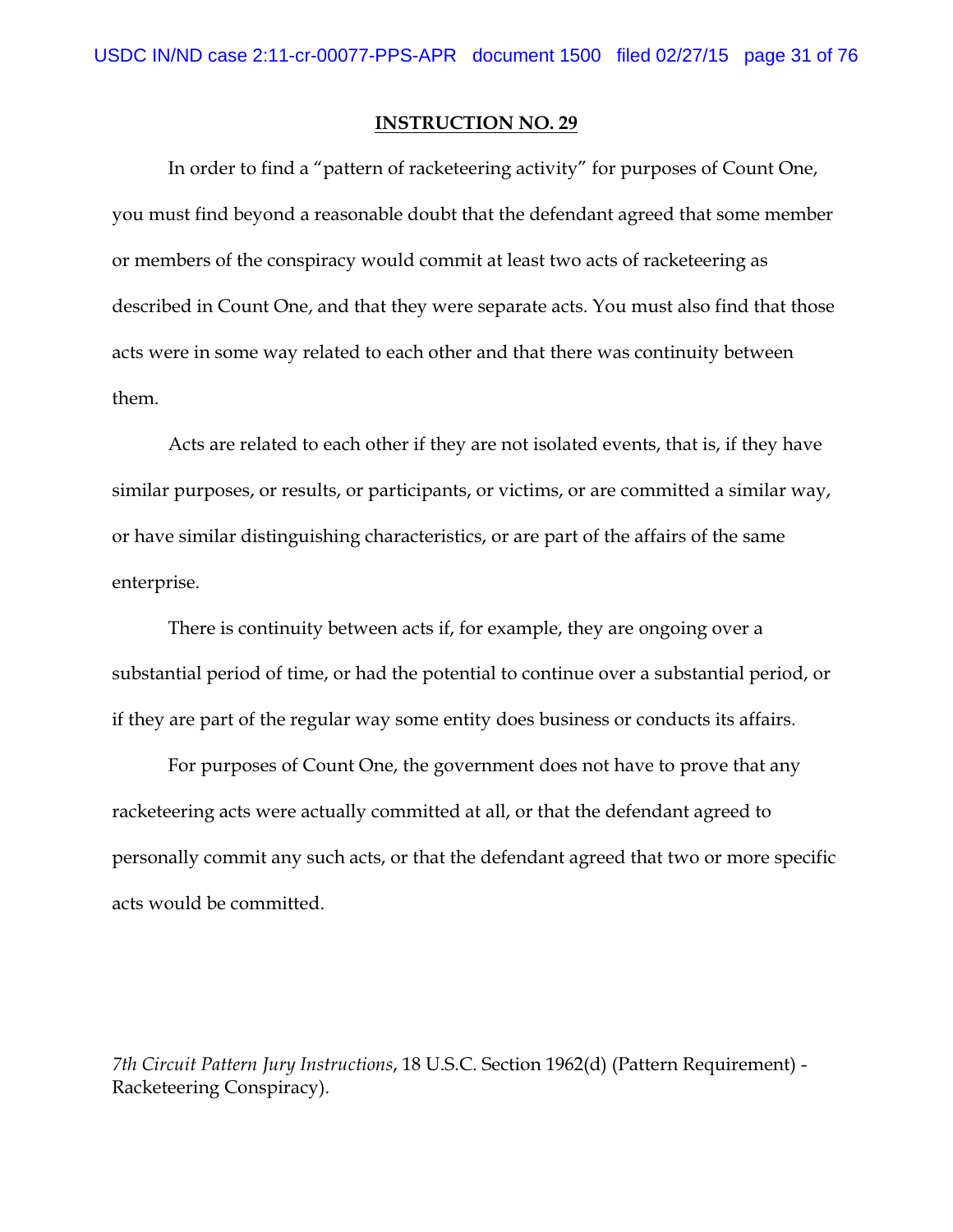In order to find a "pattern of racketeering activity" for purposes of Count One, you must find beyond a reasonable doubt that the defendant agreed that some member or members of the conspiracy would commit at least two acts of racketeering as described in Count One, and that they were separate acts. You must also find that those acts were in some way related to each other and that there was continuity between them.

Acts are related to each other if they are not isolated events, that is, if they have similar purposes, or results, or participants, or victims, or are committed a similar way, or have similar distinguishing characteristics, or are part of the affairs of the same enterprise.

There is continuity between acts if, for example, they are ongoing over a substantial period of time, or had the potential to continue over a substantial period, or if they are part of the regular way some entity does business or conducts its affairs.

For purposes of Count One, the government does not have to prove that any racketeering acts were actually committed at all, or that the defendant agreed to personally commit any such acts, or that the defendant agreed that two or more specific acts would be committed.

*7th Circuit Pattern Jury Instructions*, 18 U.S.C. Section 1962(d) (Pattern Requirement) - Racketeering Conspiracy).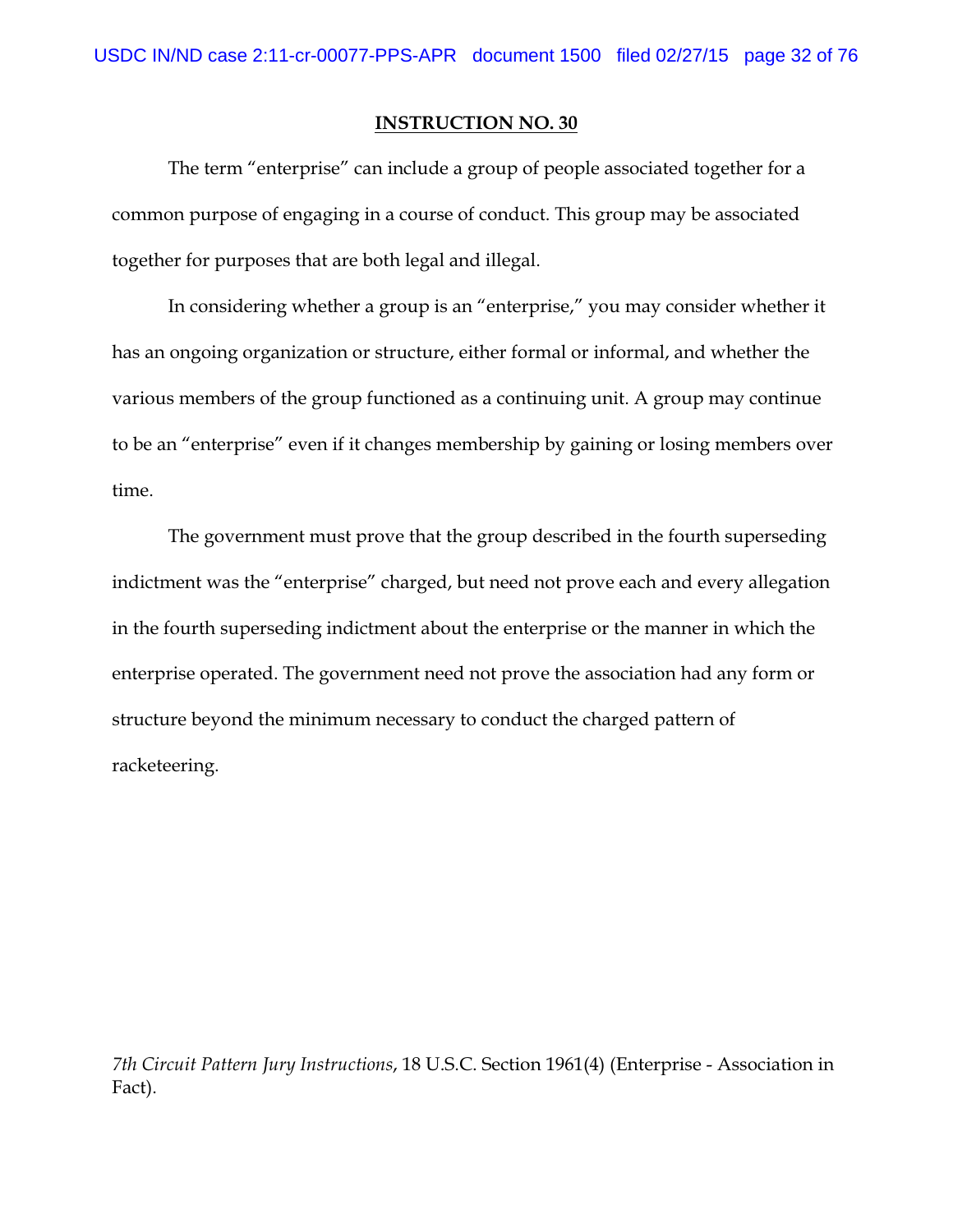The term "enterprise" can include a group of people associated together for a common purpose of engaging in a course of conduct. This group may be associated together for purposes that are both legal and illegal.

In considering whether a group is an "enterprise," you may consider whether it has an ongoing organization or structure, either formal or informal, and whether the various members of the group functioned as a continuing unit. A group may continue to be an "enterprise" even if it changes membership by gaining or losing members over time.

The government must prove that the group described in the fourth superseding indictment was the "enterprise" charged, but need not prove each and every allegation in the fourth superseding indictment about the enterprise or the manner in which the enterprise operated. The government need not prove the association had any form or structure beyond the minimum necessary to conduct the charged pattern of racketeering.

*7th Circuit Pattern Jury Instructions*, 18 U.S.C. Section 1961(4) (Enterprise - Association in Fact).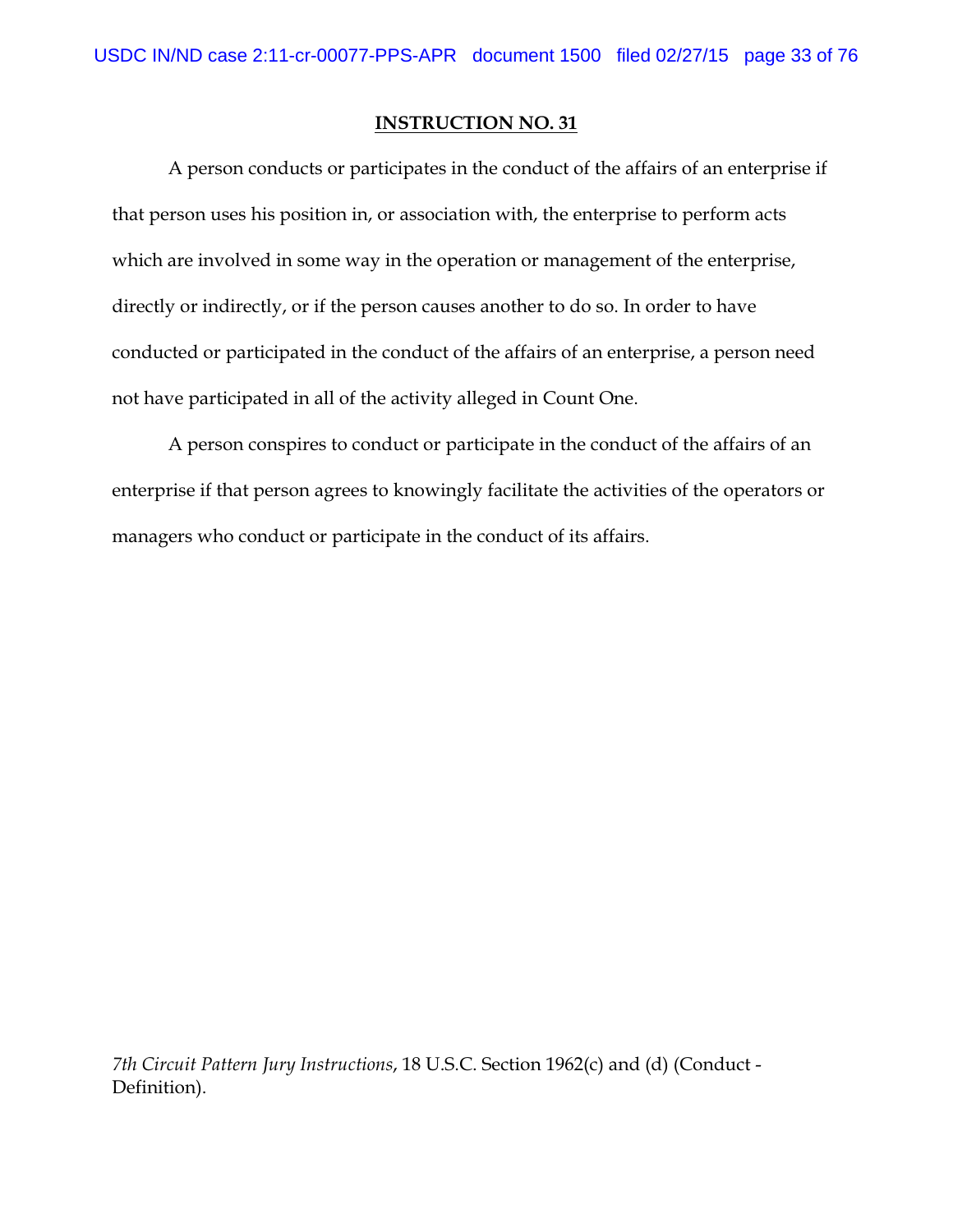A person conducts or participates in the conduct of the affairs of an enterprise if that person uses his position in, or association with, the enterprise to perform acts which are involved in some way in the operation or management of the enterprise, directly or indirectly, or if the person causes another to do so. In order to have conducted or participated in the conduct of the affairs of an enterprise, a person need not have participated in all of the activity alleged in Count One.

A person conspires to conduct or participate in the conduct of the affairs of an enterprise if that person agrees to knowingly facilitate the activities of the operators or managers who conduct or participate in the conduct of its affairs.

*7th Circuit Pattern Jury Instructions*, 18 U.S.C. Section 1962(c) and (d) (Conduct - Definition).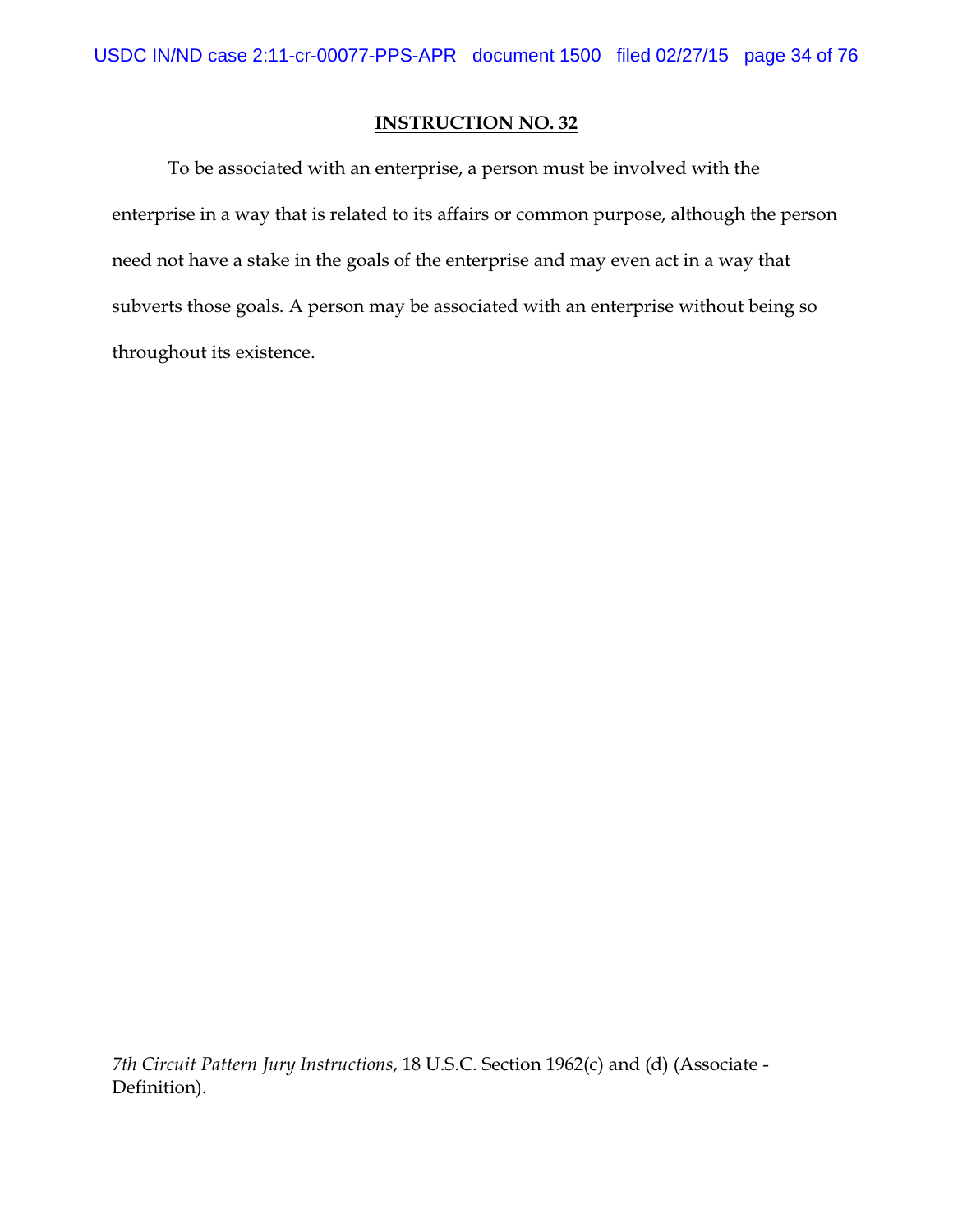To be associated with an enterprise, a person must be involved with the enterprise in a way that is related to its affairs or common purpose, although the person need not have a stake in the goals of the enterprise and may even act in a way that subverts those goals. A person may be associated with an enterprise without being so throughout its existence.

*7th Circuit Pattern Jury Instructions*, 18 U.S.C. Section 1962(c) and (d) (Associate - Definition).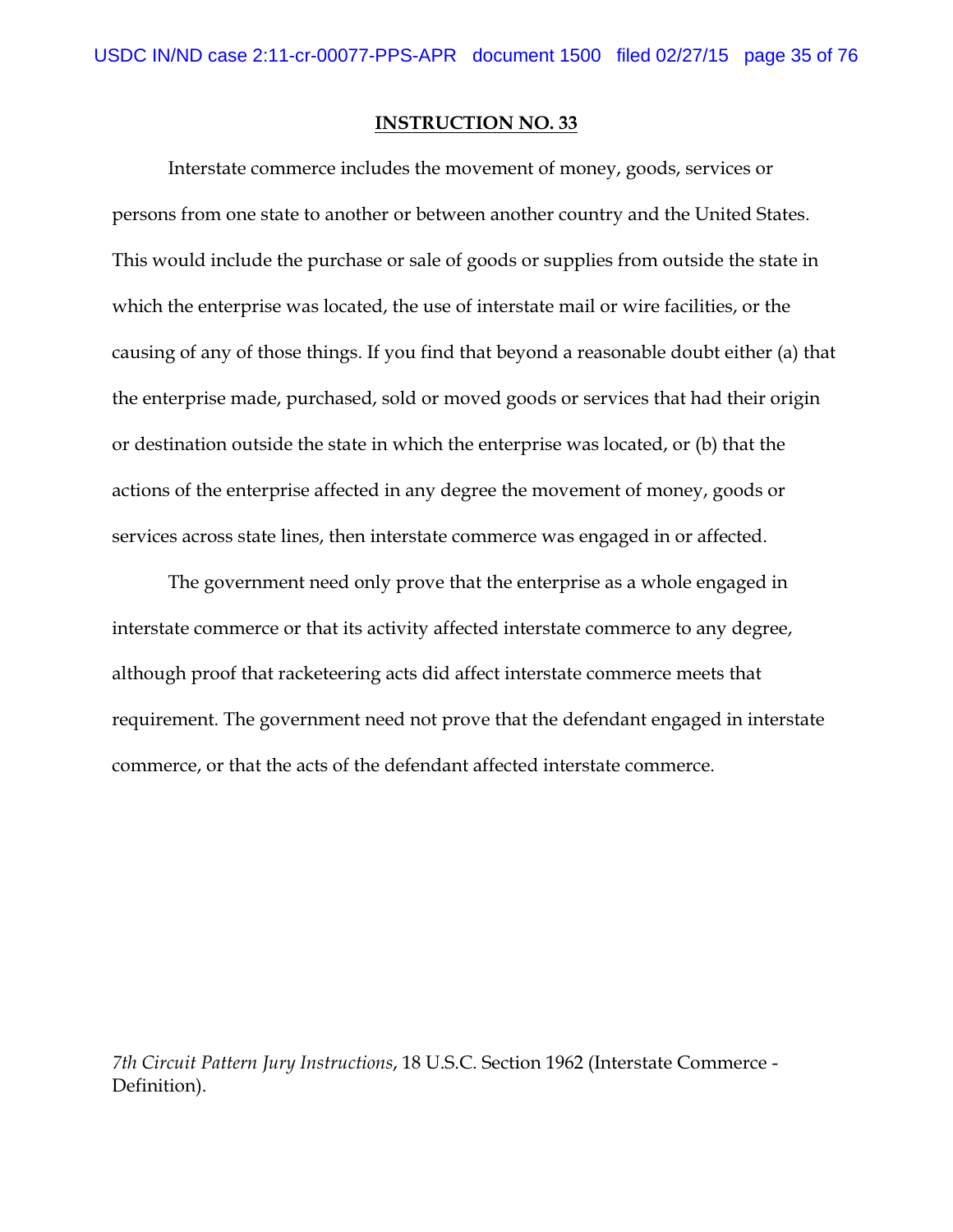Interstate commerce includes the movement of money, goods, services or persons from one state to another or between another country and the United States. This would include the purchase or sale of goods or supplies from outside the state in which the enterprise was located, the use of interstate mail or wire facilities, or the causing of any of those things. If you find that beyond a reasonable doubt either (a) that the enterprise made, purchased, sold or moved goods or services that had their origin or destination outside the state in which the enterprise was located, or (b) that the actions of the enterprise affected in any degree the movement of money, goods or services across state lines, then interstate commerce was engaged in or affected.

The government need only prove that the enterprise as a whole engaged in interstate commerce or that its activity affected interstate commerce to any degree, although proof that racketeering acts did affect interstate commerce meets that requirement. The government need not prove that the defendant engaged in interstate commerce, or that the acts of the defendant affected interstate commerce.

*7th Circuit Pattern Jury Instructions*, 18 U.S.C. Section 1962 (Interstate Commerce - Definition).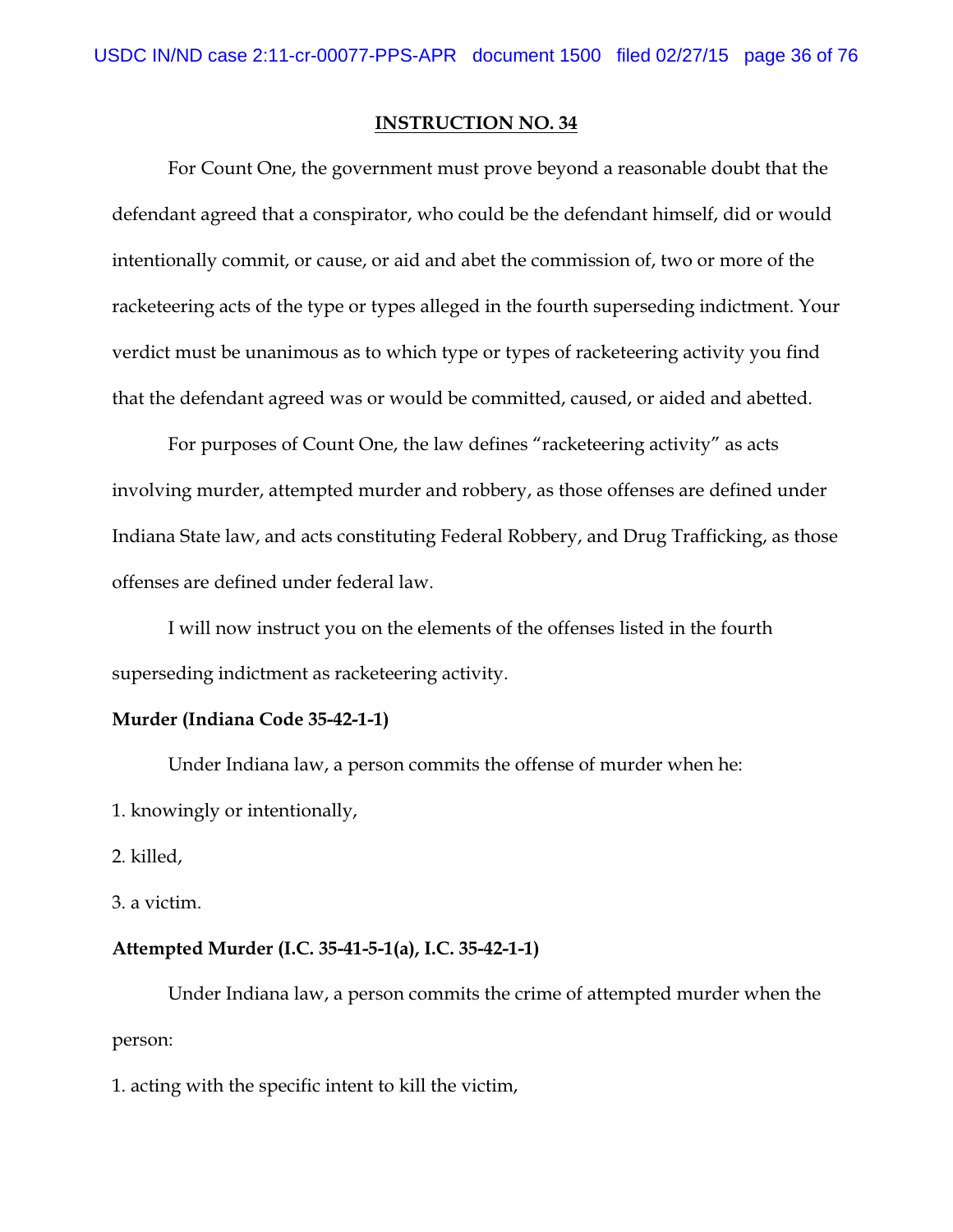For Count One, the government must prove beyond a reasonable doubt that the defendant agreed that a conspirator, who could be the defendant himself, did or would intentionally commit, or cause, or aid and abet the commission of, two or more of the racketeering acts of the type or types alleged in the fourth superseding indictment. Your verdict must be unanimous as to which type or types of racketeering activity you find that the defendant agreed was or would be committed, caused, or aided and abetted.

For purposes of Count One, the law defines "racketeering activity" as acts involving murder, attempted murder and robbery, as those offenses are defined under Indiana State law, and acts constituting Federal Robbery, and Drug Trafficking, as those offenses are defined under federal law.

I will now instruct you on the elements of the offenses listed in the fourth superseding indictment as racketeering activity.

#### **Murder (Indiana Code 35-42-1-1)**

Under Indiana law, a person commits the offense of murder when he:

1. knowingly or intentionally,

2. killed,

3. a victim.

#### **Attempted Murder (I.C. 35-41-5-1(a), I.C. 35-42-1-1)**

Under Indiana law, a person commits the crime of attempted murder when the person:

1. acting with the specific intent to kill the victim,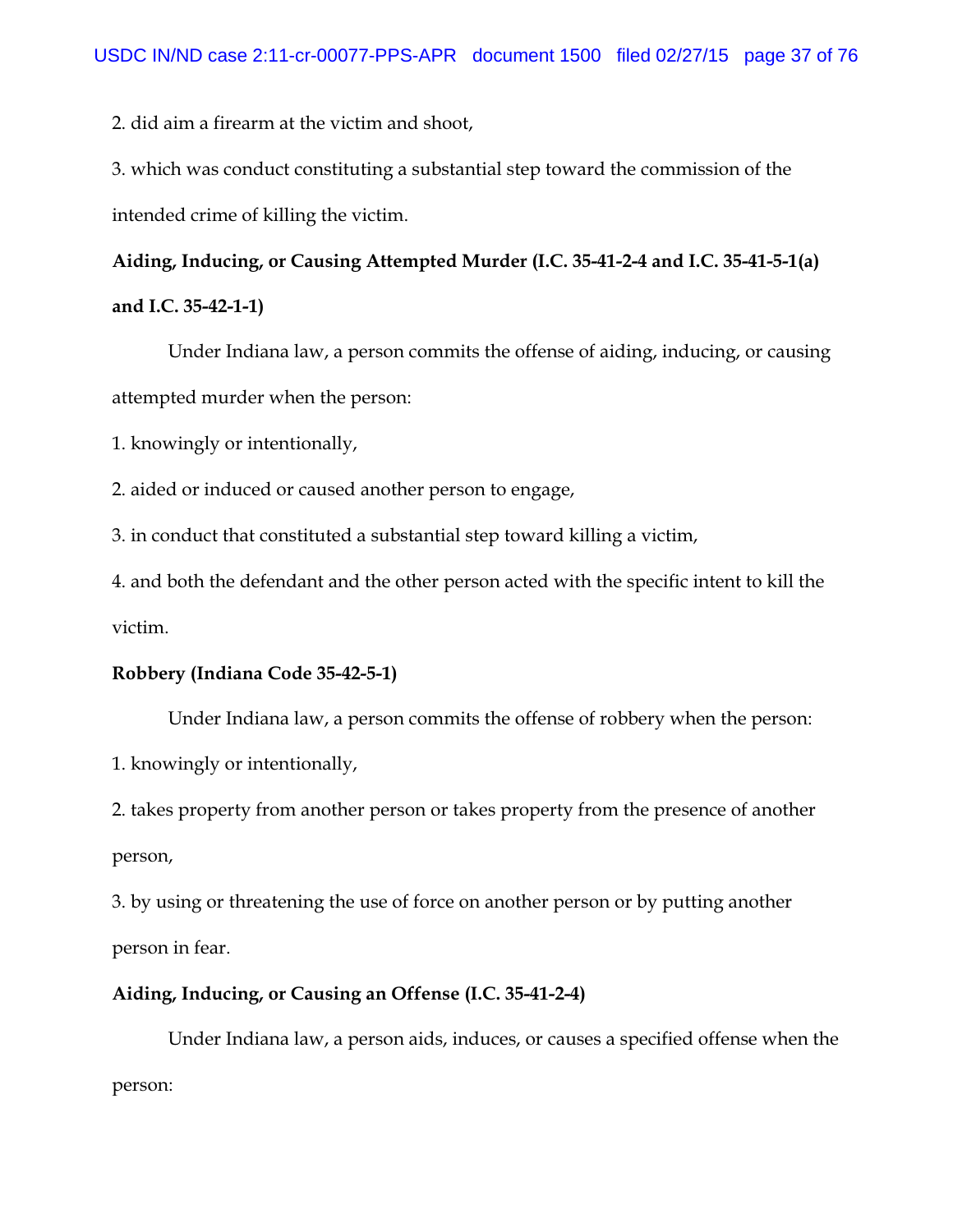2. did aim a firearm at the victim and shoot,

3. which was conduct constituting a substantial step toward the commission of the intended crime of killing the victim.

## **Aiding, Inducing, or Causing Attempted Murder (I.C. 35-41-2-4 and I.C. 35-41-5-1(a)**

## **and I.C. 35-42-1-1)**

Under Indiana law, a person commits the offense of aiding, inducing, or causing attempted murder when the person:

1. knowingly or intentionally,

2. aided or induced or caused another person to engage,

3. in conduct that constituted a substantial step toward killing a victim,

4. and both the defendant and the other person acted with the specific intent to kill the victim.

### **Robbery (Indiana Code 35-42-5-1)**

Under Indiana law, a person commits the offense of robbery when the person:

1. knowingly or intentionally,

2. takes property from another person or takes property from the presence of another person,

3. by using or threatening the use of force on another person or by putting another person in fear.

### **Aiding, Inducing, or Causing an Offense (I.C. 35-41-2-4)**

Under Indiana law, a person aids, induces, or causes a specified offense when the person: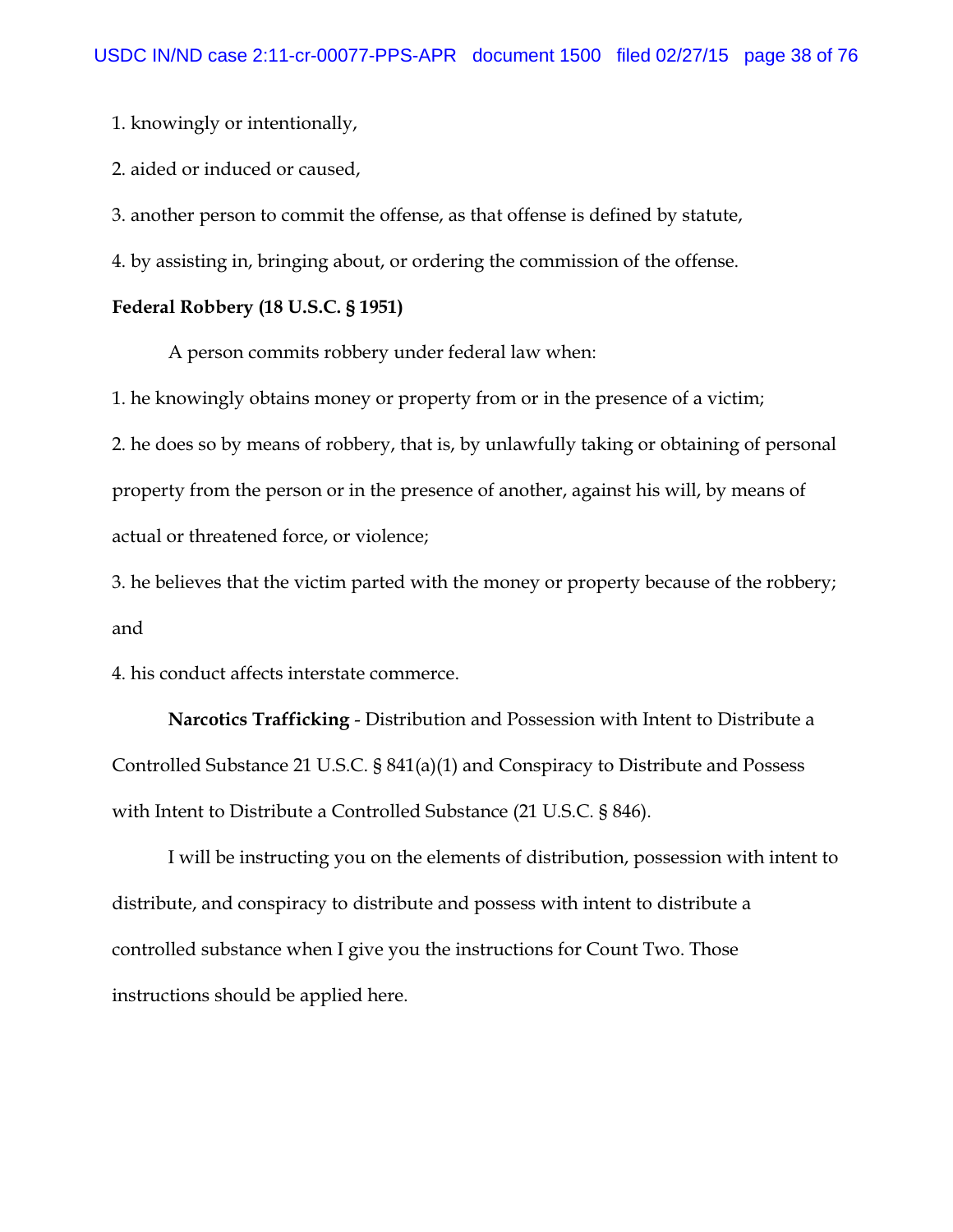1. knowingly or intentionally,

2. aided or induced or caused,

3. another person to commit the offense, as that offense is defined by statute,

4. by assisting in, bringing about, or ordering the commission of the offense.

## **Federal Robbery (18 U.S.C. § 1951)**

A person commits robbery under federal law when:

1. he knowingly obtains money or property from or in the presence of a victim; 2. he does so by means of robbery, that is, by unlawfully taking or obtaining of personal property from the person or in the presence of another, against his will, by means of

actual or threatened force, or violence;

3. he believes that the victim parted with the money or property because of the robbery; and

4. his conduct affects interstate commerce.

**Narcotics Trafficking** - Distribution and Possession with Intent to Distribute a Controlled Substance 21 U.S.C. § 841(a)(1) and Conspiracy to Distribute and Possess with Intent to Distribute a Controlled Substance (21 U.S.C. § 846).

I will be instructing you on the elements of distribution, possession with intent to distribute, and conspiracy to distribute and possess with intent to distribute a controlled substance when I give you the instructions for Count Two. Those instructions should be applied here.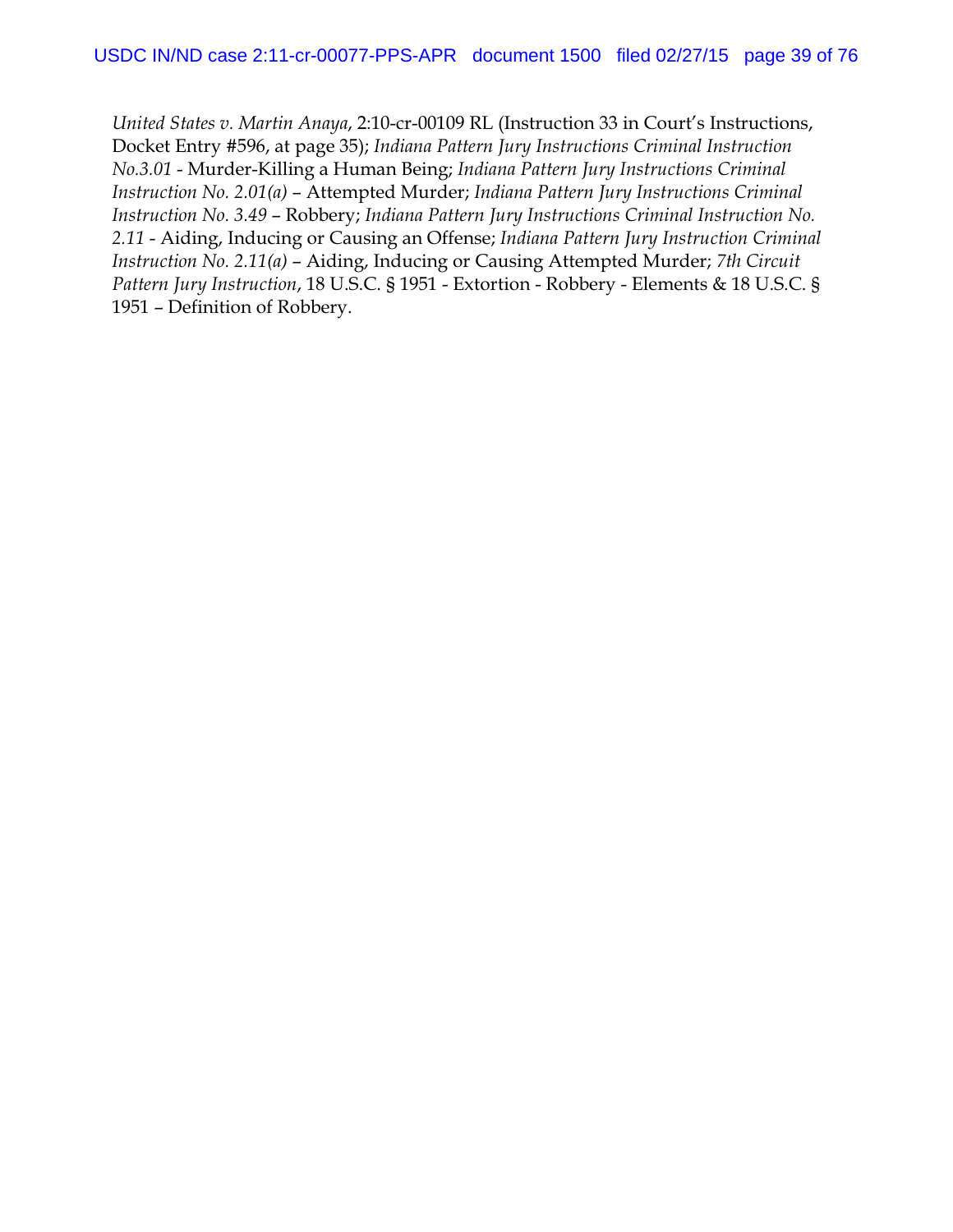*United States v. Martin Anaya*, 2:10-cr-00109 RL (Instruction 33 in Court's Instructions, Docket Entry #596, at page 35); *Indiana Pattern Jury Instructions Criminal Instruction No.3.01* - Murder-Killing a Human Being; *Indiana Pattern Jury Instructions Criminal Instruction No. 2.01(a)* – Attempted Murder; *Indiana Pattern Jury Instructions Criminal Instruction No. 3.49* – Robbery; *Indiana Pattern Jury Instructions Criminal Instruction No. 2.11* - Aiding, Inducing or Causing an Offense; *Indiana Pattern Jury Instruction Criminal Instruction No. 2.11(a)* – Aiding, Inducing or Causing Attempted Murder; *7th Circuit Pattern Jury Instruction*, 18 U.S.C. § 1951 - Extortion - Robbery - Elements & 18 U.S.C. § 1951 – Definition of Robbery.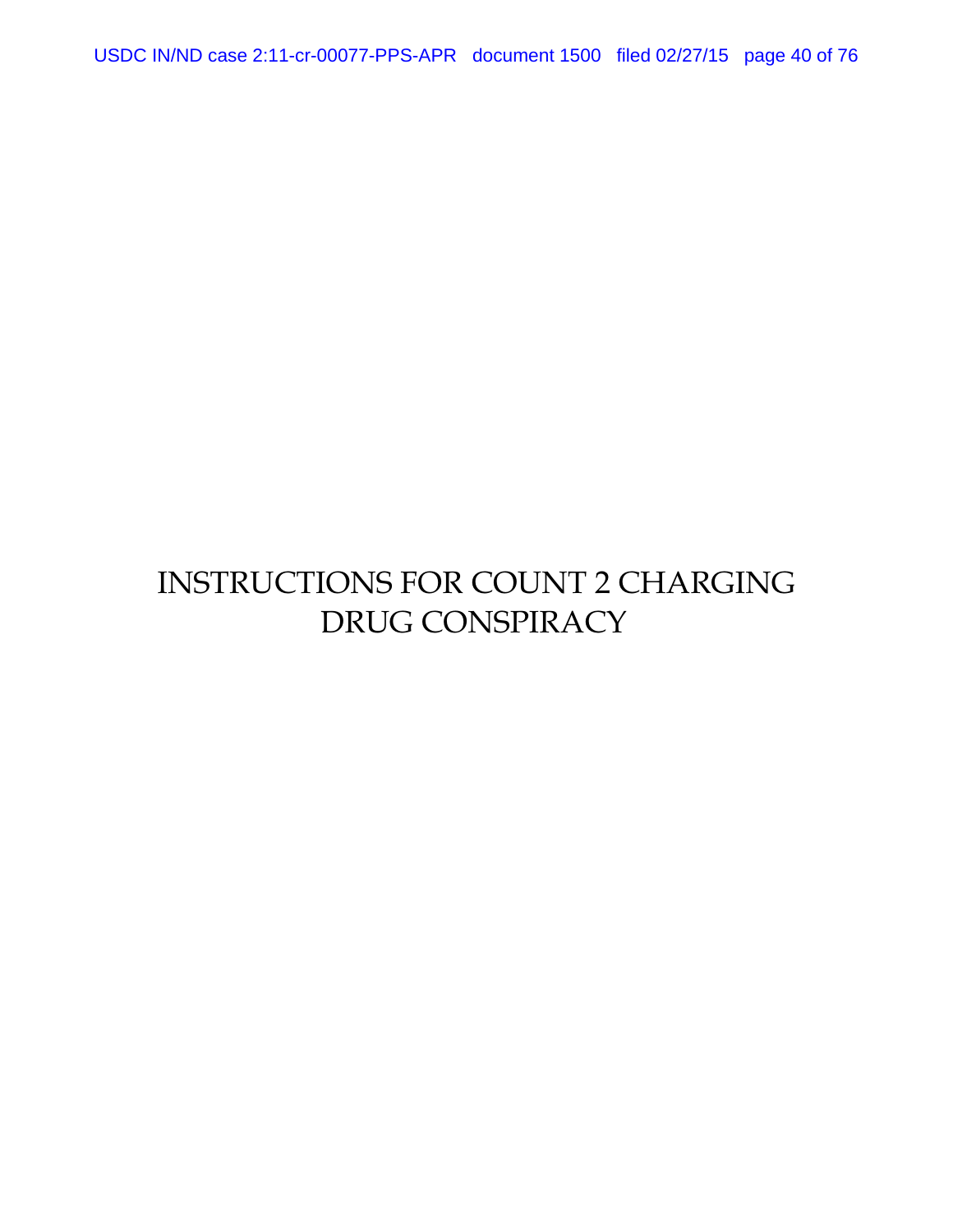USDC IN/ND case 2:11-cr-00077-PPS-APR document 1500 filed 02/27/15 page 40 of 76

## INSTRUCTIONS FOR COUNT 2 CHARGING DRUG CONSPIRACY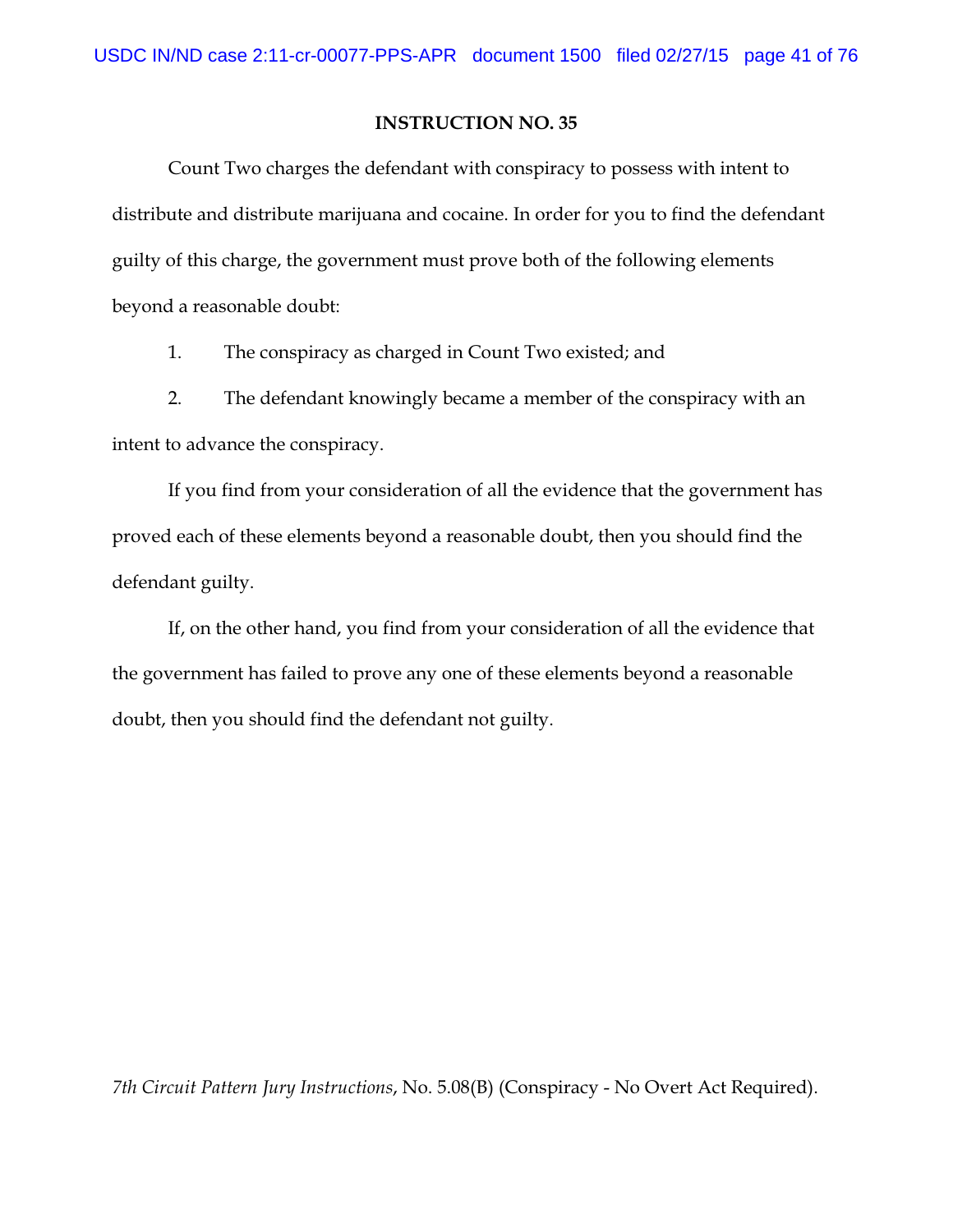Count Two charges the defendant with conspiracy to possess with intent to distribute and distribute marijuana and cocaine. In order for you to find the defendant guilty of this charge, the government must prove both of the following elements beyond a reasonable doubt:

1. The conspiracy as charged in Count Two existed; and

2. The defendant knowingly became a member of the conspiracy with an intent to advance the conspiracy.

If you find from your consideration of all the evidence that the government has proved each of these elements beyond a reasonable doubt, then you should find the defendant guilty.

If, on the other hand, you find from your consideration of all the evidence that the government has failed to prove any one of these elements beyond a reasonable doubt, then you should find the defendant not guilty.

*7th Circuit Pattern Jury Instructions*, No. 5.08(B) (Conspiracy - No Overt Act Required).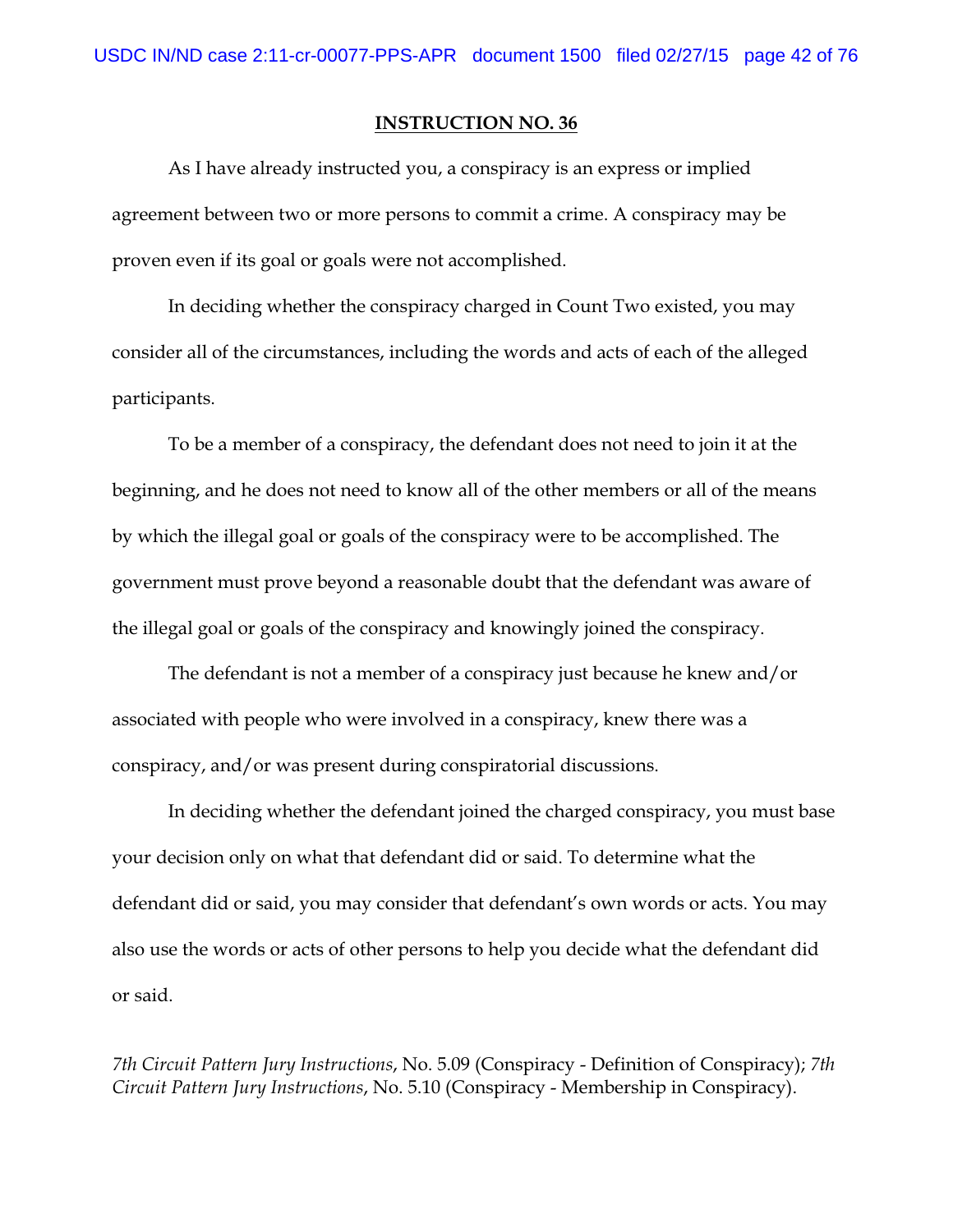As I have already instructed you, a conspiracy is an express or implied agreement between two or more persons to commit a crime. A conspiracy may be proven even if its goal or goals were not accomplished.

In deciding whether the conspiracy charged in Count Two existed, you may consider all of the circumstances, including the words and acts of each of the alleged participants.

To be a member of a conspiracy, the defendant does not need to join it at the beginning, and he does not need to know all of the other members or all of the means by which the illegal goal or goals of the conspiracy were to be accomplished. The government must prove beyond a reasonable doubt that the defendant was aware of the illegal goal or goals of the conspiracy and knowingly joined the conspiracy.

The defendant is not a member of a conspiracy just because he knew and/or associated with people who were involved in a conspiracy, knew there was a conspiracy, and/or was present during conspiratorial discussions.

In deciding whether the defendant joined the charged conspiracy, you must base your decision only on what that defendant did or said. To determine what the defendant did or said, you may consider that defendant's own words or acts. You may also use the words or acts of other persons to help you decide what the defendant did or said.

*7th Circuit Pattern Jury Instructions*, No. 5.09 (Conspiracy - Definition of Conspiracy); *7th Circuit Pattern Jury Instructions*, No. 5.10 (Conspiracy - Membership in Conspiracy).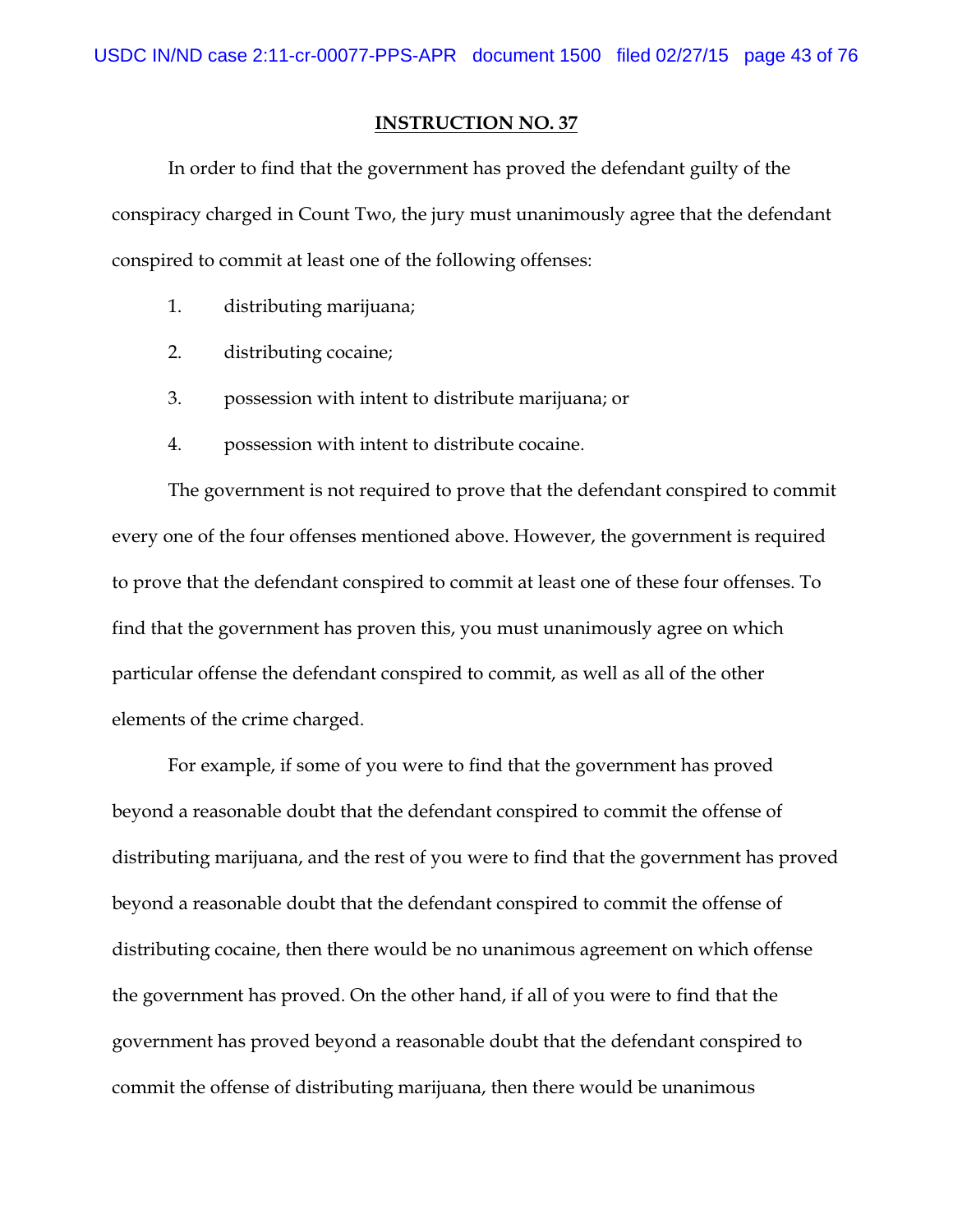In order to find that the government has proved the defendant guilty of the conspiracy charged in Count Two, the jury must unanimously agree that the defendant conspired to commit at least one of the following offenses:

- 1. distributing marijuana;
- 2. distributing cocaine;
- 3. possession with intent to distribute marijuana; or
- 4. possession with intent to distribute cocaine.

The government is not required to prove that the defendant conspired to commit every one of the four offenses mentioned above. However, the government is required to prove that the defendant conspired to commit at least one of these four offenses. To find that the government has proven this, you must unanimously agree on which particular offense the defendant conspired to commit, as well as all of the other elements of the crime charged.

For example, if some of you were to find that the government has proved beyond a reasonable doubt that the defendant conspired to commit the offense of distributing marijuana, and the rest of you were to find that the government has proved beyond a reasonable doubt that the defendant conspired to commit the offense of distributing cocaine, then there would be no unanimous agreement on which offense the government has proved. On the other hand, if all of you were to find that the government has proved beyond a reasonable doubt that the defendant conspired to commit the offense of distributing marijuana, then there would be unanimous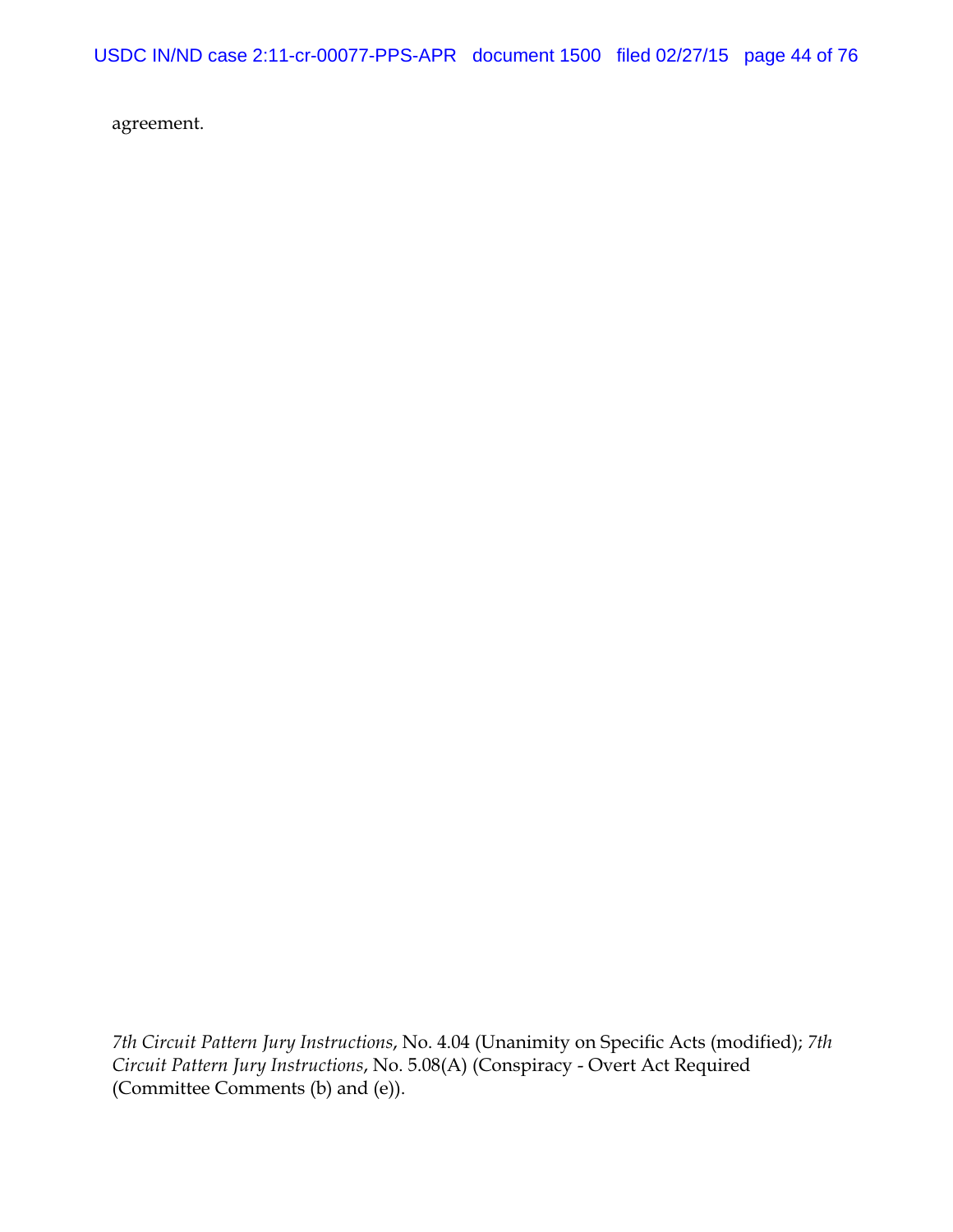USDC IN/ND case 2:11-cr-00077-PPS-APR document 1500 filed 02/27/15 page 44 of 76

agreement.

*7th Circuit Pattern Jury Instructions*, No. 4.04 (Unanimity on Specific Acts (modified); *7th Circuit Pattern Jury Instructions*, No. 5.08(A) (Conspiracy - Overt Act Required (Committee Comments (b) and (e)).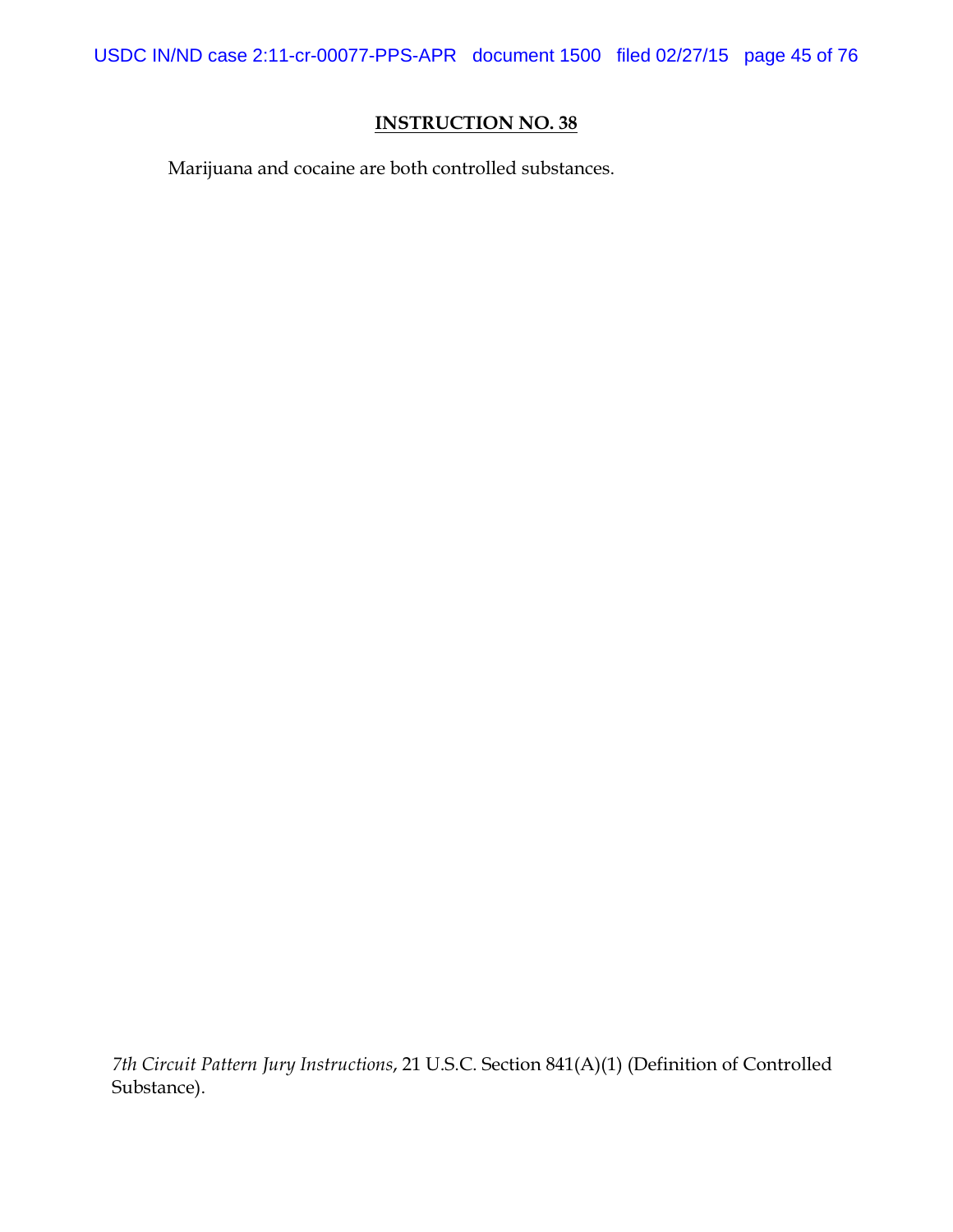USDC IN/ND case 2:11-cr-00077-PPS-APR document 1500 filed 02/27/15 page 45 of 76

## **INSTRUCTION NO. 38**

Marijuana and cocaine are both controlled substances.

*7th Circuit Pattern Jury Instructions*, 21 U.S.C. Section 841(A)(1) (Definition of Controlled Substance).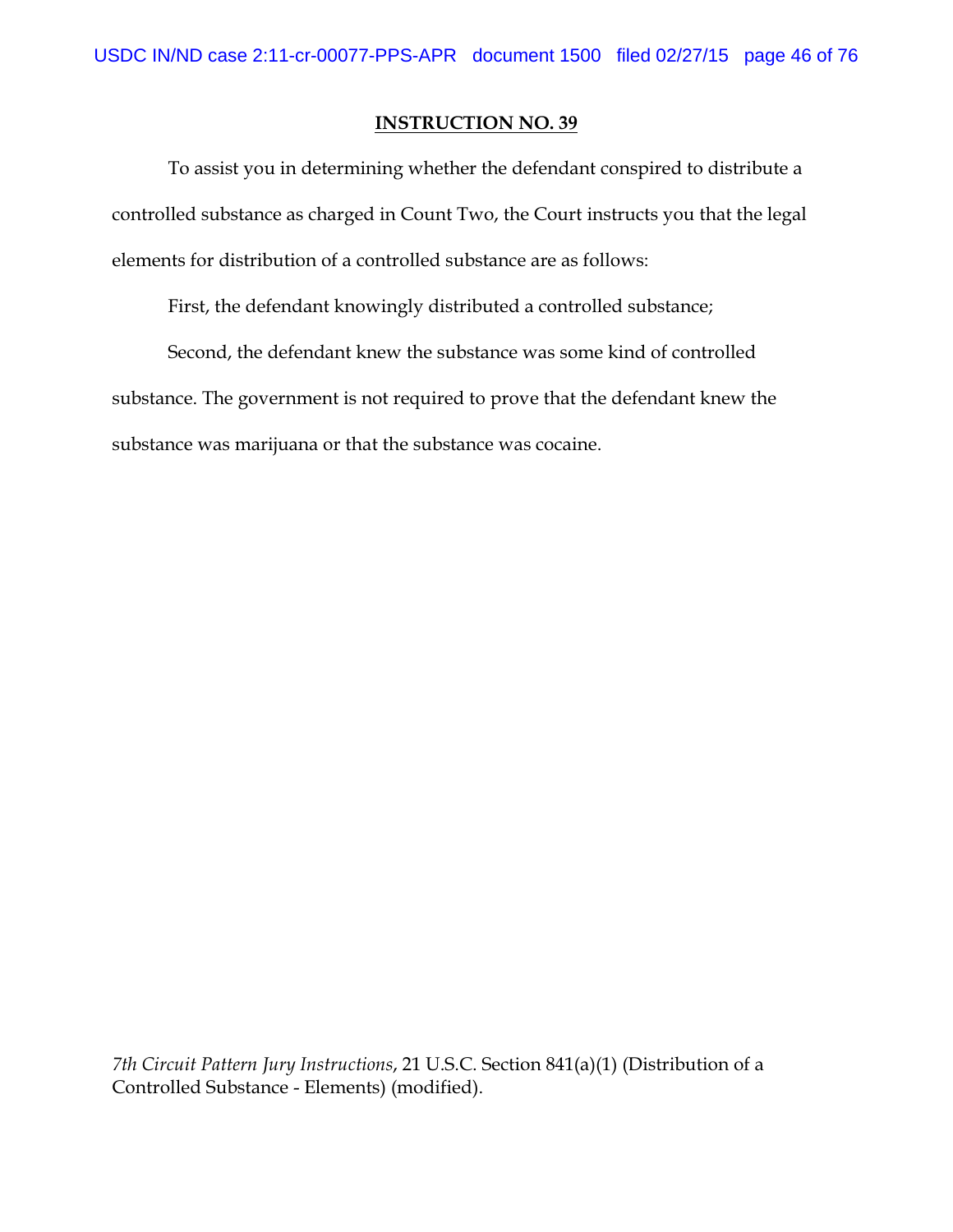To assist you in determining whether the defendant conspired to distribute a controlled substance as charged in Count Two, the Court instructs you that the legal elements for distribution of a controlled substance are as follows:

First, the defendant knowingly distributed a controlled substance;

Second, the defendant knew the substance was some kind of controlled substance. The government is not required to prove that the defendant knew the substance was marijuana or that the substance was cocaine.

*7th Circuit Pattern Jury Instructions*, 21 U.S.C. Section 841(a)(1) (Distribution of a Controlled Substance - Elements) (modified).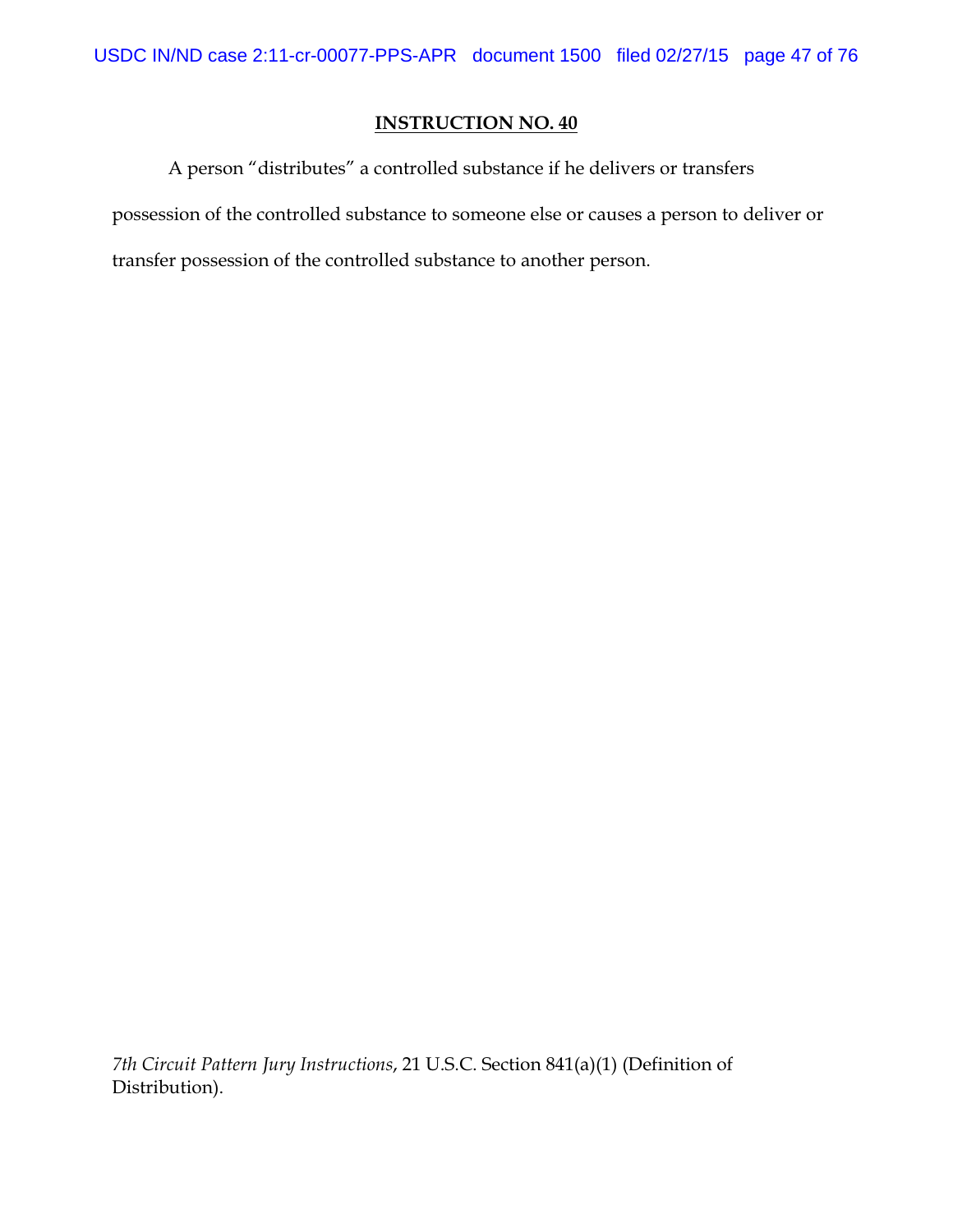A person "distributes" a controlled substance if he delivers or transfers possession of the controlled substance to someone else or causes a person to deliver or transfer possession of the controlled substance to another person.

*7th Circuit Pattern Jury Instructions*, 21 U.S.C. Section 841(a)(1) (Definition of Distribution).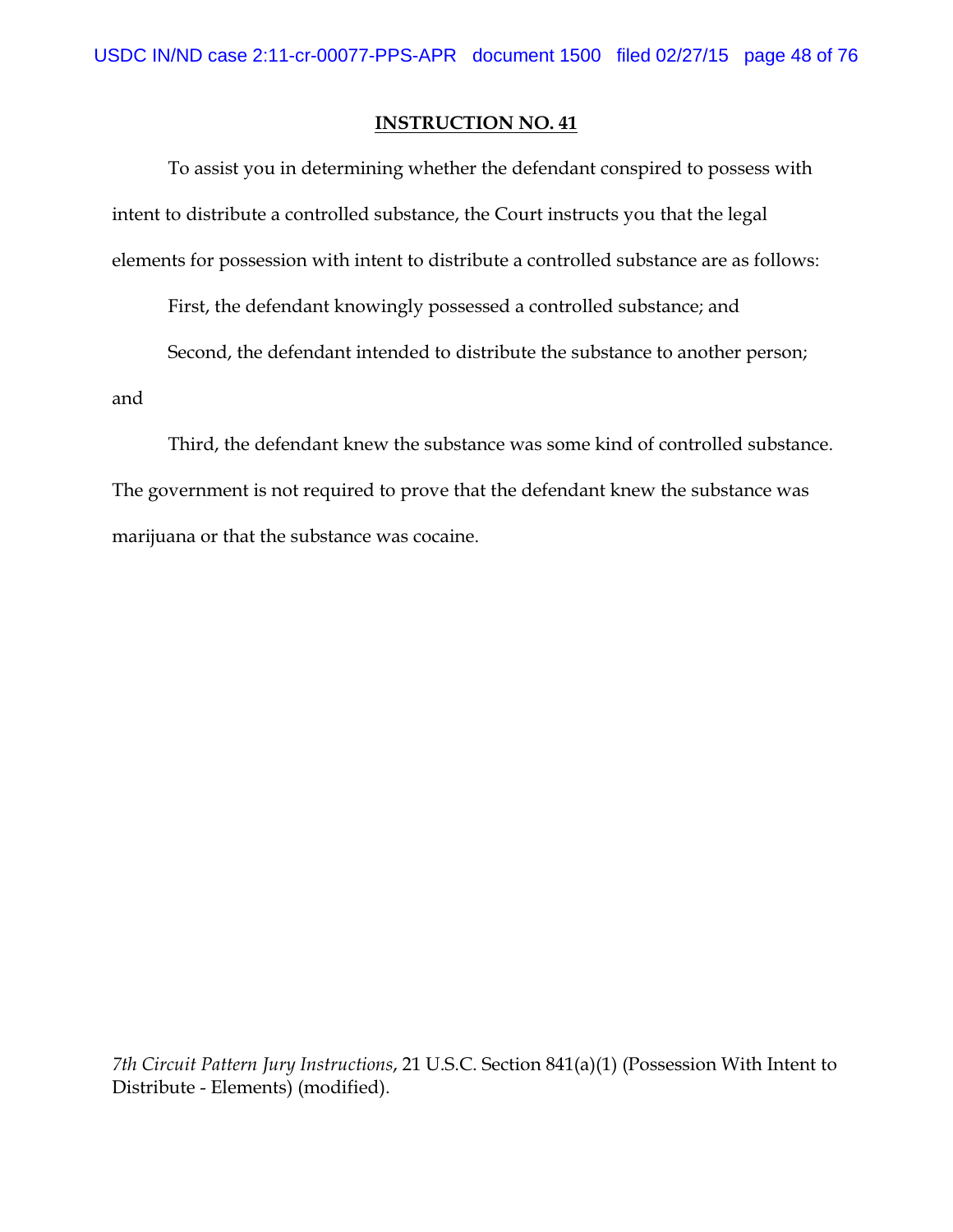To assist you in determining whether the defendant conspired to possess with intent to distribute a controlled substance, the Court instructs you that the legal elements for possession with intent to distribute a controlled substance are as follows:

First, the defendant knowingly possessed a controlled substance; and

Second, the defendant intended to distribute the substance to another person;

and

Third, the defendant knew the substance was some kind of controlled substance. The government is not required to prove that the defendant knew the substance was marijuana or that the substance was cocaine.

*7th Circuit Pattern Jury Instructions*, 21 U.S.C. Section 841(a)(1) (Possession With Intent to Distribute - Elements) (modified).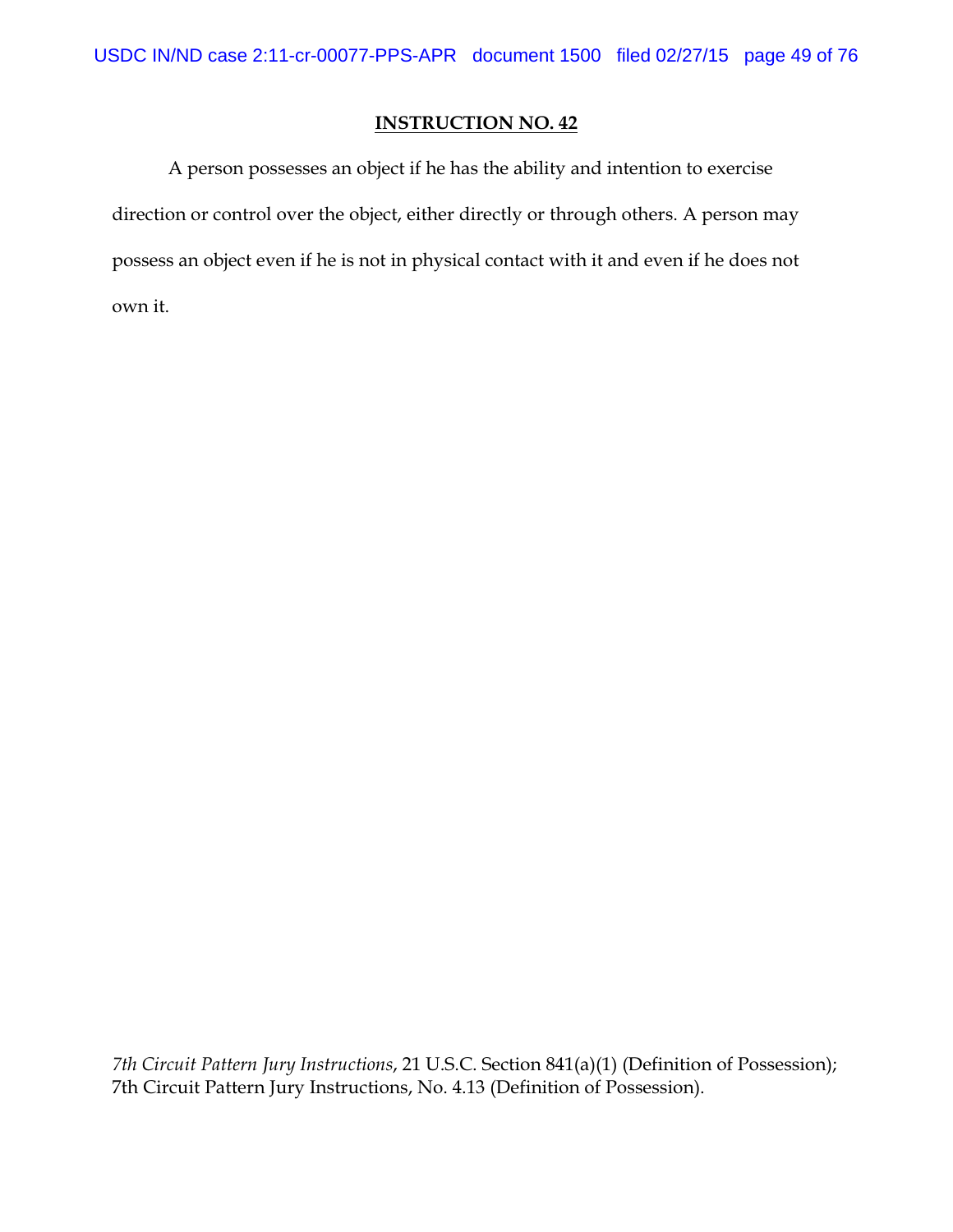A person possesses an object if he has the ability and intention to exercise direction or control over the object, either directly or through others. A person may possess an object even if he is not in physical contact with it and even if he does not own it.

*7th Circuit Pattern Jury Instructions*, 21 U.S.C. Section 841(a)(1) (Definition of Possession); 7th Circuit Pattern Jury Instructions, No. 4.13 (Definition of Possession).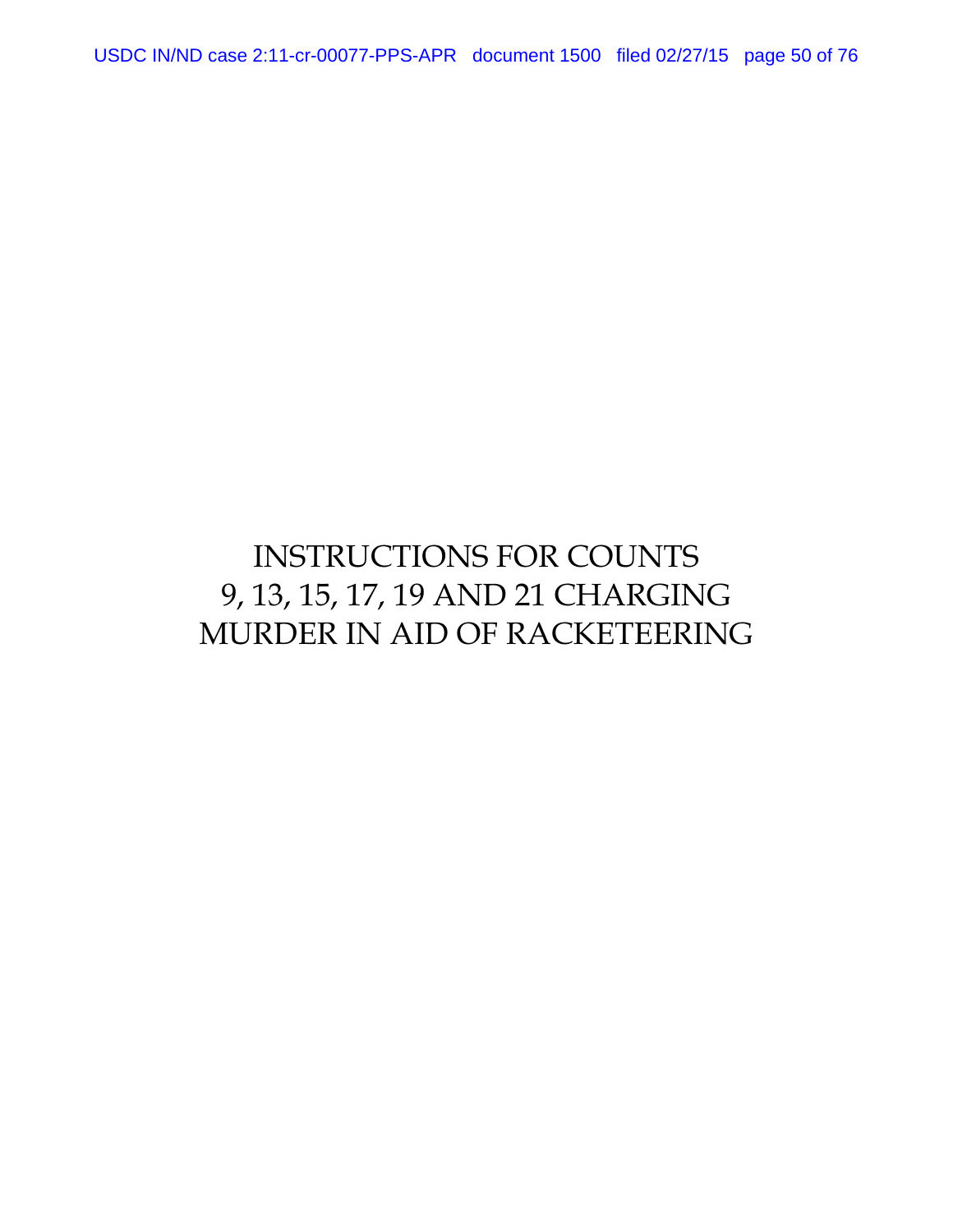USDC IN/ND case 2:11-cr-00077-PPS-APR document 1500 filed 02/27/15 page 50 of 76

# INSTRUCTIONS FOR COUNTS 9, 13, 15, 17, 19 AND 21 CHARGING MURDER IN AID OF RACKETEERING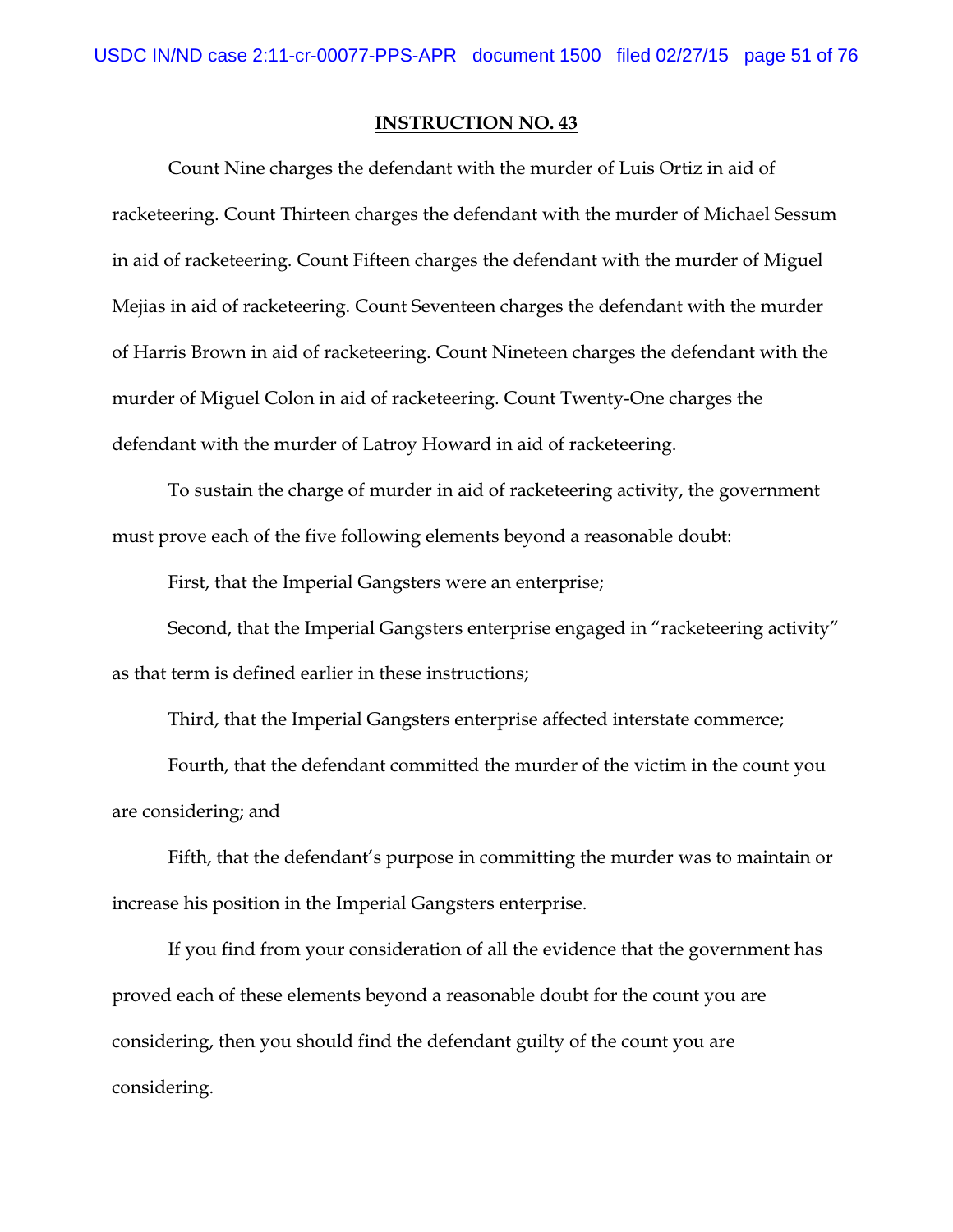Count Nine charges the defendant with the murder of Luis Ortiz in aid of racketeering. Count Thirteen charges the defendant with the murder of Michael Sessum in aid of racketeering. Count Fifteen charges the defendant with the murder of Miguel Mejias in aid of racketeering. Count Seventeen charges the defendant with the murder of Harris Brown in aid of racketeering. Count Nineteen charges the defendant with the murder of Miguel Colon in aid of racketeering. Count Twenty-One charges the defendant with the murder of Latroy Howard in aid of racketeering.

To sustain the charge of murder in aid of racketeering activity, the government must prove each of the five following elements beyond a reasonable doubt:

First, that the Imperial Gangsters were an enterprise;

Second, that the Imperial Gangsters enterprise engaged in "racketeering activity" as that term is defined earlier in these instructions;

Third, that the Imperial Gangsters enterprise affected interstate commerce;

Fourth, that the defendant committed the murder of the victim in the count you are considering; and

Fifth, that the defendant's purpose in committing the murder was to maintain or increase his position in the Imperial Gangsters enterprise.

If you find from your consideration of all the evidence that the government has proved each of these elements beyond a reasonable doubt for the count you are considering, then you should find the defendant guilty of the count you are considering.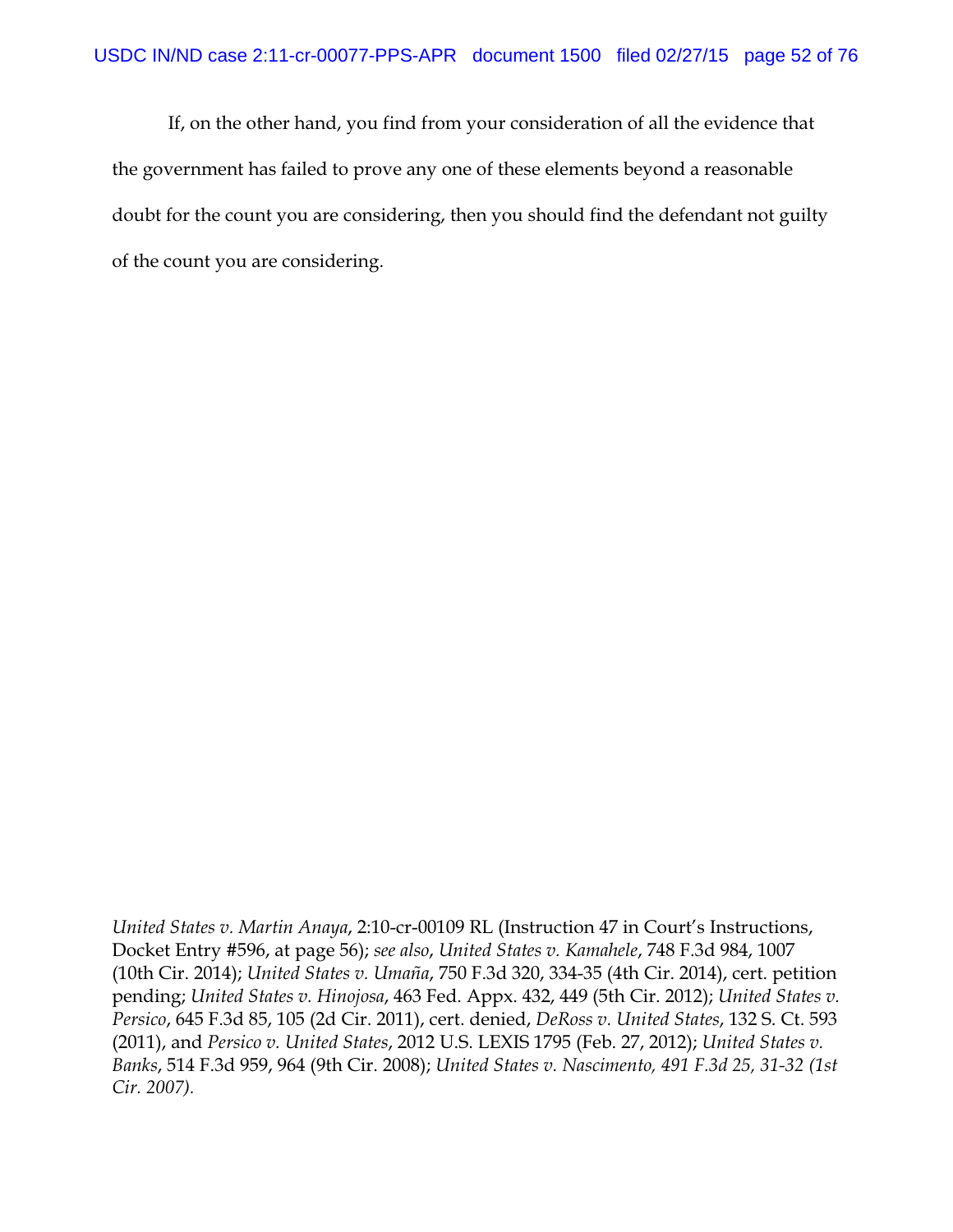If, on the other hand, you find from your consideration of all the evidence that the government has failed to prove any one of these elements beyond a reasonable doubt for the count you are considering, then you should find the defendant not guilty of the count you are considering.

*United States v. Martin Anaya*, 2:10-cr-00109 RL (Instruction 47 in Court's Instructions, Docket Entry #596, at page 56); *see also*, *United States v. Kamahele*, 748 F.3d 984, 1007 (10th Cir. 2014); *United States v. Umaña*, 750 F.3d 320, 334-35 (4th Cir. 2014), cert. petition pending; *United States v. Hinojosa*, 463 Fed. Appx. 432, 449 (5th Cir. 2012); *United States v. Persico*, 645 F.3d 85, 105 (2d Cir. 2011), cert. denied, *DeRoss v. United States*, 132 S. Ct. 593 (2011), and *Persico v. United States*, 2012 U.S. LEXIS 1795 (Feb. 27, 2012); *United States v. Banks*, 514 F.3d 959, 964 (9th Cir. 2008); *United States v. Nascimento, 491 F.3d 25, 31-32 (1st Cir. 2007).*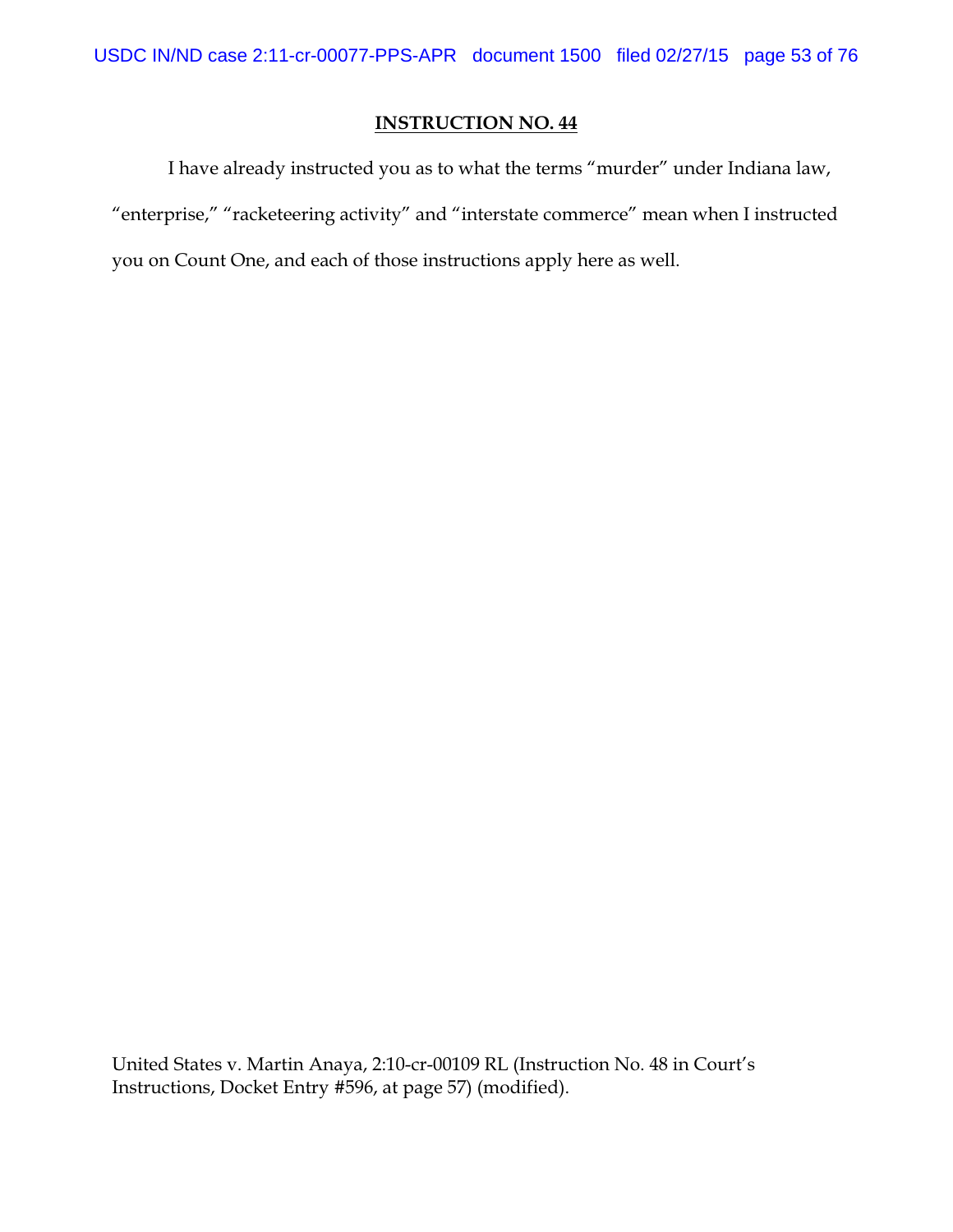I have already instructed you as to what the terms "murder" under Indiana law, "enterprise," "racketeering activity" and "interstate commerce" mean when I instructed you on Count One, and each of those instructions apply here as well.

United States v. Martin Anaya, 2:10-cr-00109 RL (Instruction No. 48 in Court's Instructions, Docket Entry #596, at page 57) (modified).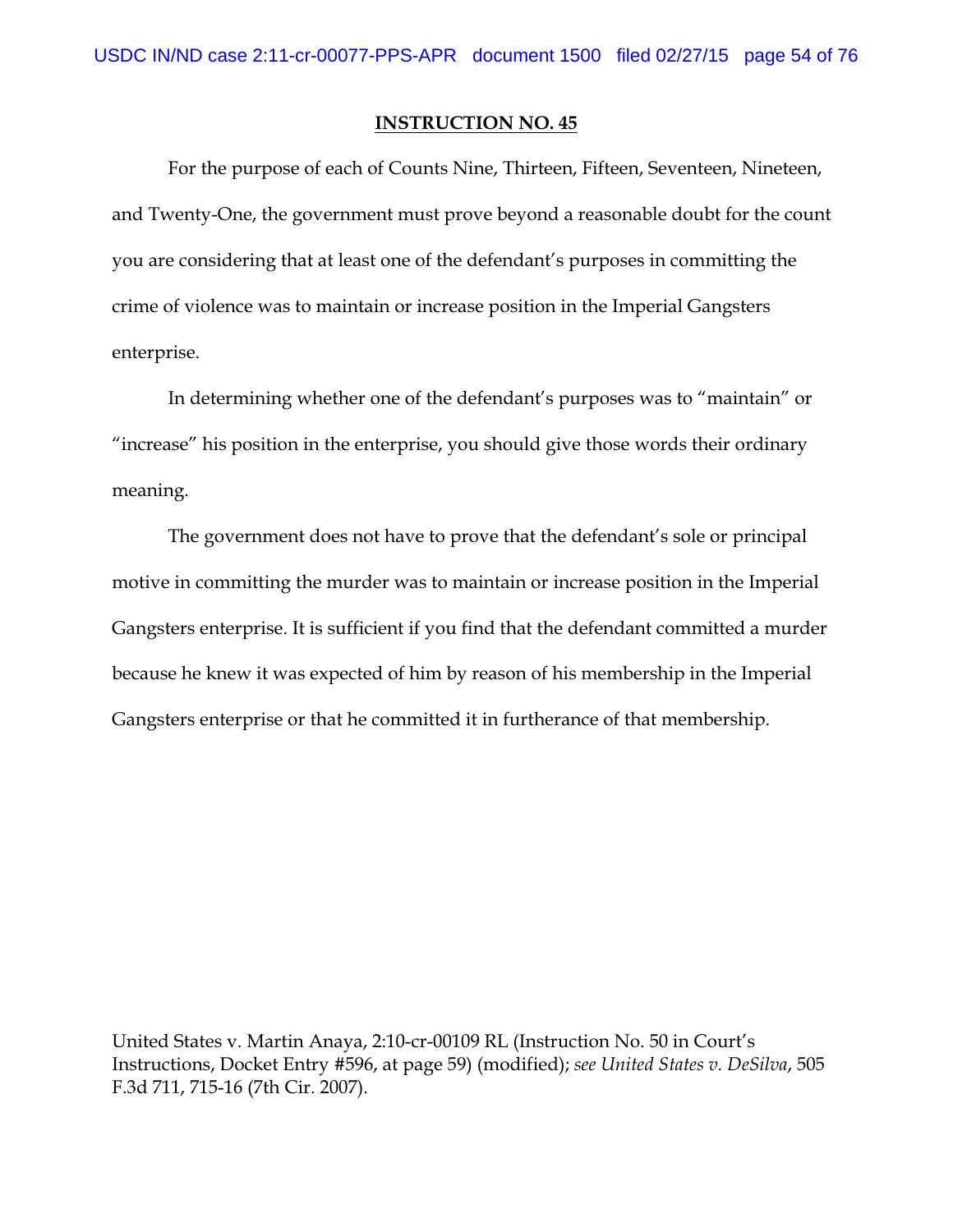For the purpose of each of Counts Nine, Thirteen, Fifteen, Seventeen, Nineteen, and Twenty-One, the government must prove beyond a reasonable doubt for the count you are considering that at least one of the defendant's purposes in committing the crime of violence was to maintain or increase position in the Imperial Gangsters enterprise.

In determining whether one of the defendant's purposes was to "maintain" or "increase" his position in the enterprise, you should give those words their ordinary meaning.

The government does not have to prove that the defendant's sole or principal motive in committing the murder was to maintain or increase position in the Imperial Gangsters enterprise. It is sufficient if you find that the defendant committed a murder because he knew it was expected of him by reason of his membership in the Imperial Gangsters enterprise or that he committed it in furtherance of that membership.

United States v. Martin Anaya, 2:10-cr-00109 RL (Instruction No. 50 in Court's Instructions, Docket Entry #596, at page 59) (modified); *see United States v. DeSilva*, 505 F.3d 711, 715-16 (7th Cir. 2007).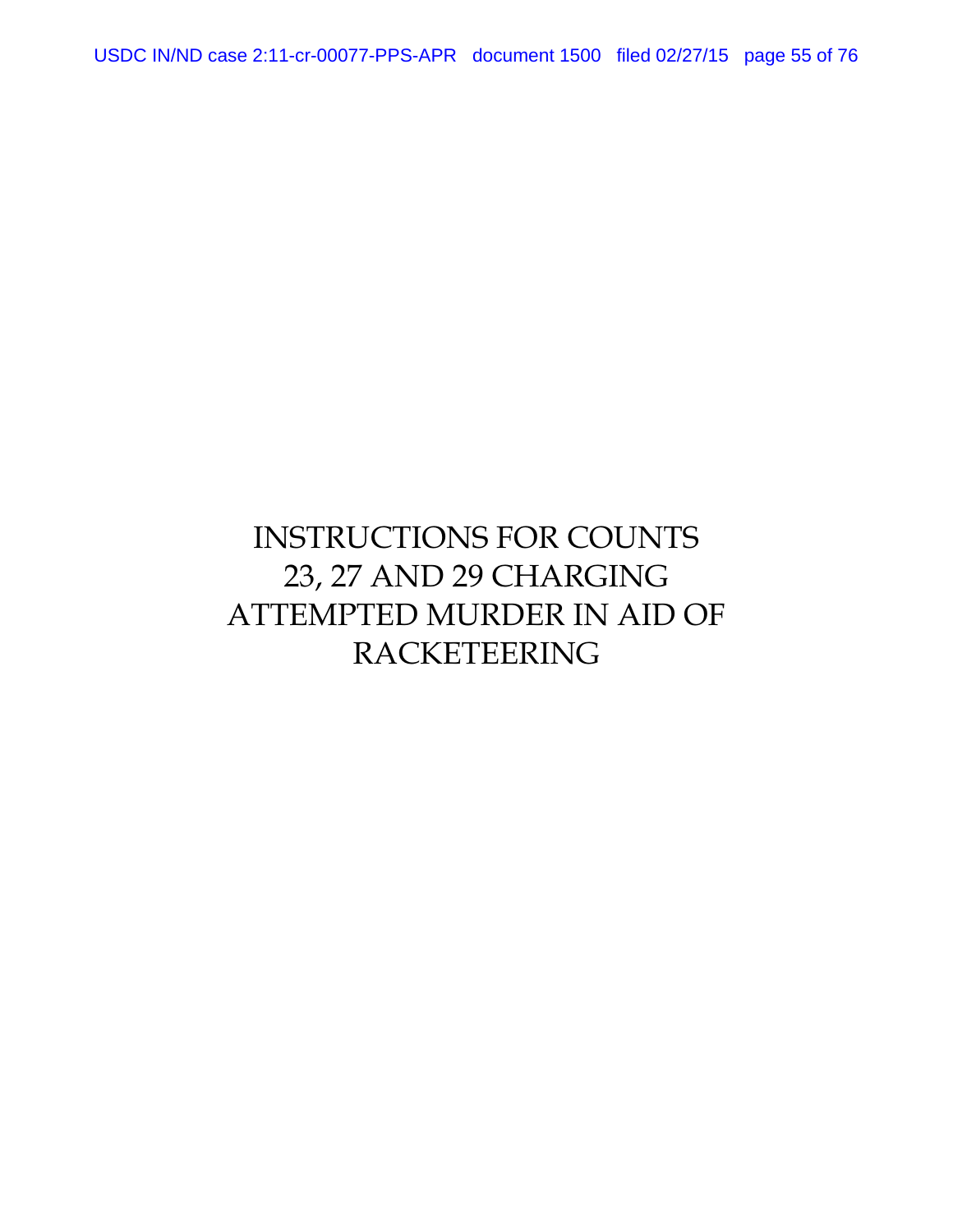USDC IN/ND case 2:11-cr-00077-PPS-APR document 1500 filed 02/27/15 page 55 of 76

# INSTRUCTIONS FOR COUNTS 23, 27 AND 29 CHARGING ATTEMPTED MURDER IN AID OF RACKETEERING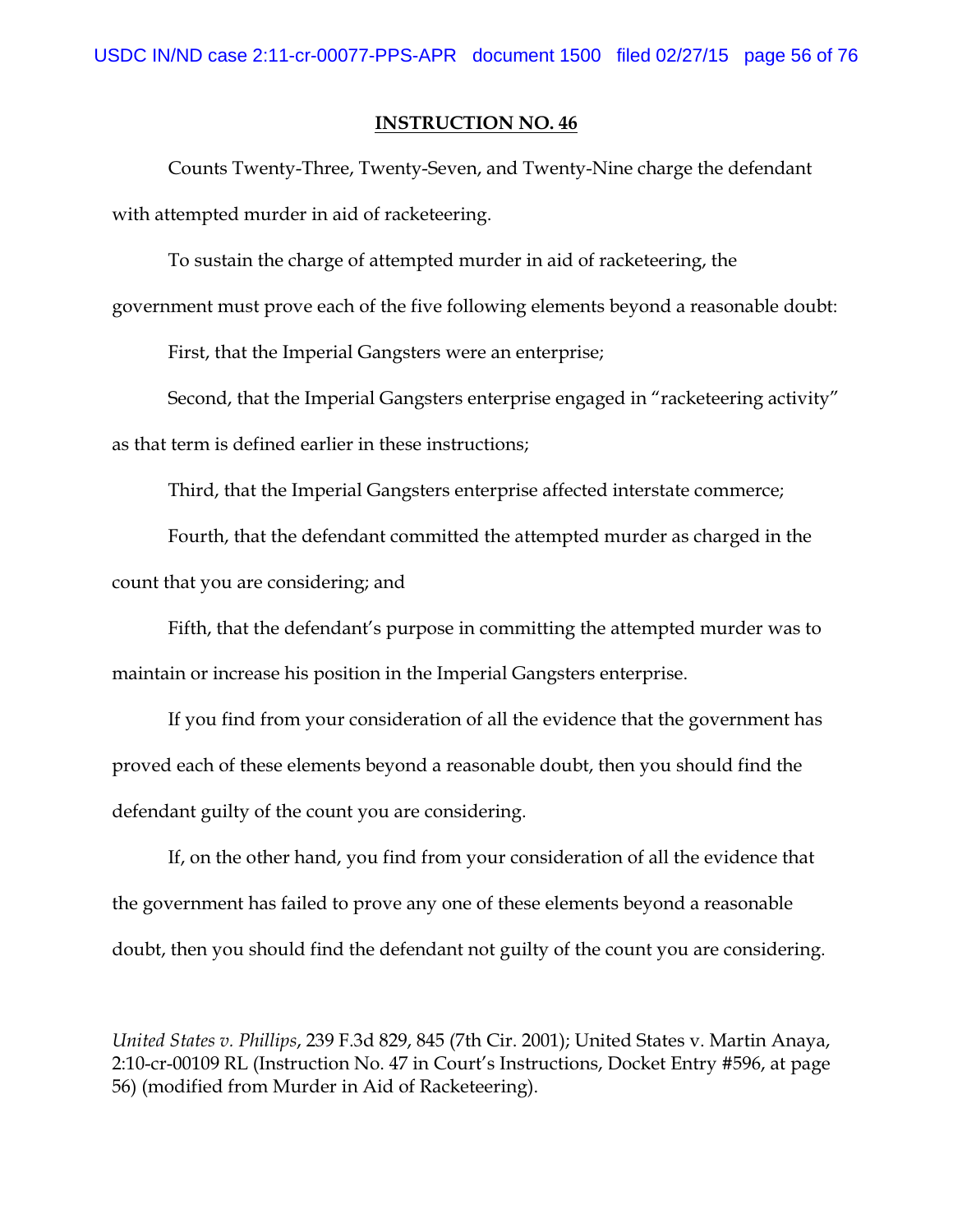Counts Twenty-Three, Twenty-Seven, and Twenty-Nine charge the defendant with attempted murder in aid of racketeering.

To sustain the charge of attempted murder in aid of racketeering, the

government must prove each of the five following elements beyond a reasonable doubt:

First, that the Imperial Gangsters were an enterprise;

Second, that the Imperial Gangsters enterprise engaged in "racketeering activity" as that term is defined earlier in these instructions;

Third, that the Imperial Gangsters enterprise affected interstate commerce;

Fourth, that the defendant committed the attempted murder as charged in the count that you are considering; and

Fifth, that the defendant's purpose in committing the attempted murder was to maintain or increase his position in the Imperial Gangsters enterprise.

If you find from your consideration of all the evidence that the government has proved each of these elements beyond a reasonable doubt, then you should find the defendant guilty of the count you are considering.

If, on the other hand, you find from your consideration of all the evidence that the government has failed to prove any one of these elements beyond a reasonable doubt, then you should find the defendant not guilty of the count you are considering.

*United States v. Phillips*, 239 F.3d 829, 845 (7th Cir. 2001); United States v. Martin Anaya, 2:10-cr-00109 RL (Instruction No. 47 in Court's Instructions, Docket Entry #596, at page 56) (modified from Murder in Aid of Racketeering).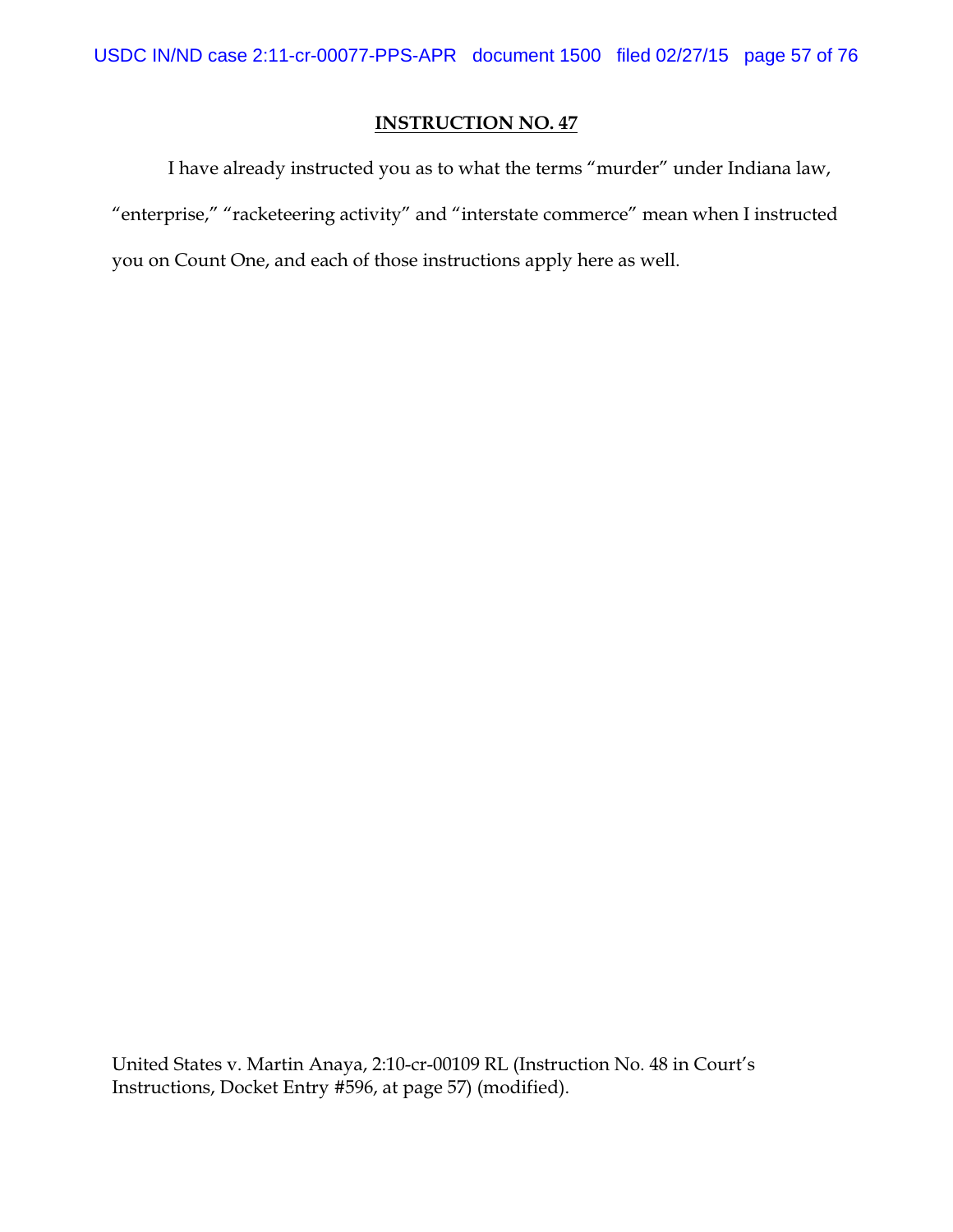I have already instructed you as to what the terms "murder" under Indiana law, "enterprise," "racketeering activity" and "interstate commerce" mean when I instructed you on Count One, and each of those instructions apply here as well.

United States v. Martin Anaya, 2:10-cr-00109 RL (Instruction No. 48 in Court's Instructions, Docket Entry #596, at page 57) (modified).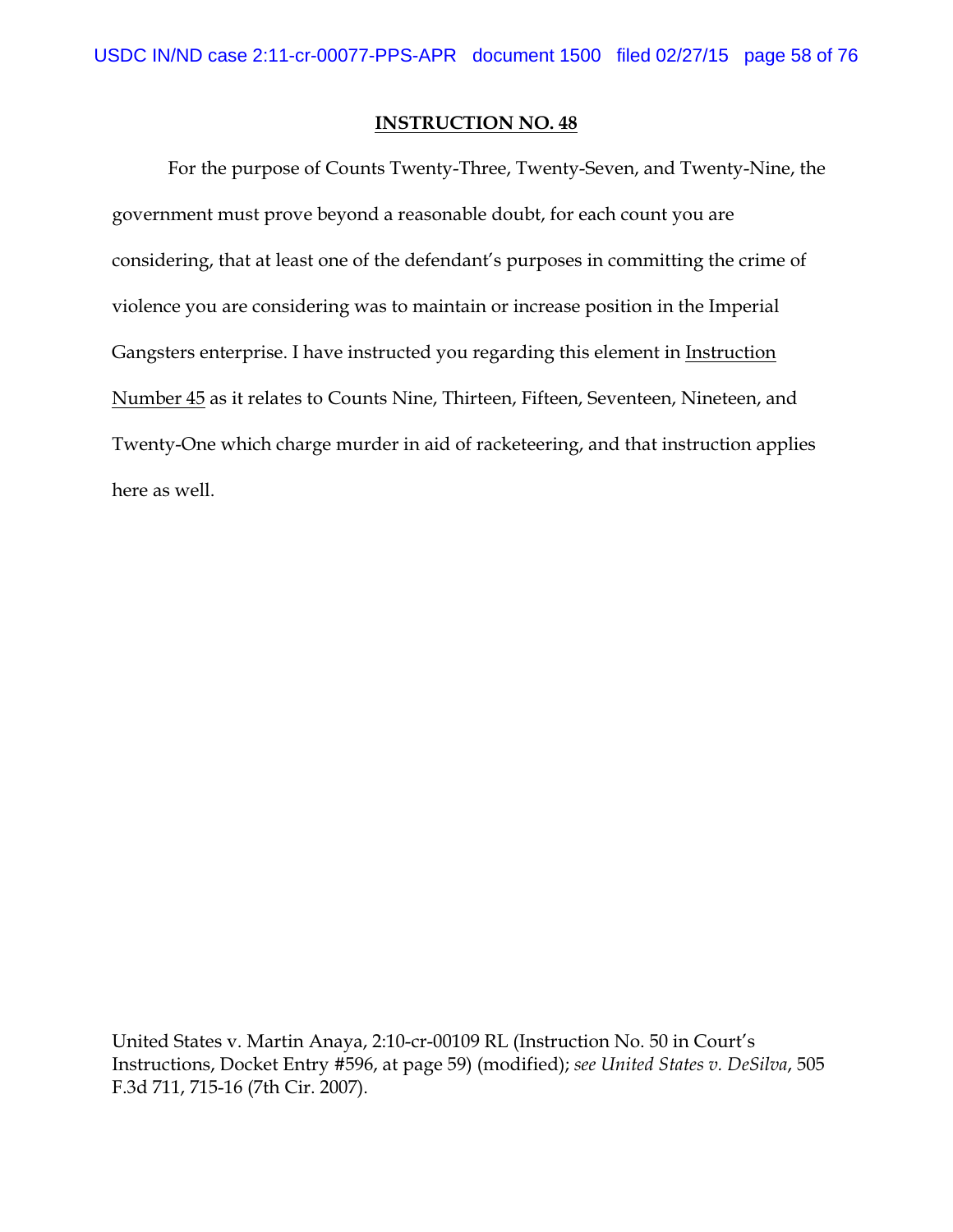For the purpose of Counts Twenty-Three, Twenty-Seven, and Twenty-Nine, the government must prove beyond a reasonable doubt, for each count you are considering, that at least one of the defendant's purposes in committing the crime of violence you are considering was to maintain or increase position in the Imperial Gangsters enterprise. I have instructed you regarding this element in Instruction Number 45 as it relates to Counts Nine, Thirteen, Fifteen, Seventeen, Nineteen, and Twenty-One which charge murder in aid of racketeering, and that instruction applies here as well.

United States v. Martin Anaya, 2:10-cr-00109 RL (Instruction No. 50 in Court's Instructions, Docket Entry #596, at page 59) (modified); *see United States v. DeSilva*, 505 F.3d 711, 715-16 (7th Cir. 2007).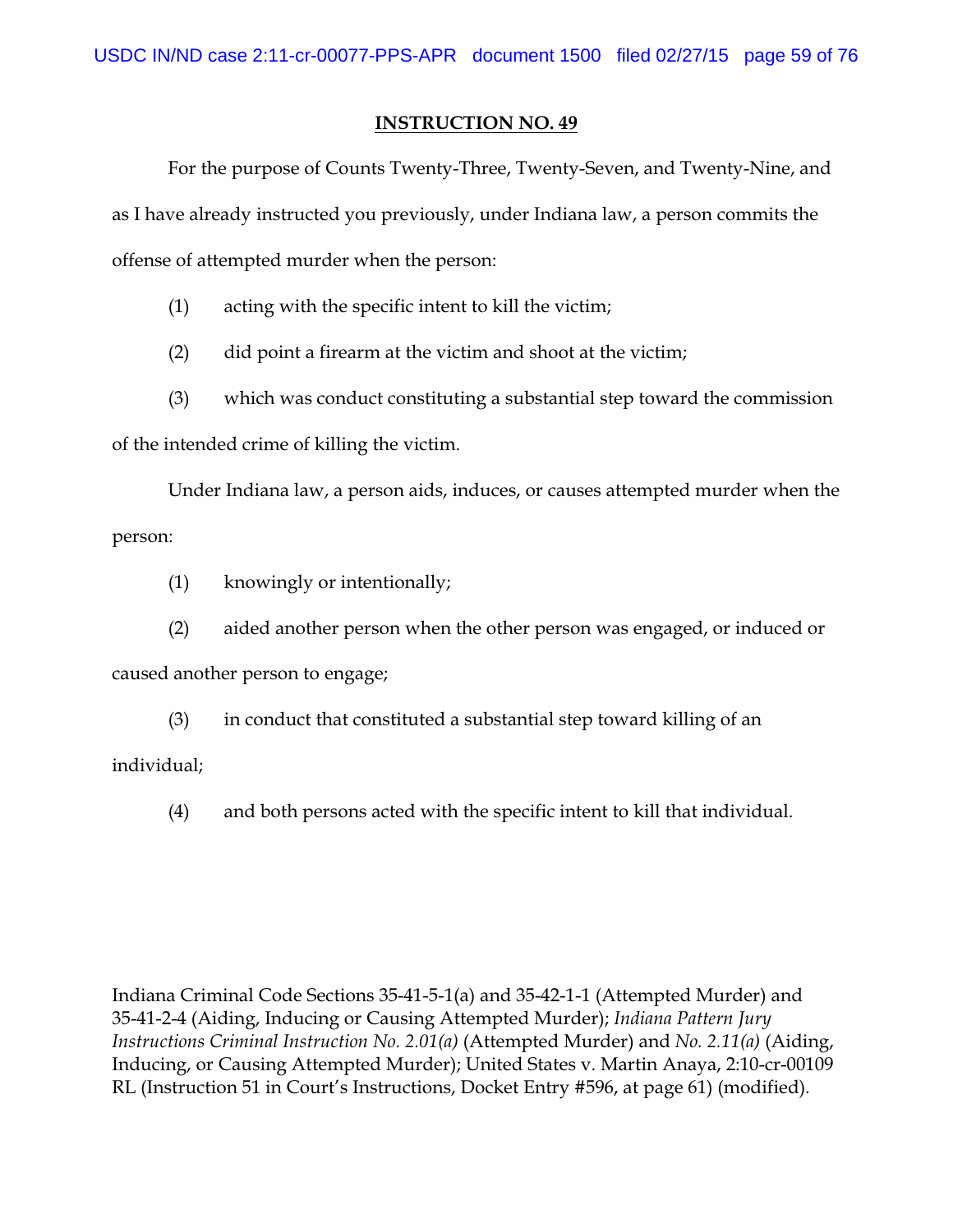For the purpose of Counts Twenty-Three, Twenty-Seven, and Twenty-Nine, and as I have already instructed you previously, under Indiana law, a person commits the offense of attempted murder when the person:

(1) acting with the specific intent to kill the victim;

(2) did point a firearm at the victim and shoot at the victim;

(3) which was conduct constituting a substantial step toward the commission

of the intended crime of killing the victim.

Under Indiana law, a person aids, induces, or causes attempted murder when the person:

(1) knowingly or intentionally;

(2) aided another person when the other person was engaged, or induced or

caused another person to engage;

(3) in conduct that constituted a substantial step toward killing of an individual;

(4) and both persons acted with the specific intent to kill that individual.

Indiana Criminal Code Sections 35-41-5-1(a) and 35-42-1-1 (Attempted Murder) and 35-41-2-4 (Aiding, Inducing or Causing Attempted Murder); *Indiana Pattern Jury Instructions Criminal Instruction No. 2.01(a)* (Attempted Murder) and *No. 2.11(a)* (Aiding, Inducing, or Causing Attempted Murder); United States v. Martin Anaya, 2:10-cr-00109 RL (Instruction 51 in Court's Instructions, Docket Entry #596, at page 61) (modified).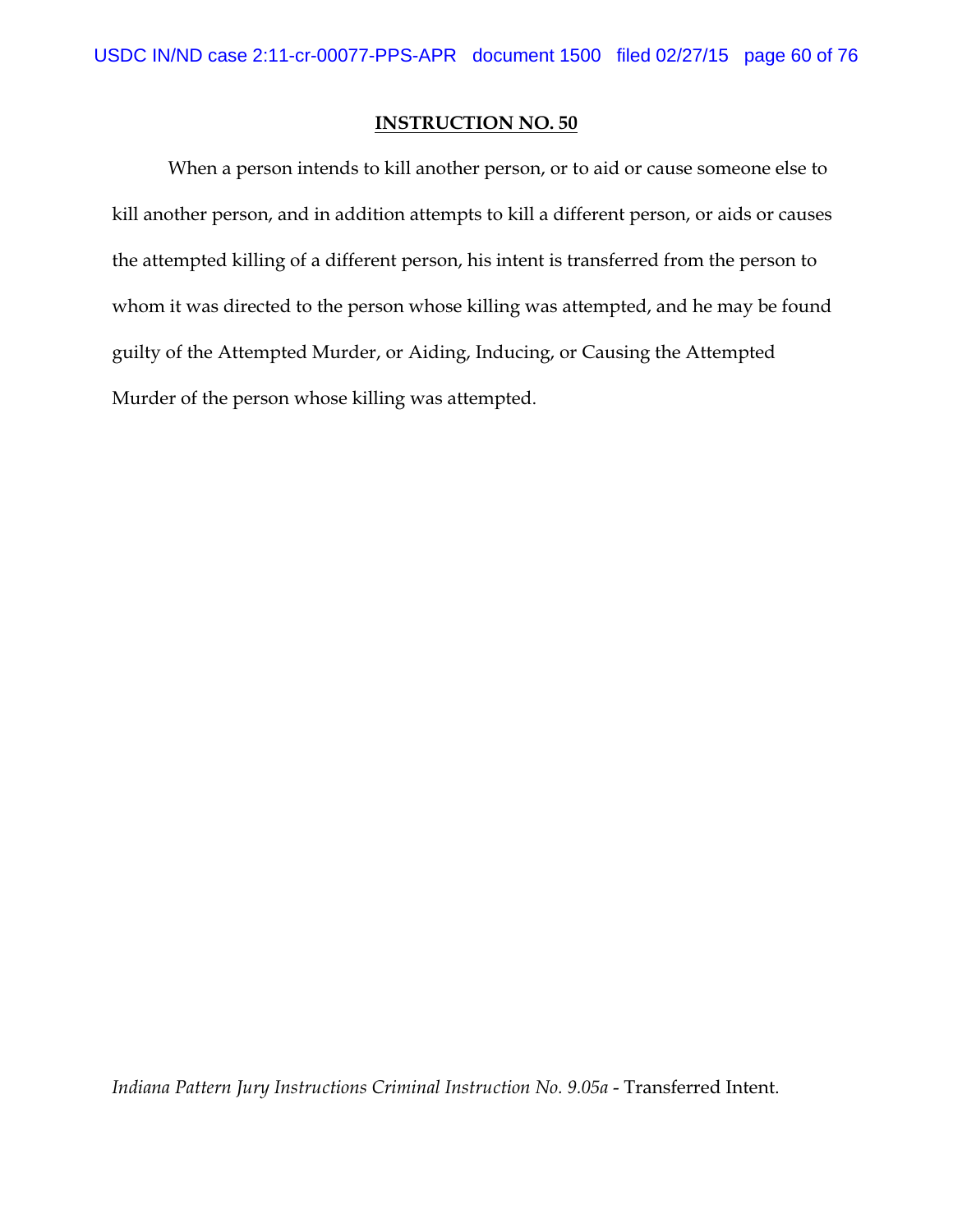When a person intends to kill another person, or to aid or cause someone else to kill another person, and in addition attempts to kill a different person, or aids or causes the attempted killing of a different person, his intent is transferred from the person to whom it was directed to the person whose killing was attempted, and he may be found guilty of the Attempted Murder, or Aiding, Inducing, or Causing the Attempted Murder of the person whose killing was attempted.

*Indiana Pattern Jury Instructions Criminal Instruction No. 9.05a* - Transferred Intent.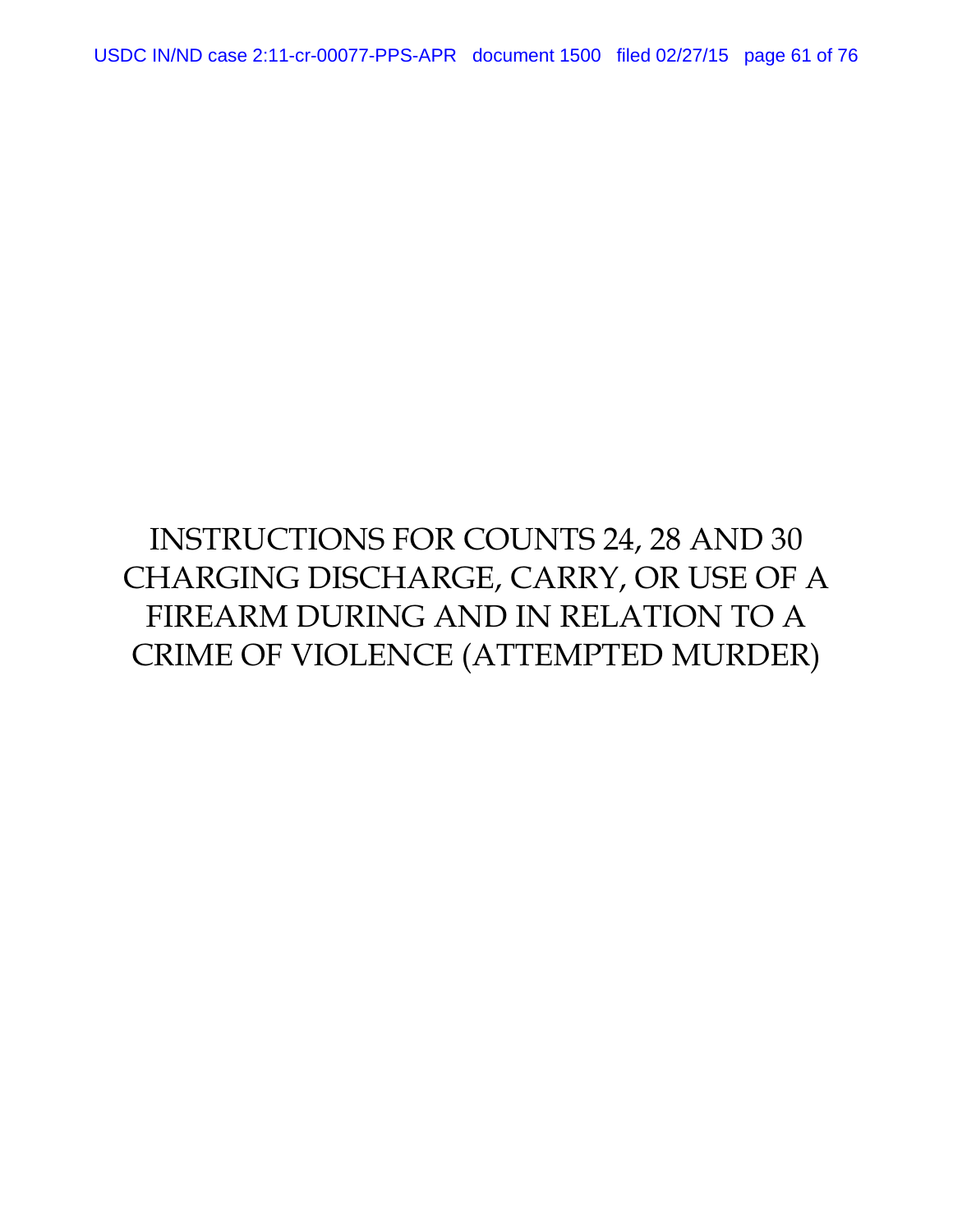# INSTRUCTIONS FOR COUNTS 24, 28 AND 30 CHARGING DISCHARGE, CARRY, OR USE OF A FIREARM DURING AND IN RELATION TO A CRIME OF VIOLENCE (ATTEMPTED MURDER)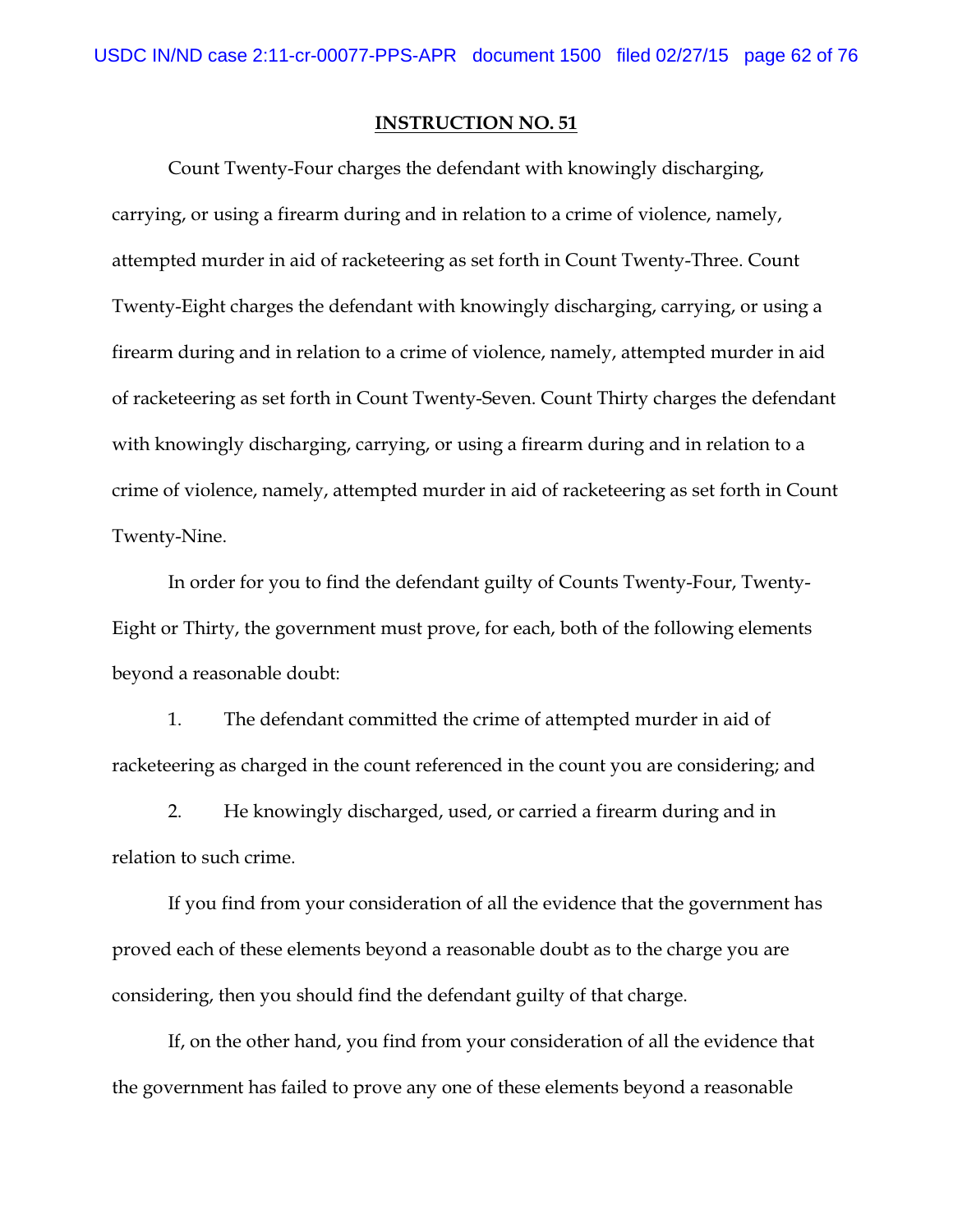Count Twenty-Four charges the defendant with knowingly discharging, carrying, or using a firearm during and in relation to a crime of violence, namely, attempted murder in aid of racketeering as set forth in Count Twenty-Three. Count Twenty-Eight charges the defendant with knowingly discharging, carrying, or using a firearm during and in relation to a crime of violence, namely, attempted murder in aid of racketeering as set forth in Count Twenty-Seven. Count Thirty charges the defendant with knowingly discharging, carrying, or using a firearm during and in relation to a crime of violence, namely, attempted murder in aid of racketeering as set forth in Count Twenty-Nine.

In order for you to find the defendant guilty of Counts Twenty-Four, Twenty-Eight or Thirty, the government must prove, for each, both of the following elements beyond a reasonable doubt:

1. The defendant committed the crime of attempted murder in aid of racketeering as charged in the count referenced in the count you are considering; and

2. He knowingly discharged, used, or carried a firearm during and in relation to such crime.

If you find from your consideration of all the evidence that the government has proved each of these elements beyond a reasonable doubt as to the charge you are considering, then you should find the defendant guilty of that charge.

If, on the other hand, you find from your consideration of all the evidence that the government has failed to prove any one of these elements beyond a reasonable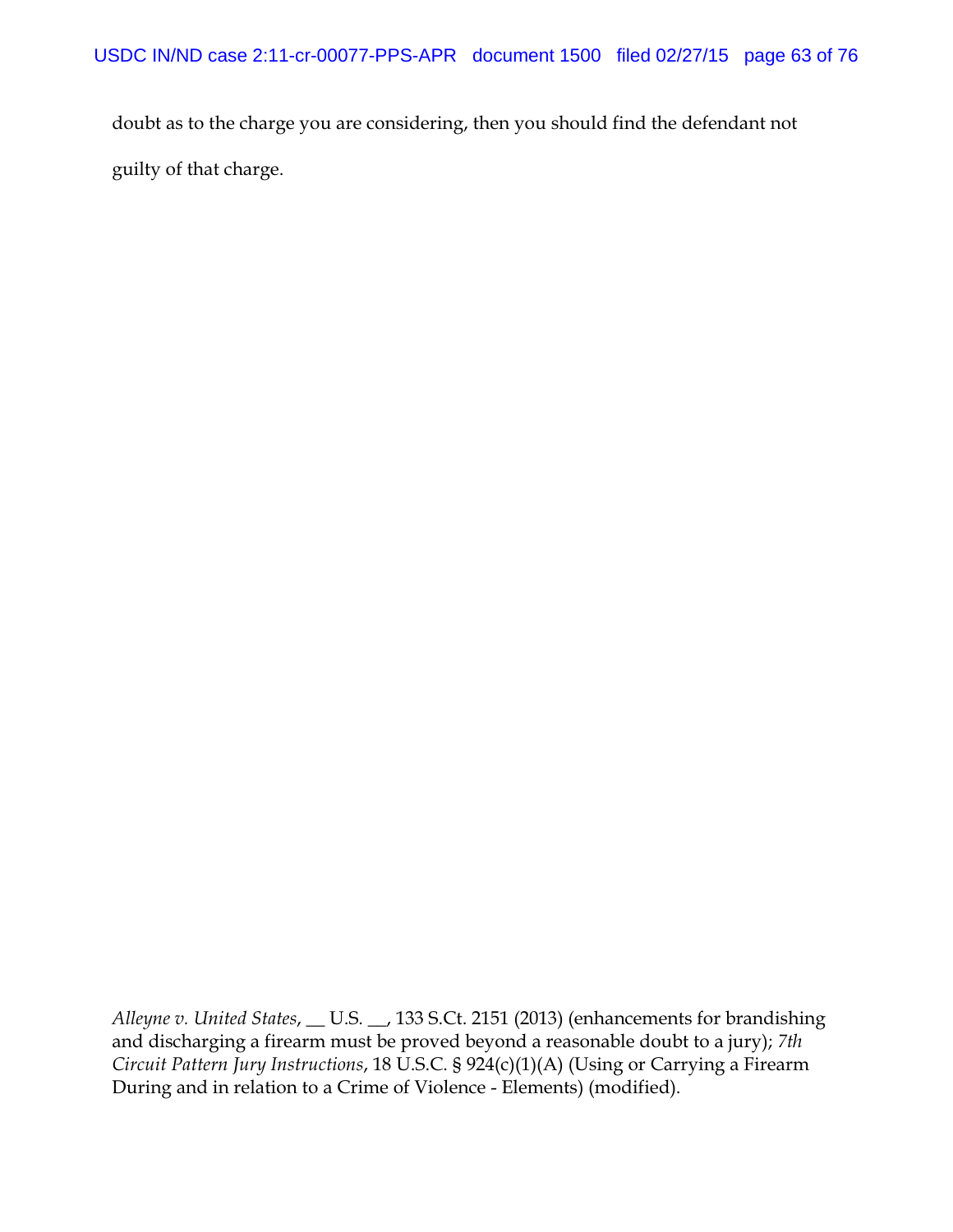doubt as to the charge you are considering, then you should find the defendant not guilty of that charge.

*Alleyne v. United States*, \_\_ U.S. \_\_, 133 S.Ct. 2151 (2013) (enhancements for brandishing and discharging a firearm must be proved beyond a reasonable doubt to a jury); *7th Circuit Pattern Jury Instructions*, 18 U.S.C. § 924(c)(1)(A) (Using or Carrying a Firearm During and in relation to a Crime of Violence - Elements) (modified).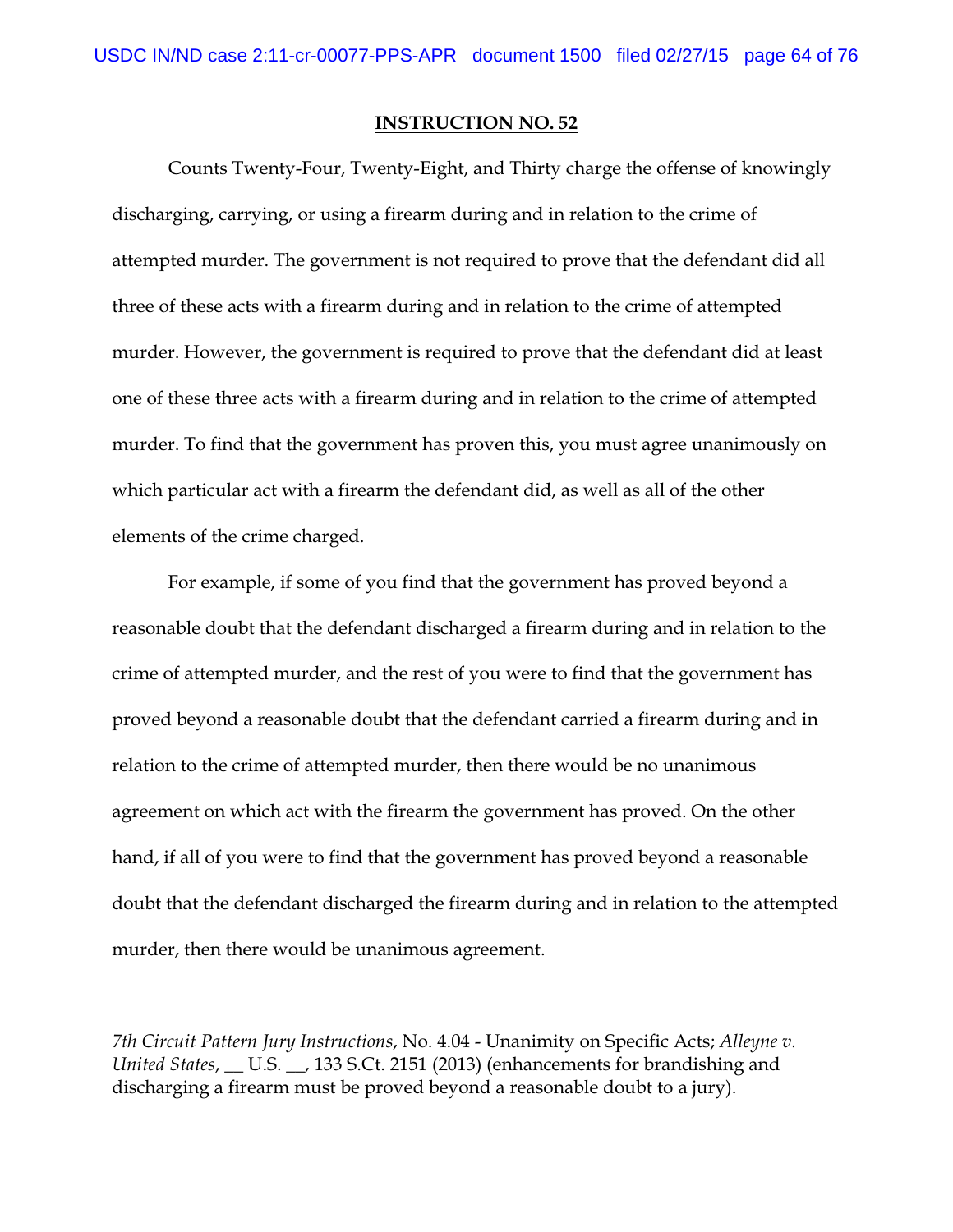Counts Twenty-Four, Twenty-Eight, and Thirty charge the offense of knowingly discharging, carrying, or using a firearm during and in relation to the crime of attempted murder. The government is not required to prove that the defendant did all three of these acts with a firearm during and in relation to the crime of attempted murder. However, the government is required to prove that the defendant did at least one of these three acts with a firearm during and in relation to the crime of attempted murder. To find that the government has proven this, you must agree unanimously on which particular act with a firearm the defendant did, as well as all of the other elements of the crime charged.

For example, if some of you find that the government has proved beyond a reasonable doubt that the defendant discharged a firearm during and in relation to the crime of attempted murder, and the rest of you were to find that the government has proved beyond a reasonable doubt that the defendant carried a firearm during and in relation to the crime of attempted murder, then there would be no unanimous agreement on which act with the firearm the government has proved. On the other hand, if all of you were to find that the government has proved beyond a reasonable doubt that the defendant discharged the firearm during and in relation to the attempted murder, then there would be unanimous agreement.

*7th Circuit Pattern Jury Instructions*, No. 4.04 - Unanimity on Specific Acts; *Alleyne v. United States*, \_\_ U.S. \_\_, 133 S.Ct. 2151 (2013) (enhancements for brandishing and discharging a firearm must be proved beyond a reasonable doubt to a jury).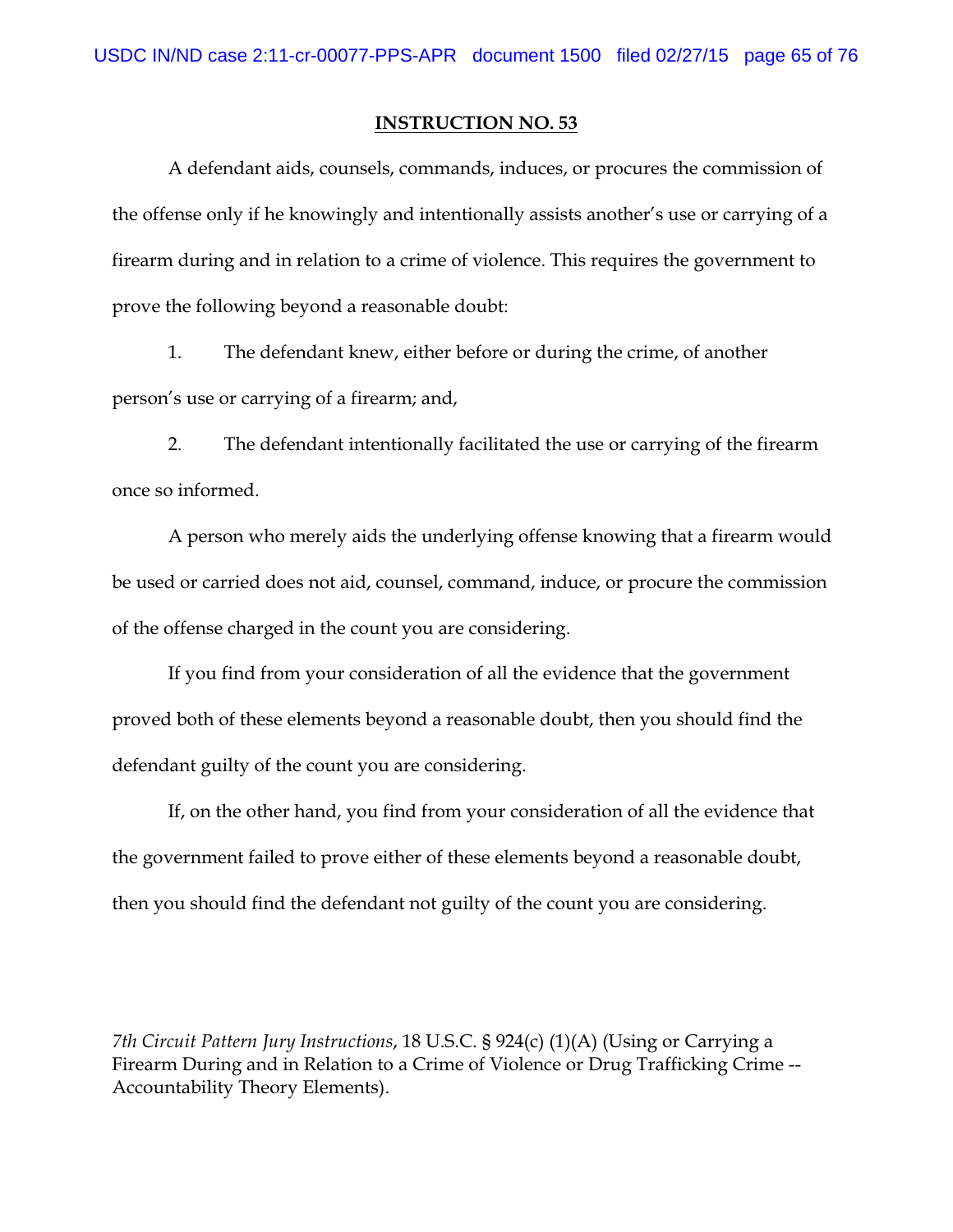A defendant aids, counsels, commands, induces, or procures the commission of the offense only if he knowingly and intentionally assists another's use or carrying of a firearm during and in relation to a crime of violence. This requires the government to prove the following beyond a reasonable doubt:

1. The defendant knew, either before or during the crime, of another person's use or carrying of a firearm; and,

2. The defendant intentionally facilitated the use or carrying of the firearm once so informed.

A person who merely aids the underlying offense knowing that a firearm would be used or carried does not aid, counsel, command, induce, or procure the commission of the offense charged in the count you are considering.

If you find from your consideration of all the evidence that the government proved both of these elements beyond a reasonable doubt, then you should find the defendant guilty of the count you are considering.

If, on the other hand, you find from your consideration of all the evidence that the government failed to prove either of these elements beyond a reasonable doubt, then you should find the defendant not guilty of the count you are considering.

*7th Circuit Pattern Jury Instructions*, 18 U.S.C. § 924(c) (1)(A) (Using or Carrying a Firearm During and in Relation to a Crime of Violence or Drug Trafficking Crime -- Accountability Theory Elements).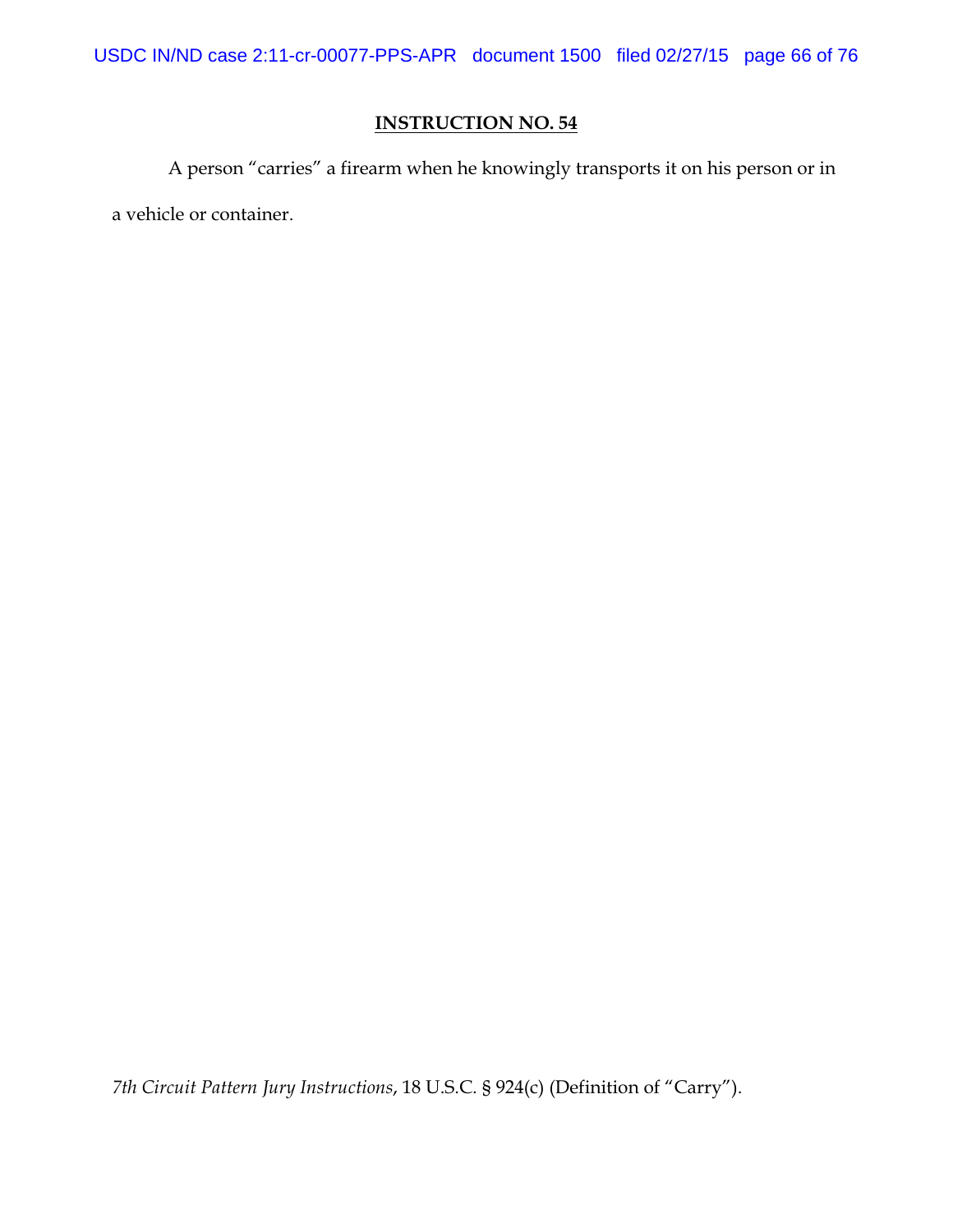USDC IN/ND case 2:11-cr-00077-PPS-APR document 1500 filed 02/27/15 page 66 of 76

## **INSTRUCTION NO. 54**

A person "carries" a firearm when he knowingly transports it on his person or in a vehicle or container.

*7th Circuit Pattern Jury Instructions*, 18 U.S.C. § 924(c) (Definition of "Carry").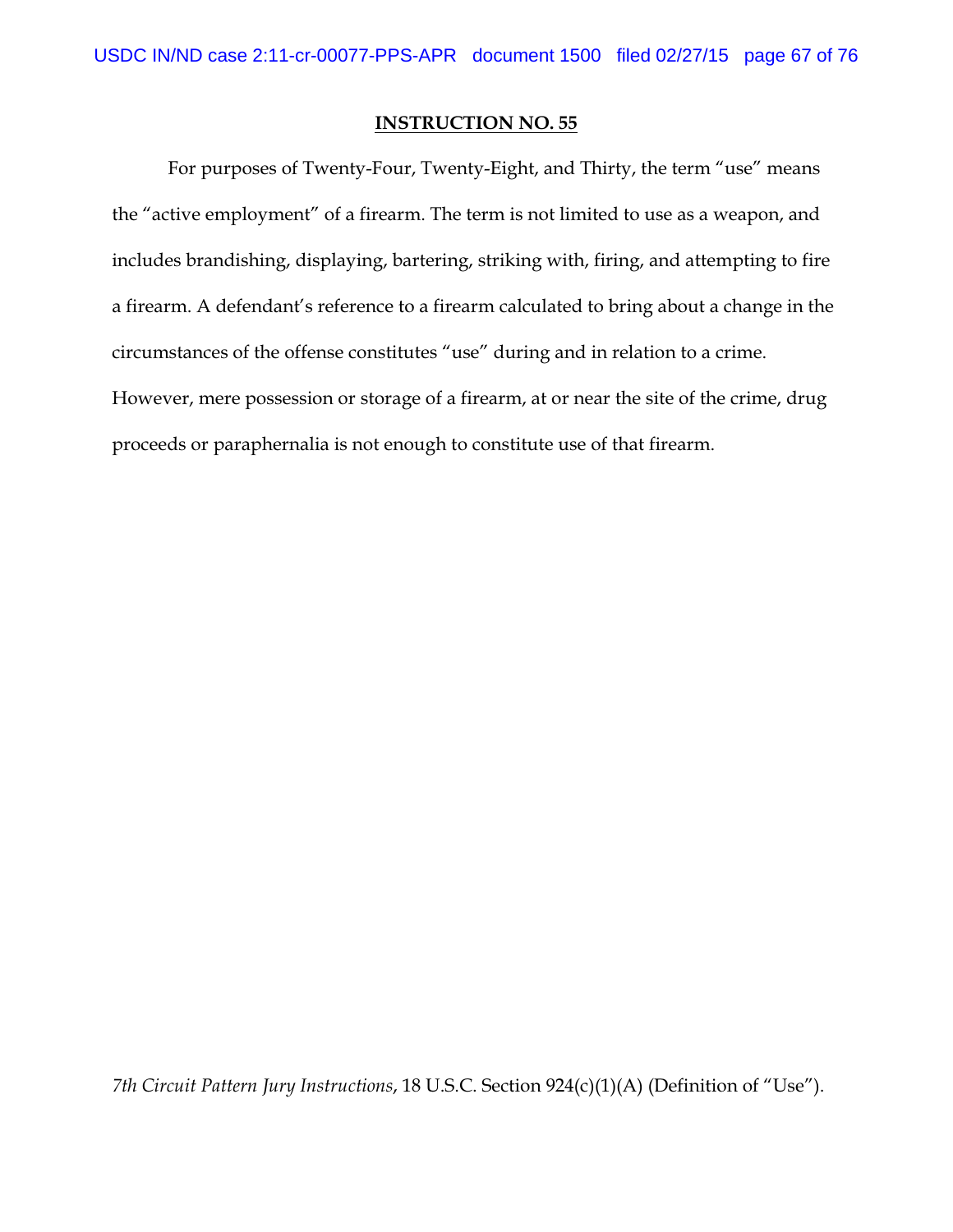For purposes of Twenty-Four, Twenty-Eight, and Thirty, the term "use" means the "active employment" of a firearm. The term is not limited to use as a weapon, and includes brandishing, displaying, bartering, striking with, firing, and attempting to fire a firearm. A defendant's reference to a firearm calculated to bring about a change in the circumstances of the offense constitutes "use" during and in relation to a crime. However, mere possession or storage of a firearm, at or near the site of the crime, drug proceeds or paraphernalia is not enough to constitute use of that firearm.

*7th Circuit Pattern Jury Instructions*, 18 U.S.C. Section 924(c)(1)(A) (Definition of "Use").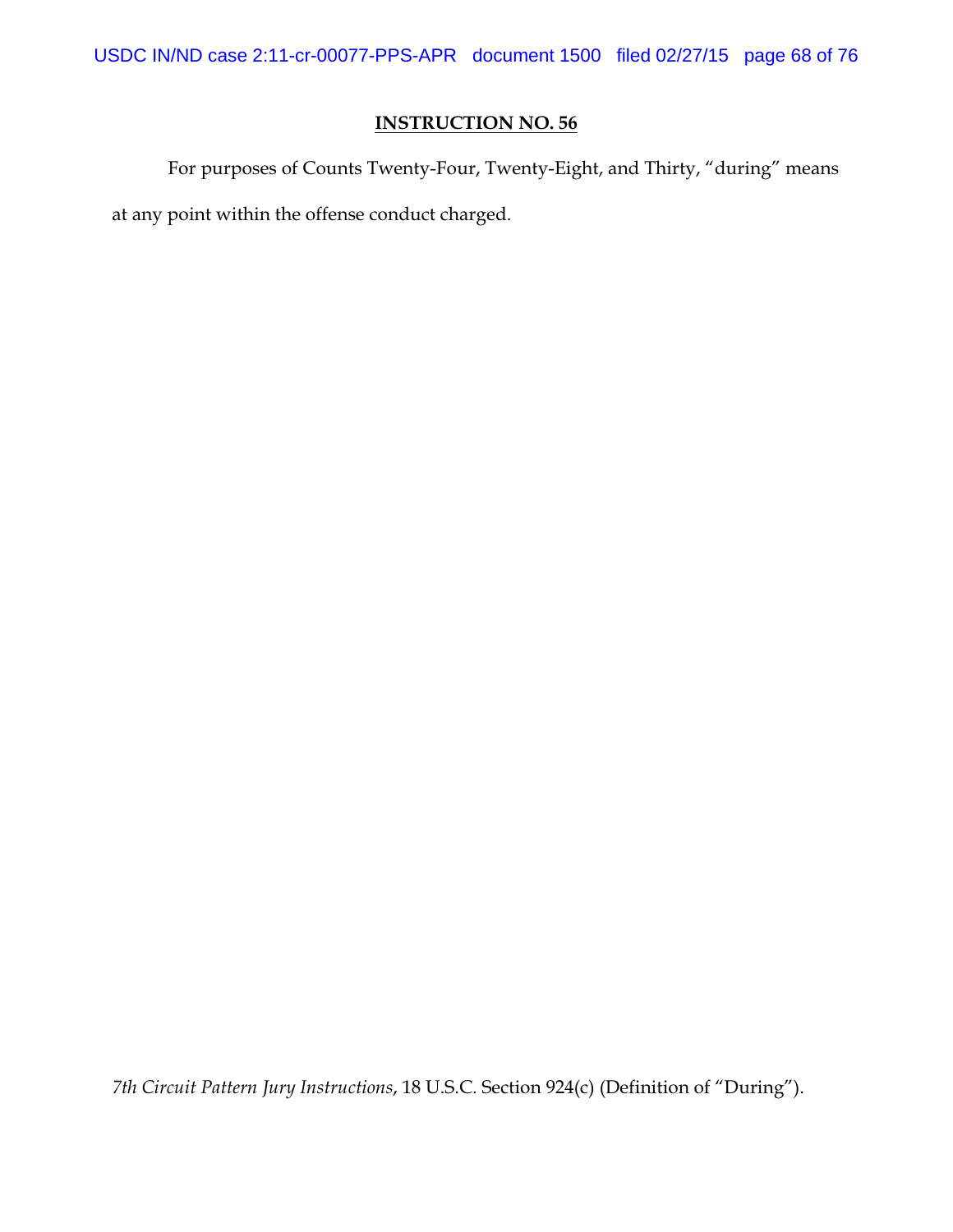For purposes of Counts Twenty-Four, Twenty-Eight, and Thirty, "during" means at any point within the offense conduct charged.

*7th Circuit Pattern Jury Instructions*, 18 U.S.C. Section 924(c) (Definition of "During").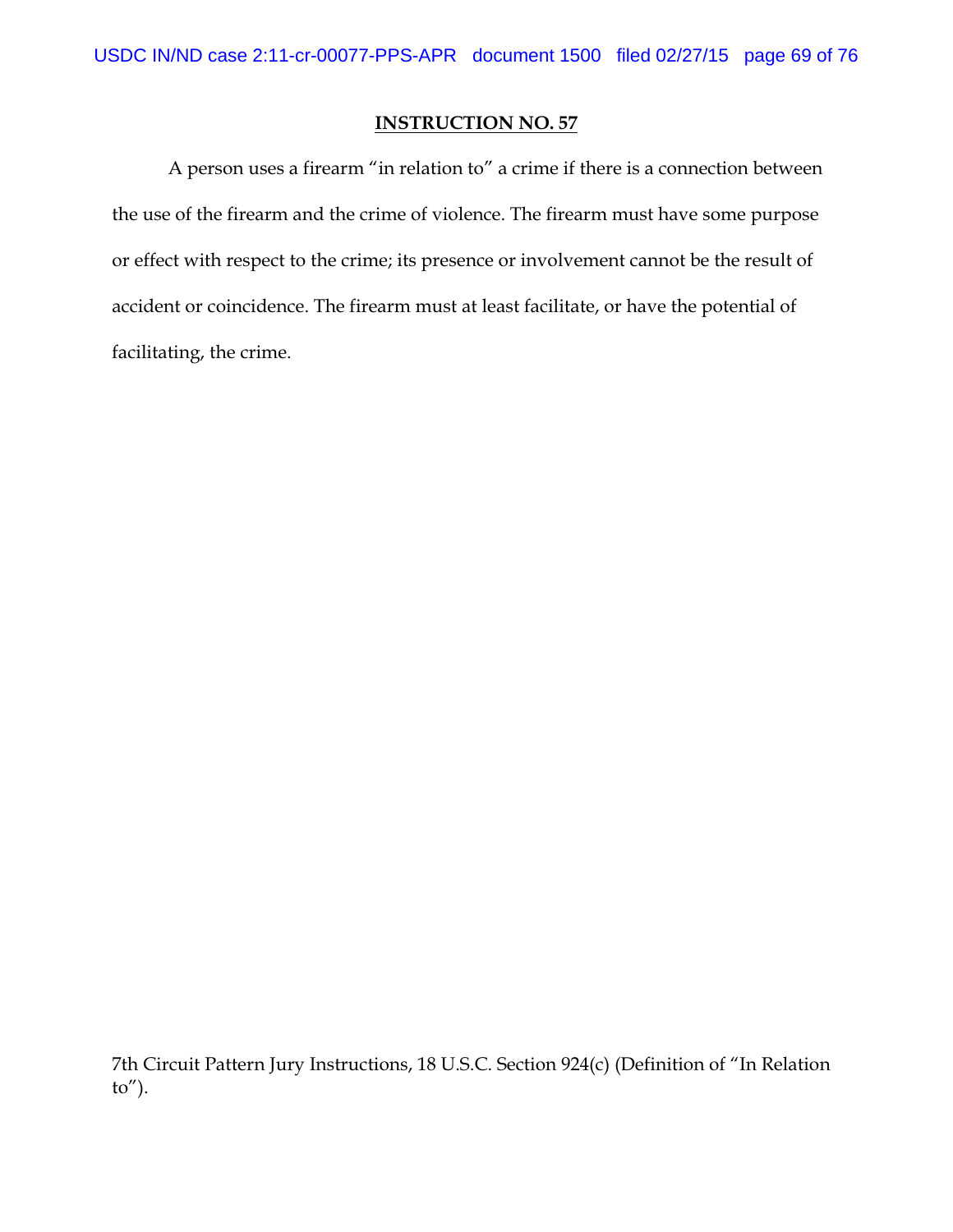A person uses a firearm "in relation to" a crime if there is a connection between the use of the firearm and the crime of violence. The firearm must have some purpose or effect with respect to the crime; its presence or involvement cannot be the result of accident or coincidence. The firearm must at least facilitate, or have the potential of facilitating, the crime.

7th Circuit Pattern Jury Instructions, 18 U.S.C. Section 924(c) (Definition of "In Relation to").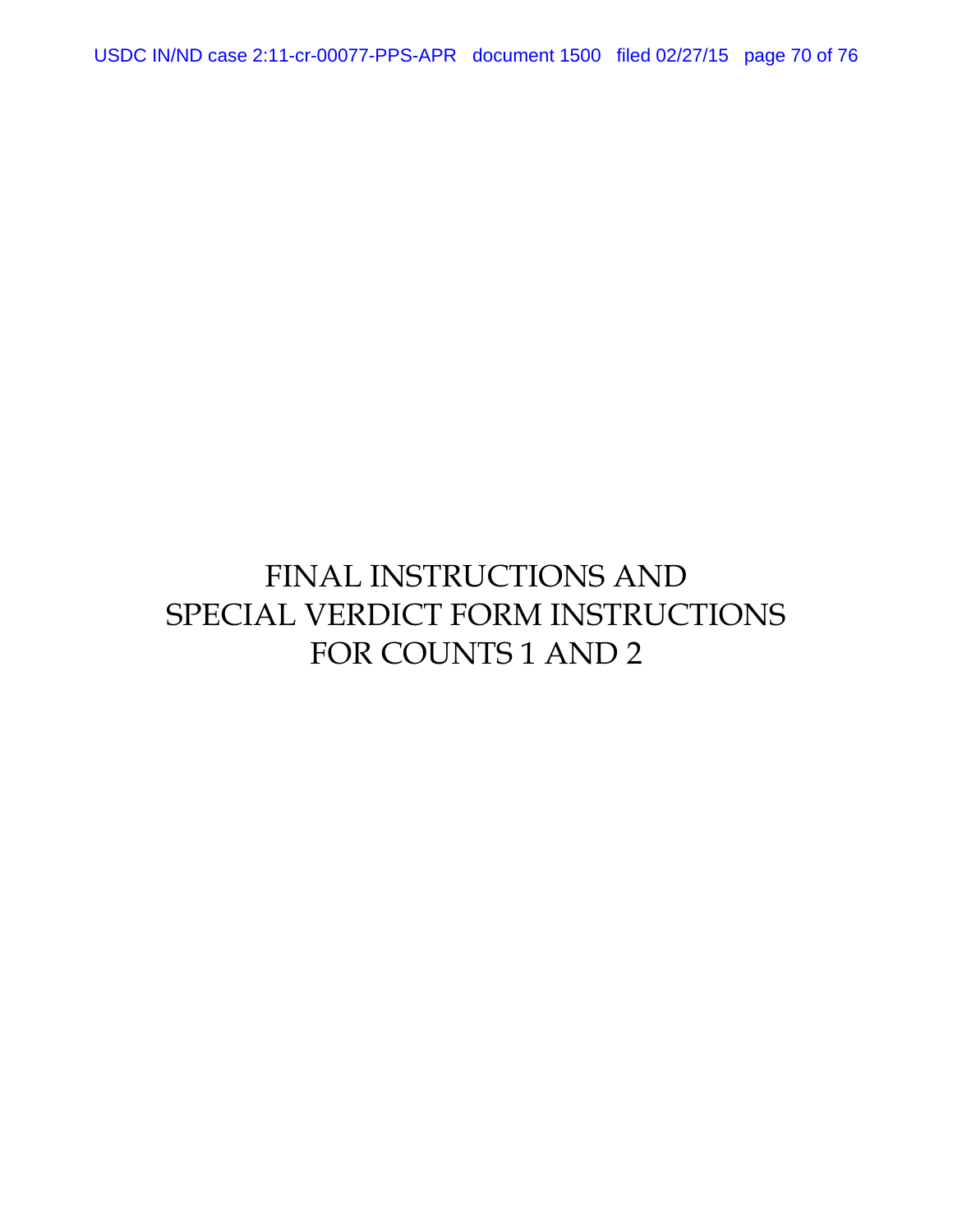USDC IN/ND case 2:11-cr-00077-PPS-APR document 1500 filed 02/27/15 page 70 of 76

# FINAL INSTRUCTIONS AND SPECIAL VERDICT FORM INSTRUCTIONS FOR COUNTS 1 AND 2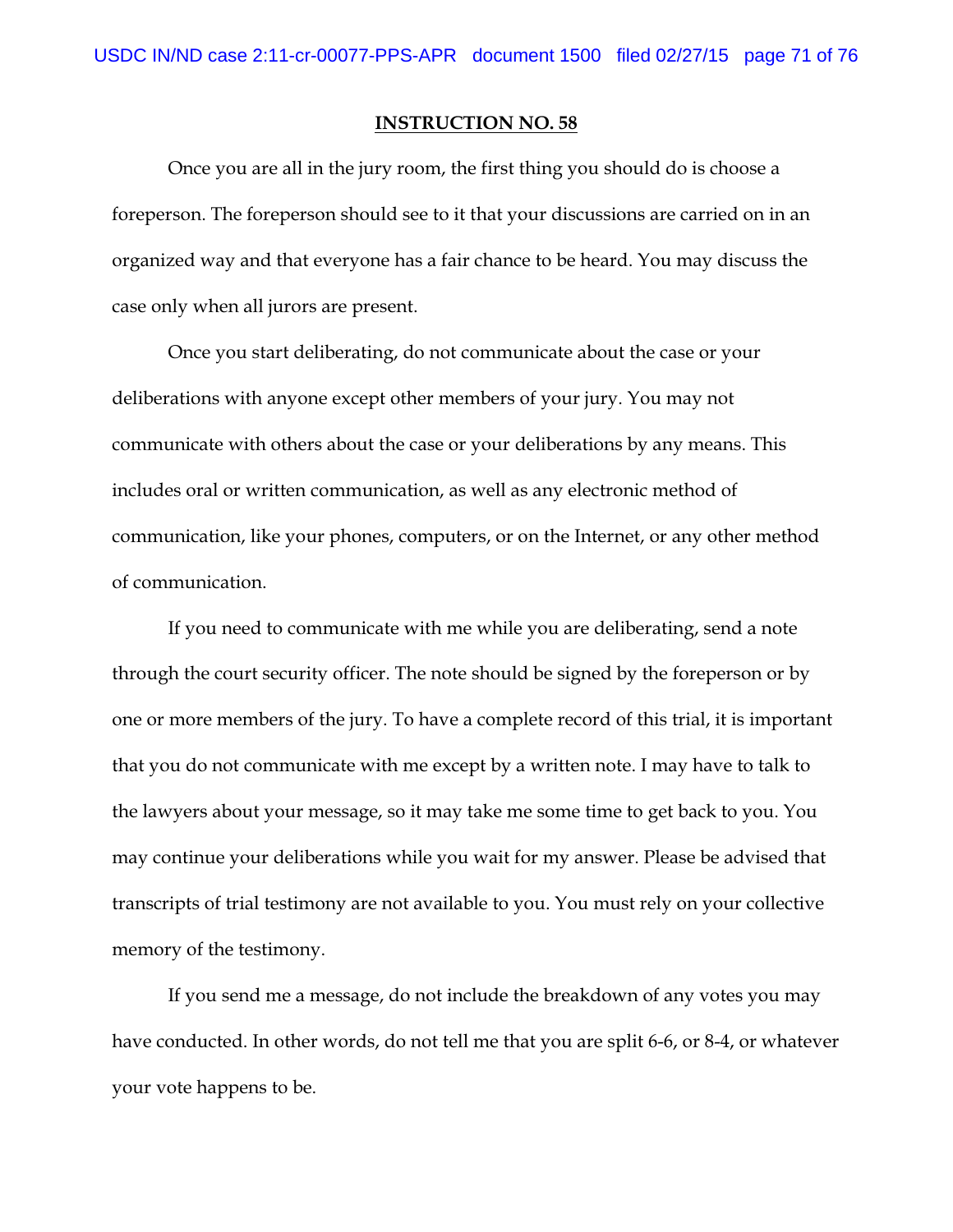Once you are all in the jury room, the first thing you should do is choose a foreperson. The foreperson should see to it that your discussions are carried on in an organized way and that everyone has a fair chance to be heard. You may discuss the case only when all jurors are present.

Once you start deliberating, do not communicate about the case or your deliberations with anyone except other members of your jury. You may not communicate with others about the case or your deliberations by any means. This includes oral or written communication, as well as any electronic method of communication, like your phones, computers, or on the Internet, or any other method of communication.

If you need to communicate with me while you are deliberating, send a note through the court security officer. The note should be signed by the foreperson or by one or more members of the jury. To have a complete record of this trial, it is important that you do not communicate with me except by a written note. I may have to talk to the lawyers about your message, so it may take me some time to get back to you. You may continue your deliberations while you wait for my answer. Please be advised that transcripts of trial testimony are not available to you. You must rely on your collective memory of the testimony.

If you send me a message, do not include the breakdown of any votes you may have conducted. In other words, do not tell me that you are split 6-6, or 8-4, or whatever your vote happens to be.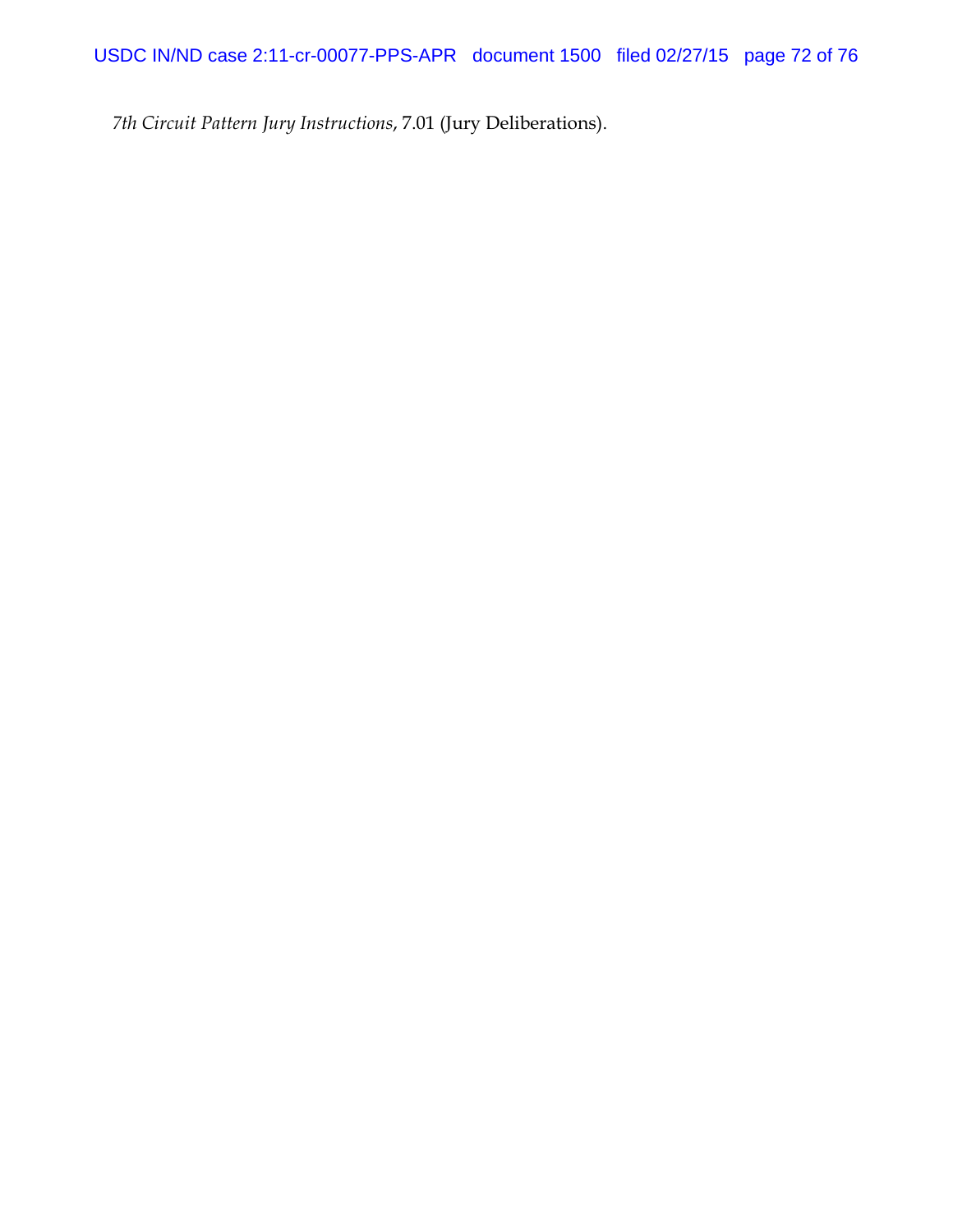*7th Circuit Pattern Jury Instructions*, 7.01 (Jury Deliberations).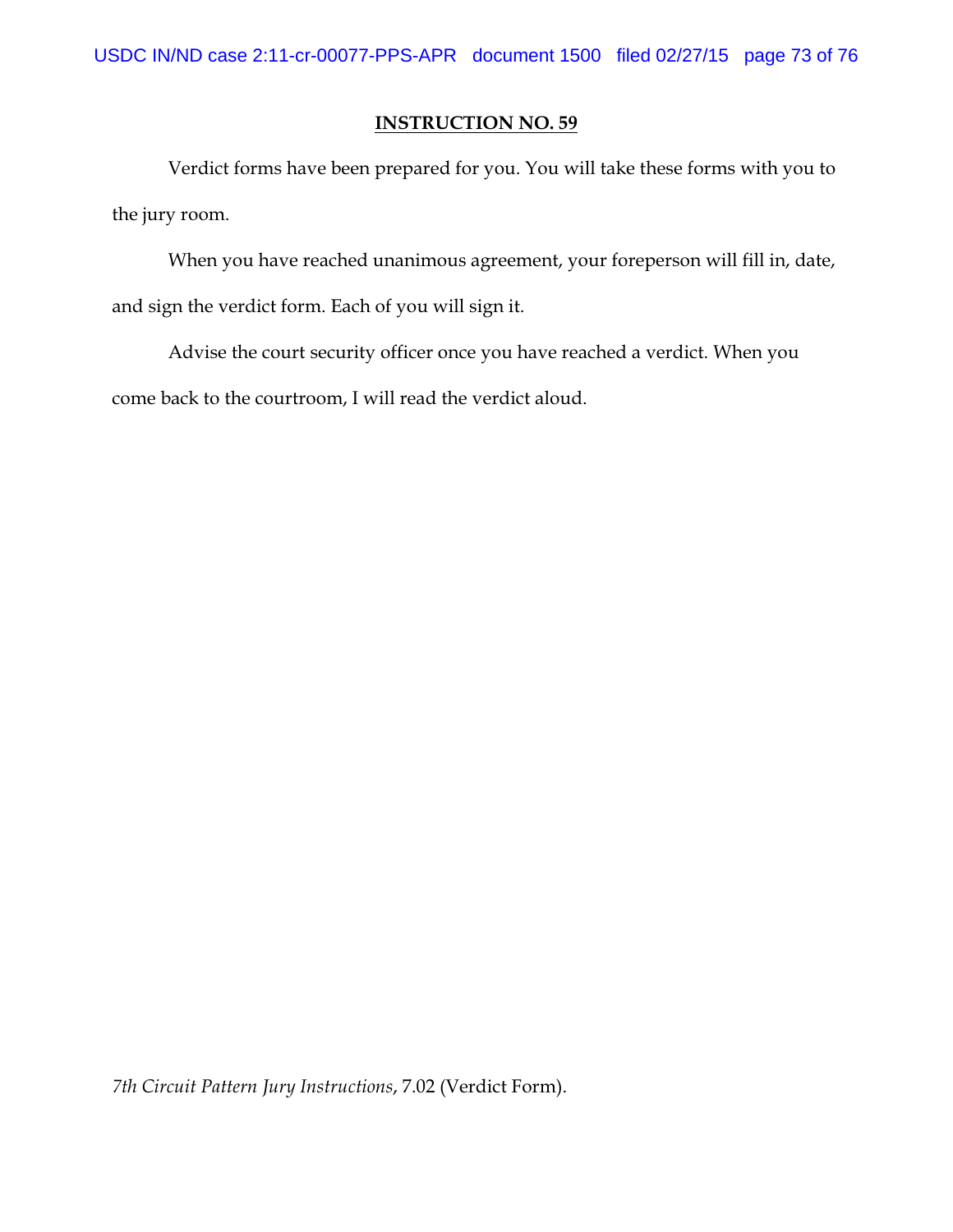Verdict forms have been prepared for you. You will take these forms with you to the jury room.

When you have reached unanimous agreement, your foreperson will fill in, date, and sign the verdict form. Each of you will sign it.

Advise the court security officer once you have reached a verdict. When you come back to the courtroom, I will read the verdict aloud.

*7th Circuit Pattern Jury Instructions*, 7.02 (Verdict Form).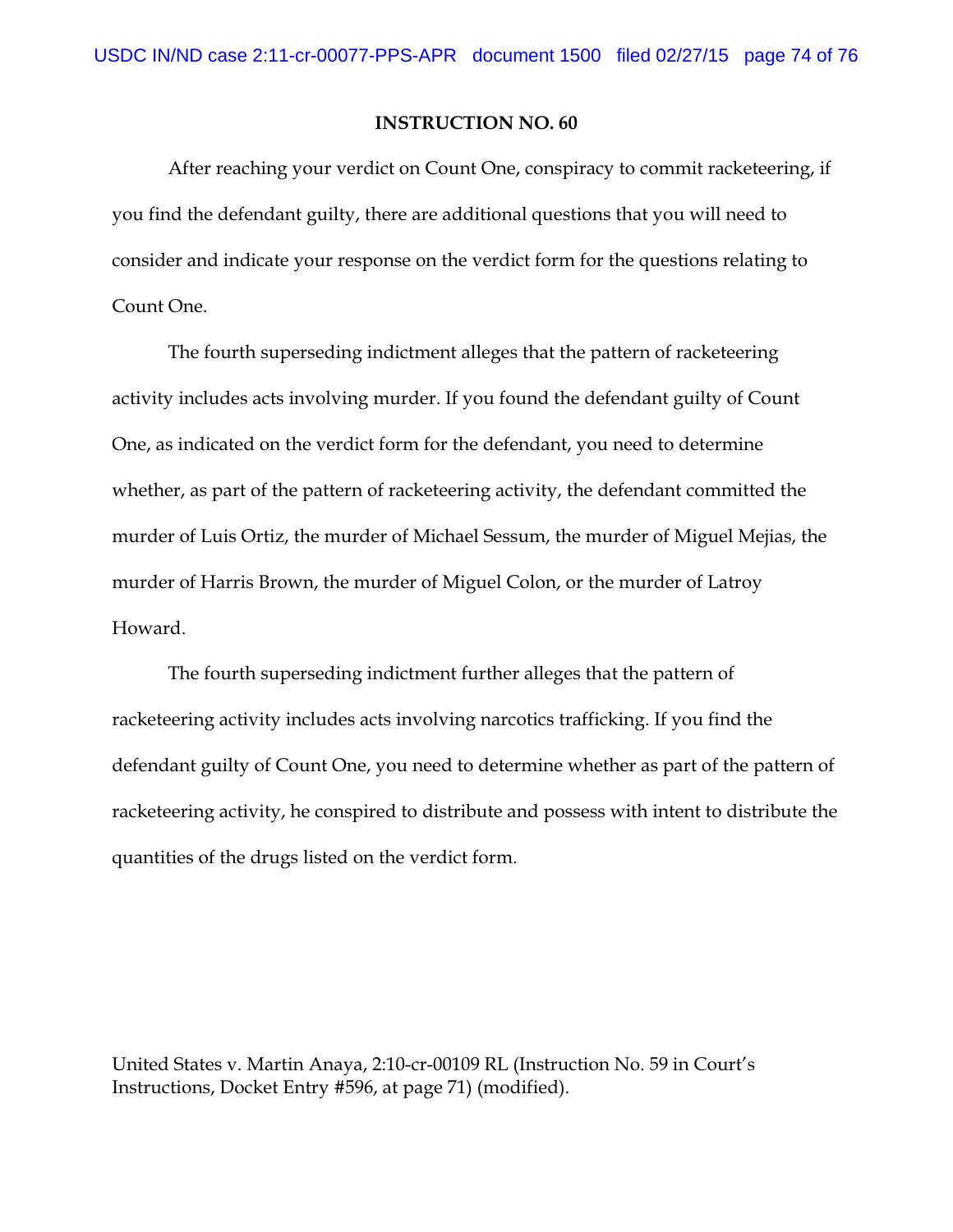After reaching your verdict on Count One, conspiracy to commit racketeering, if you find the defendant guilty, there are additional questions that you will need to consider and indicate your response on the verdict form for the questions relating to Count One.

The fourth superseding indictment alleges that the pattern of racketeering activity includes acts involving murder. If you found the defendant guilty of Count One, as indicated on the verdict form for the defendant, you need to determine whether, as part of the pattern of racketeering activity, the defendant committed the murder of Luis Ortiz, the murder of Michael Sessum, the murder of Miguel Mejias, the murder of Harris Brown, the murder of Miguel Colon, or the murder of Latroy Howard.

The fourth superseding indictment further alleges that the pattern of racketeering activity includes acts involving narcotics trafficking. If you find the defendant guilty of Count One, you need to determine whether as part of the pattern of racketeering activity, he conspired to distribute and possess with intent to distribute the quantities of the drugs listed on the verdict form.

United States v. Martin Anaya, 2:10-cr-00109 RL (Instruction No. 59 in Court's Instructions, Docket Entry #596, at page 71) (modified).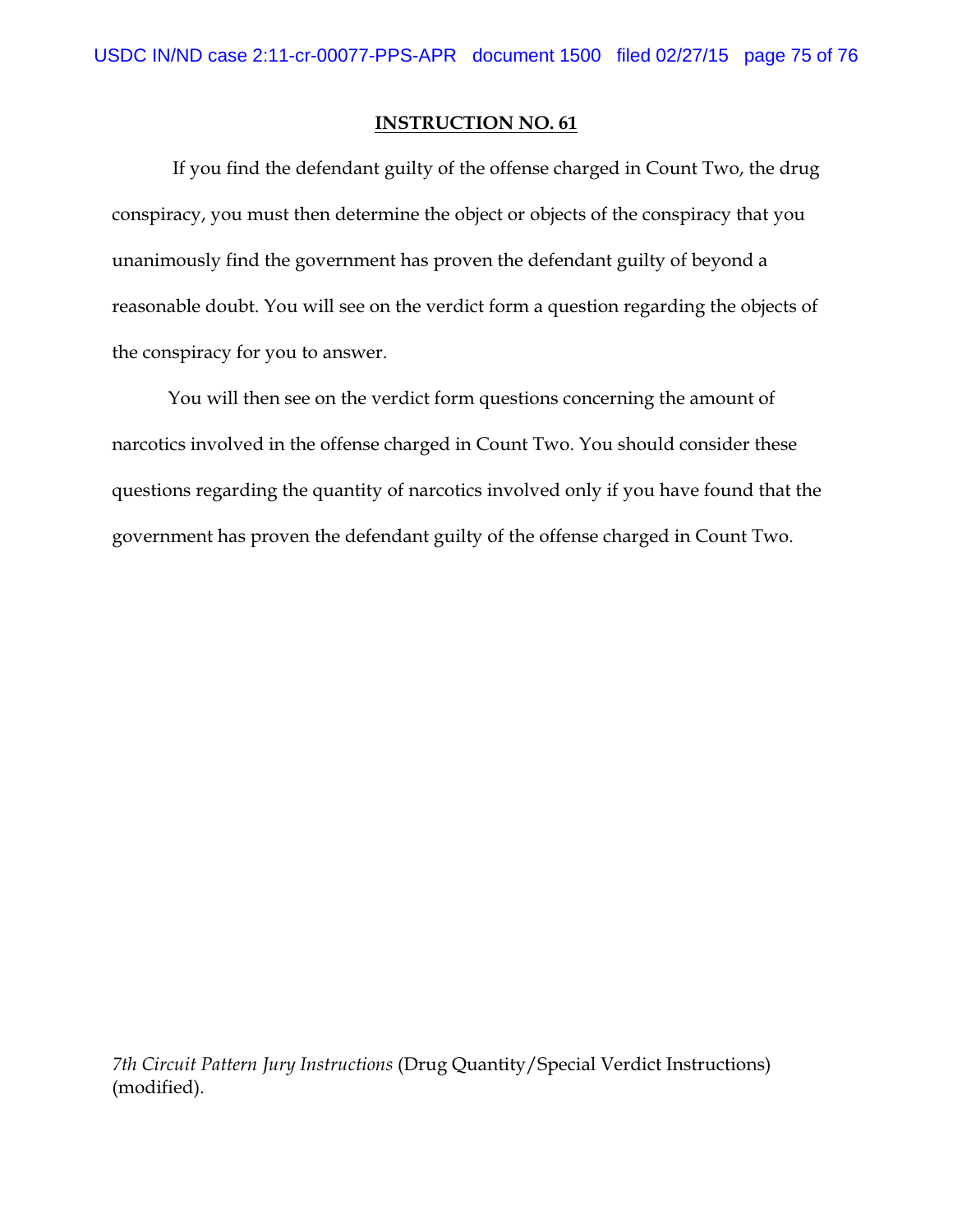If you find the defendant guilty of the offense charged in Count Two, the drug conspiracy, you must then determine the object or objects of the conspiracy that you unanimously find the government has proven the defendant guilty of beyond a reasonable doubt. You will see on the verdict form a question regarding the objects of the conspiracy for you to answer.

You will then see on the verdict form questions concerning the amount of narcotics involved in the offense charged in Count Two. You should consider these questions regarding the quantity of narcotics involved only if you have found that the government has proven the defendant guilty of the offense charged in Count Two.

*7th Circuit Pattern Jury Instructions* (Drug Quantity/Special Verdict Instructions) (modified).